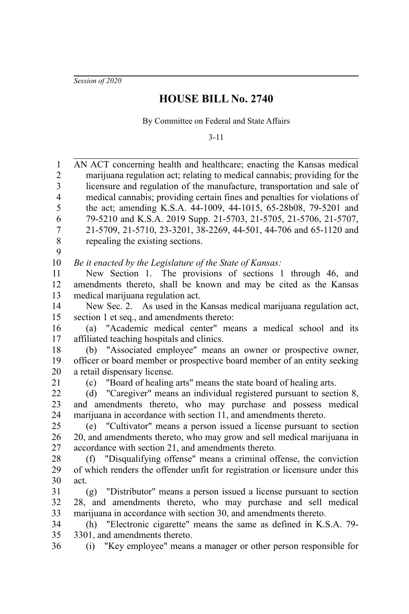*Session of 2020*

## **HOUSE BILL No. 2740**

By Committee on Federal and State Affairs

3-11

AN ACT concerning health and healthcare; enacting the Kansas medical marijuana regulation act; relating to medical cannabis; providing for the licensure and regulation of the manufacture, transportation and sale of medical cannabis; providing certain fines and penalties for violations of the act; amending K.S.A. 44-1009, 44-1015, 65-28b08, 79-5201 and 79-5210 and K.S.A. 2019 Supp. 21-5703, 21-5705, 21-5706, 21-5707, 21-5709, 21-5710, 23-3201, 38-2269, 44-501, 44-706 and 65-1120 and repealing the existing sections. *Be it enacted by the Legislature of the State of Kansas:* New Section 1. The provisions of sections 1 through 46, and amendments thereto, shall be known and may be cited as the Kansas medical marijuana regulation act. New Sec. 2. As used in the Kansas medical marijuana regulation act, section 1 et seq., and amendments thereto: (a) "Academic medical center" means a medical school and its affiliated teaching hospitals and clinics. (b) "Associated employee" means an owner or prospective owner, officer or board member or prospective board member of an entity seeking a retail dispensary license. (c) "Board of healing arts" means the state board of healing arts. (d) "Caregiver" means an individual registered pursuant to section 8, and amendments thereto, who may purchase and possess medical marijuana in accordance with section 11, and amendments thereto. (e) "Cultivator" means a person issued a license pursuant to section 20, and amendments thereto, who may grow and sell medical marijuana in accordance with section 21, and amendments thereto. (f) "Disqualifying offense" means a criminal offense, the conviction of which renders the offender unfit for registration or licensure under this act. (g) "Distributor" means a person issued a license pursuant to section 28, and amendments thereto, who may purchase and sell medical marijuana in accordance with section 30, and amendments thereto. (h) "Electronic cigarette" means the same as defined in K.S.A. 79- 3301, and amendments thereto. (i) "Key employee" means a manager or other person responsible for 1 2 3 4 5 6 7 8 9 10 11 12 13 14 15 16 17 18 19 20 21 22 23 24 25 26 27 28 29 30 31 32 33 34 35 36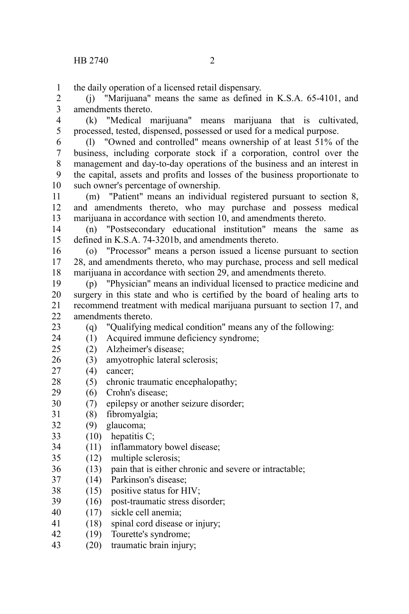1

the daily operation of a licensed retail dispensary.

(j) "Marijuana" means the same as defined in K.S.A. 65-4101, and amendments thereto. 2 3

(k) "Medical marijuana" means marijuana that is cultivated, processed, tested, dispensed, possessed or used for a medical purpose. 4 5

(l) "Owned and controlled" means ownership of at least 51% of the business, including corporate stock if a corporation, control over the management and day-to-day operations of the business and an interest in the capital, assets and profits and losses of the business proportionate to such owner's percentage of ownership. 6 7 8 9 10

(m) "Patient" means an individual registered pursuant to section 8, and amendments thereto, who may purchase and possess medical marijuana in accordance with section 10, and amendments thereto. 11 12 13

(n) "Postsecondary educational institution" means the same as defined in K.S.A. 74-3201b, and amendments thereto. 14 15

(o) "Processor" means a person issued a license pursuant to section 28, and amendments thereto, who may purchase, process and sell medical marijuana in accordance with section 29, and amendments thereto. 16 17 18

(p) "Physician" means an individual licensed to practice medicine and surgery in this state and who is certified by the board of healing arts to recommend treatment with medical marijuana pursuant to section 17, and amendments thereto. 19 20 21  $22$ 

(q) "Qualifying medical condition" means any of the following:

(1) Acquired immune deficiency syndrome; 24

- (2) Alzheimer's disease;  $25$
- (3) amyotrophic lateral sclerosis; 26
- (4) cancer; 27

23

- (5) chronic traumatic encephalopathy; 28
- (6) Crohn's disease; 29
- (7) epilepsy or another seizure disorder; 30
- (8) fibromyalgia; 31
- (9) glaucoma; 32
- $(10)$  hepatitis C; 33
- (11) inflammatory bowel disease; 34
- (12) multiple sclerosis; 35
- (13) pain that is either chronic and severe or intractable; 36
- (14) Parkinson's disease; 37
- (15) positive status for HIV; 38
- (16) post-traumatic stress disorder; 39
- (17) sickle cell anemia; 40
- (18) spinal cord disease or injury; 41
- (19) Tourette's syndrome; 42
- (20) traumatic brain injury; 43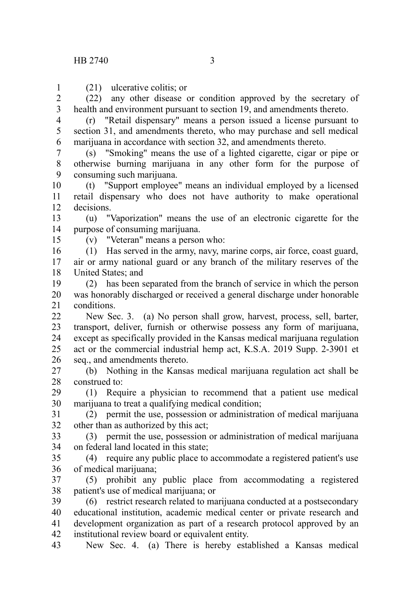(21) ulcerative colitis; or 1

(22) any other disease or condition approved by the secretary of health and environment pursuant to section 19, and amendments thereto. 2 3

(r) "Retail dispensary" means a person issued a license pursuant to section 31, and amendments thereto, who may purchase and sell medical marijuana in accordance with section 32, and amendments thereto. 4 5 6

(s) "Smoking" means the use of a lighted cigarette, cigar or pipe or otherwise burning marijuana in any other form for the purpose of consuming such marijuana. 7 8 9

(t) "Support employee" means an individual employed by a licensed retail dispensary who does not have authority to make operational decisions. 10 11 12

(u) "Vaporization" means the use of an electronic cigarette for the purpose of consuming marijuana. 13 14

15

(v) "Veteran" means a person who:

(1) Has served in the army, navy, marine corps, air force, coast guard, air or army national guard or any branch of the military reserves of the United States; and 16 17 18

(2) has been separated from the branch of service in which the person was honorably discharged or received a general discharge under honorable conditions. 19 20 21

New Sec. 3. (a) No person shall grow, harvest, process, sell, barter, transport, deliver, furnish or otherwise possess any form of marijuana, except as specifically provided in the Kansas medical marijuana regulation act or the commercial industrial hemp act, K.S.A. 2019 Supp. 2-3901 et seq., and amendments thereto.  $22$ 23 24 25 26

(b) Nothing in the Kansas medical marijuana regulation act shall be construed to: 27 28

(1) Require a physician to recommend that a patient use medical marijuana to treat a qualifying medical condition; 29 30

(2) permit the use, possession or administration of medical marijuana other than as authorized by this act; 31 32

(3) permit the use, possession or administration of medical marijuana on federal land located in this state; 33 34

(4) require any public place to accommodate a registered patient's use of medical marijuana; 35 36

(5) prohibit any public place from accommodating a registered patient's use of medical marijuana; or 37 38

(6) restrict research related to marijuana conducted at a postsecondary educational institution, academic medical center or private research and development organization as part of a research protocol approved by an institutional review board or equivalent entity. 39 40 41 42

New Sec. 4. (a) There is hereby established a Kansas medical 43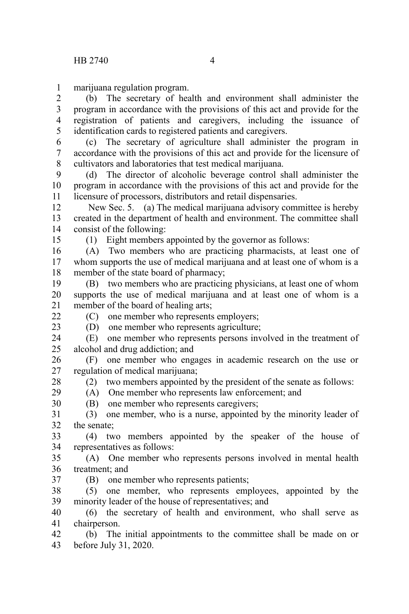marijuana regulation program. 1

(b) The secretary of health and environment shall administer the program in accordance with the provisions of this act and provide for the registration of patients and caregivers, including the issuance of identification cards to registered patients and caregivers. 2 3 4 5

(c) The secretary of agriculture shall administer the program in accordance with the provisions of this act and provide for the licensure of cultivators and laboratories that test medical marijuana. 6 7 8

(d) The director of alcoholic beverage control shall administer the program in accordance with the provisions of this act and provide for the licensure of processors, distributors and retail dispensaries.  $\mathbf{Q}$ 10 11

 New Sec. 5. (a) The medical marijuana advisory committee is hereby created in the department of health and environment. The committee shall consist of the following: 12 13 14

(1) Eight members appointed by the governor as follows:

(A) Two members who are practicing pharmacists, at least one of whom supports the use of medical marijuana and at least one of whom is a member of the state board of pharmacy; 16 17 18

(B) two members who are practicing physicians, at least one of whom supports the use of medical marijuana and at least one of whom is a member of the board of healing arts; 19 20 21

 $22$ 23

15

(C) one member who represents employers;

(D) one member who represents agriculture;

(E) one member who represents persons involved in the treatment of alcohol and drug addiction; and 24 25

(F) one member who engages in academic research on the use or regulation of medical marijuana; 26 27

28 29

37

(2) two members appointed by the president of the senate as follows: (A) One member who represents law enforcement; and

(B) one member who represents caregivers; 30

(3) one member, who is a nurse, appointed by the minority leader of the senate; 31 32

(4) two members appointed by the speaker of the house of representatives as follows: 33 34

(A) One member who represents persons involved in mental health treatment; and 35 36

(B) one member who represents patients;

(5) one member, who represents employees, appointed by the minority leader of the house of representatives; and 38 39

(6) the secretary of health and environment, who shall serve as chairperson. 40 41

(b) The initial appointments to the committee shall be made on or before July 31, 2020. 42 43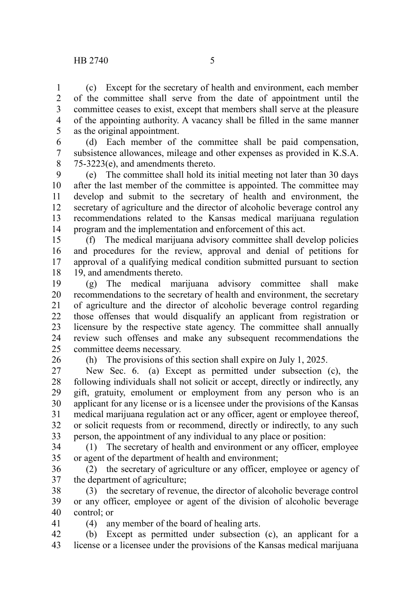(c) Except for the secretary of health and environment, each member of the committee shall serve from the date of appointment until the committee ceases to exist, except that members shall serve at the pleasure of the appointing authority. A vacancy shall be filled in the same manner as the original appointment. 1 2 3 4 5

(d) Each member of the committee shall be paid compensation, subsistence allowances, mileage and other expenses as provided in K.S.A. 75-3223(e), and amendments thereto. 6 7 8

(e) The committee shall hold its initial meeting not later than 30 days after the last member of the committee is appointed. The committee may develop and submit to the secretary of health and environment, the secretary of agriculture and the director of alcoholic beverage control any recommendations related to the Kansas medical marijuana regulation program and the implementation and enforcement of this act. 9 10 11 12 13 14

(f) The medical marijuana advisory committee shall develop policies and procedures for the review, approval and denial of petitions for approval of a qualifying medical condition submitted pursuant to section 19, and amendments thereto. 15 16 17 18

(g) The medical marijuana advisory committee shall make recommendations to the secretary of health and environment, the secretary of agriculture and the director of alcoholic beverage control regarding those offenses that would disqualify an applicant from registration or licensure by the respective state agency. The committee shall annually review such offenses and make any subsequent recommendations the committee deems necessary. 19 20 21 22 23 24 25

26

41

(h) The provisions of this section shall expire on July 1, 2025.

New Sec. 6. (a) Except as permitted under subsection (c), the following individuals shall not solicit or accept, directly or indirectly, any gift, gratuity, emolument or employment from any person who is an applicant for any license or is a licensee under the provisions of the Kansas medical marijuana regulation act or any officer, agent or employee thereof, or solicit requests from or recommend, directly or indirectly, to any such person, the appointment of any individual to any place or position: 27 28 29 30 31 32 33

(1) The secretary of health and environment or any officer, employee or agent of the department of health and environment; 34 35

(2) the secretary of agriculture or any officer, employee or agency of the department of agriculture; 36 37

(3) the secretary of revenue, the director of alcoholic beverage control or any officer, employee or agent of the division of alcoholic beverage control; or 38 39 40

(4) any member of the board of healing arts.

(b) Except as permitted under subsection (c), an applicant for a license or a licensee under the provisions of the Kansas medical marijuana 42 43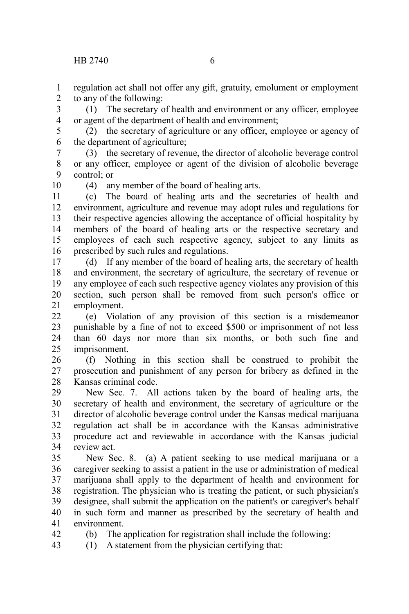regulation act shall not offer any gift, gratuity, emolument or employment to any of the following: 1 2

(1) The secretary of health and environment or any officer, employee or agent of the department of health and environment; 3 4

(2) the secretary of agriculture or any officer, employee or agency of the department of agriculture; 5 6

(3) the secretary of revenue, the director of alcoholic beverage control or any officer, employee or agent of the division of alcoholic beverage control; or 7 8 9

10

42

(4) any member of the board of healing arts.

(c) The board of healing arts and the secretaries of health and environment, agriculture and revenue may adopt rules and regulations for their respective agencies allowing the acceptance of official hospitality by members of the board of healing arts or the respective secretary and employees of each such respective agency, subject to any limits as prescribed by such rules and regulations. 11 12 13 14 15 16

(d) If any member of the board of healing arts, the secretary of health and environment, the secretary of agriculture, the secretary of revenue or any employee of each such respective agency violates any provision of this section, such person shall be removed from such person's office or employment. 17 18 19 20 21

(e) Violation of any provision of this section is a misdemeanor punishable by a fine of not to exceed \$500 or imprisonment of not less than 60 days nor more than six months, or both such fine and imprisonment.  $22$ 23 24 25

(f) Nothing in this section shall be construed to prohibit the prosecution and punishment of any person for bribery as defined in the Kansas criminal code. 26 27 28

New Sec. 7. All actions taken by the board of healing arts, the secretary of health and environment, the secretary of agriculture or the director of alcoholic beverage control under the Kansas medical marijuana regulation act shall be in accordance with the Kansas administrative procedure act and reviewable in accordance with the Kansas judicial review act. 29 30 31 32 33 34

New Sec. 8. (a) A patient seeking to use medical marijuana or a caregiver seeking to assist a patient in the use or administration of medical marijuana shall apply to the department of health and environment for registration. The physician who is treating the patient, or such physician's designee, shall submit the application on the patient's or caregiver's behalf in such form and manner as prescribed by the secretary of health and environment. 35 36 37 38 39 40 41

(b) The application for registration shall include the following:

(1) A statement from the physician certifying that: 43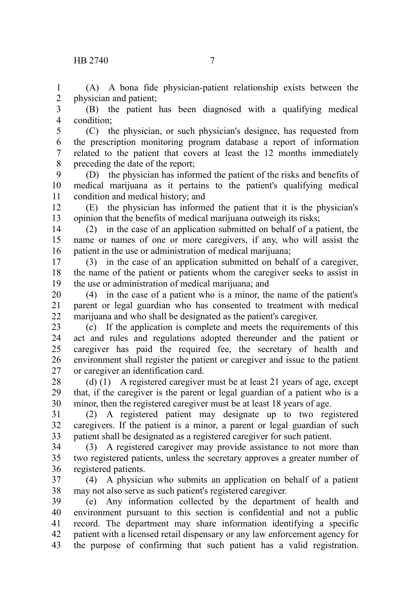(A) A bona fide physician-patient relationship exists between the physician and patient; 1 2

(B) the patient has been diagnosed with a qualifying medical condition; 3 4

(C) the physician, or such physician's designee, has requested from the prescription monitoring program database a report of information related to the patient that covers at least the 12 months immediately preceding the date of the report; 5 6 7 8

(D) the physician has informed the patient of the risks and benefits of medical marijuana as it pertains to the patient's qualifying medical condition and medical history; and 9 10 11

(E) the physician has informed the patient that it is the physician's opinion that the benefits of medical marijuana outweigh its risks; 12 13

(2) in the case of an application submitted on behalf of a patient, the name or names of one or more caregivers, if any, who will assist the patient in the use or administration of medical marijuana; 14 15 16

(3) in the case of an application submitted on behalf of a caregiver, the name of the patient or patients whom the caregiver seeks to assist in the use or administration of medical marijuana; and 17 18 19

(4) in the case of a patient who is a minor, the name of the patient's parent or legal guardian who has consented to treatment with medical marijuana and who shall be designated as the patient's caregiver. 20 21 22

(c) If the application is complete and meets the requirements of this act and rules and regulations adopted thereunder and the patient or caregiver has paid the required fee, the secretary of health and environment shall register the patient or caregiver and issue to the patient or caregiver an identification card. 23 24 25 26 27

(d) (1) A registered caregiver must be at least 21 years of age, except that, if the caregiver is the parent or legal guardian of a patient who is a minor, then the registered caregiver must be at least 18 years of age. 28 29 30

(2) A registered patient may designate up to two registered caregivers. If the patient is a minor, a parent or legal guardian of such patient shall be designated as a registered caregiver for such patient. 31 32 33

(3) A registered caregiver may provide assistance to not more than two registered patients, unless the secretary approves a greater number of registered patients. 34 35 36

(4) A physician who submits an application on behalf of a patient may not also serve as such patient's registered caregiver. 37 38

(e) Any information collected by the department of health and environment pursuant to this section is confidential and not a public record. The department may share information identifying a specific patient with a licensed retail dispensary or any law enforcement agency for the purpose of confirming that such patient has a valid registration. 39 40 41 42 43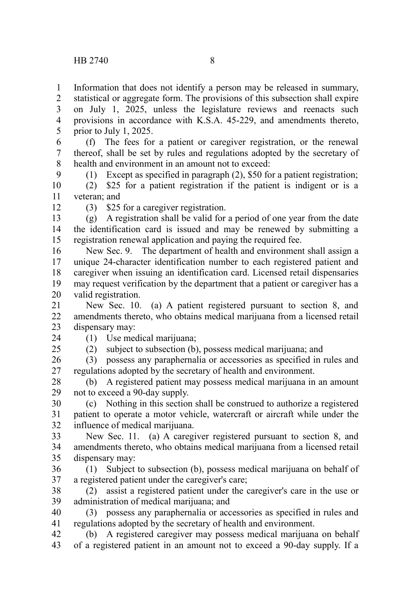Information that does not identify a person may be released in summary, statistical or aggregate form. The provisions of this subsection shall expire on July 1, 2025, unless the legislature reviews and reenacts such 1 2 3

provisions in accordance with K.S.A. 45-229, and amendments thereto, prior to July 1, 2025. 4 5

(f) The fees for a patient or caregiver registration, or the renewal thereof, shall be set by rules and regulations adopted by the secretary of health and environment in an amount not to exceed. 6 7 8 9

(1) Except as specified in paragraph (2), \$50 for a patient registration;

(2) \$25 for a patient registration if the patient is indigent or is a veteran; and 10 11

12

24  $25$  (3) \$25 for a caregiver registration.

(g) A registration shall be valid for a period of one year from the date the identification card is issued and may be renewed by submitting a registration renewal application and paying the required fee. 13 14 15

New Sec. 9. The department of health and environment shall assign a unique 24-character identification number to each registered patient and caregiver when issuing an identification card. Licensed retail dispensaries may request verification by the department that a patient or caregiver has a valid registration. 16 17 18 19 20

New Sec. 10. (a) A patient registered pursuant to section 8, and amendments thereto, who obtains medical marijuana from a licensed retail dispensary may: 21 22 23

(1) Use medical marijuana;

(2) subject to subsection (b), possess medical marijuana; and

(3) possess any paraphernalia or accessories as specified in rules and regulations adopted by the secretary of health and environment. 26 27

(b) A registered patient may possess medical marijuana in an amount not to exceed a 90-day supply. 28 29

(c) Nothing in this section shall be construed to authorize a registered patient to operate a motor vehicle, watercraft or aircraft while under the influence of medical marijuana. 30 31 32

New Sec. 11. (a) A caregiver registered pursuant to section 8, and amendments thereto, who obtains medical marijuana from a licensed retail dispensary may: 33 34 35

(1) Subject to subsection (b), possess medical marijuana on behalf of a registered patient under the caregiver's care; 36 37

(2) assist a registered patient under the caregiver's care in the use or administration of medical marijuana; and 38 39

(3) possess any paraphernalia or accessories as specified in rules and regulations adopted by the secretary of health and environment. 40 41

(b) A registered caregiver may possess medical marijuana on behalf of a registered patient in an amount not to exceed a 90-day supply. If a 42 43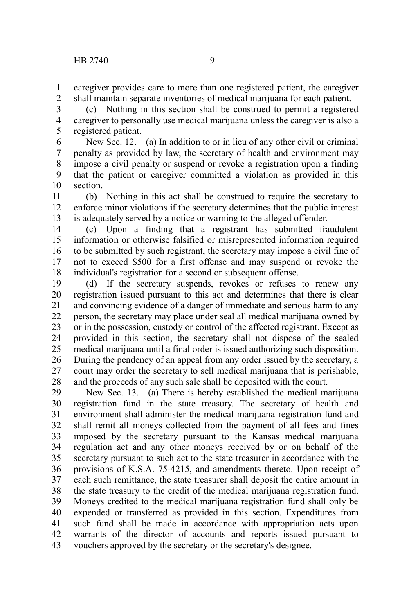caregiver provides care to more than one registered patient, the caregiver shall maintain separate inventories of medical marijuana for each patient. 1 2

(c) Nothing in this section shall be construed to permit a registered caregiver to personally use medical marijuana unless the caregiver is also a registered patient. 3 4 5

New Sec. 12. (a) In addition to or in lieu of any other civil or criminal penalty as provided by law, the secretary of health and environment may impose a civil penalty or suspend or revoke a registration upon a finding that the patient or caregiver committed a violation as provided in this section. 6 7 8 9 10

(b) Nothing in this act shall be construed to require the secretary to enforce minor violations if the secretary determines that the public interest is adequately served by a notice or warning to the alleged offender. 11 12 13

(c) Upon a finding that a registrant has submitted fraudulent information or otherwise falsified or misrepresented information required to be submitted by such registrant, the secretary may impose a civil fine of not to exceed \$500 for a first offense and may suspend or revoke the individual's registration for a second or subsequent offense. 14 15 16 17 18

(d) If the secretary suspends, revokes or refuses to renew any registration issued pursuant to this act and determines that there is clear and convincing evidence of a danger of immediate and serious harm to any person, the secretary may place under seal all medical marijuana owned by or in the possession, custody or control of the affected registrant. Except as provided in this section, the secretary shall not dispose of the sealed medical marijuana until a final order is issued authorizing such disposition. During the pendency of an appeal from any order issued by the secretary, a court may order the secretary to sell medical marijuana that is perishable, and the proceeds of any such sale shall be deposited with the court. 19 20 21 22 23 24 25 26 27 28

New Sec. 13. (a) There is hereby established the medical marijuana registration fund in the state treasury. The secretary of health and environment shall administer the medical marijuana registration fund and shall remit all moneys collected from the payment of all fees and fines imposed by the secretary pursuant to the Kansas medical marijuana regulation act and any other moneys received by or on behalf of the secretary pursuant to such act to the state treasurer in accordance with the provisions of K.S.A. 75-4215, and amendments thereto. Upon receipt of each such remittance, the state treasurer shall deposit the entire amount in the state treasury to the credit of the medical marijuana registration fund. Moneys credited to the medical marijuana registration fund shall only be expended or transferred as provided in this section. Expenditures from such fund shall be made in accordance with appropriation acts upon warrants of the director of accounts and reports issued pursuant to vouchers approved by the secretary or the secretary's designee. 29 30 31 32 33 34 35 36 37 38 39 40 41 42 43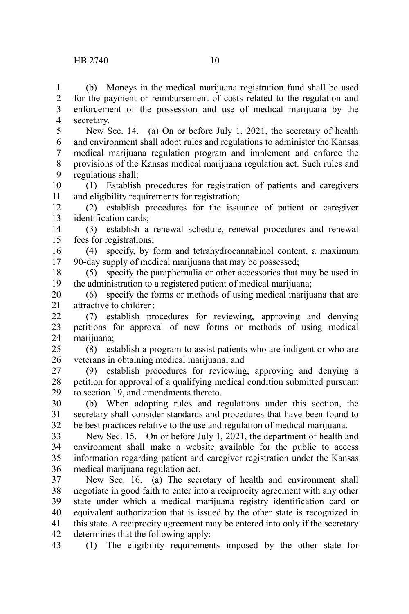(b) Moneys in the medical marijuana registration fund shall be used for the payment or reimbursement of costs related to the regulation and enforcement of the possession and use of medical marijuana by the secretary. 1 2 3 4

New Sec. 14. (a) On or before July 1, 2021, the secretary of health and environment shall adopt rules and regulations to administer the Kansas medical marijuana regulation program and implement and enforce the provisions of the Kansas medical marijuana regulation act. Such rules and regulations shall: 5 6 7 8 9

(1) Establish procedures for registration of patients and caregivers and eligibility requirements for registration; 10 11

(2) establish procedures for the issuance of patient or caregiver identification cards; 12 13

(3) establish a renewal schedule, renewal procedures and renewal fees for registrations; 14 15

(4) specify, by form and tetrahydrocannabinol content, a maximum 90-day supply of medical marijuana that may be possessed; 16 17

(5) specify the paraphernalia or other accessories that may be used in the administration to a registered patient of medical marijuana; 18 19

(6) specify the forms or methods of using medical marijuana that are attractive to children; 20 21

(7) establish procedures for reviewing, approving and denying petitions for approval of new forms or methods of using medical marijuana: 22 23 24

(8) establish a program to assist patients who are indigent or who are veterans in obtaining medical marijuana; and 25 26

(9) establish procedures for reviewing, approving and denying a petition for approval of a qualifying medical condition submitted pursuant to section 19, and amendments thereto. 27 28 29

(b) When adopting rules and regulations under this section, the secretary shall consider standards and procedures that have been found to be best practices relative to the use and regulation of medical marijuana. 30 31 32

New Sec. 15. On or before July 1, 2021, the department of health and environment shall make a website available for the public to access information regarding patient and caregiver registration under the Kansas medical marijuana regulation act. 33 34 35 36

New Sec. 16. (a) The secretary of health and environment shall negotiate in good faith to enter into a reciprocity agreement with any other state under which a medical marijuana registry identification card or equivalent authorization that is issued by the other state is recognized in this state. A reciprocity agreement may be entered into only if the secretary determines that the following apply: 37 38 39 40 41 42

(1) The eligibility requirements imposed by the other state for 43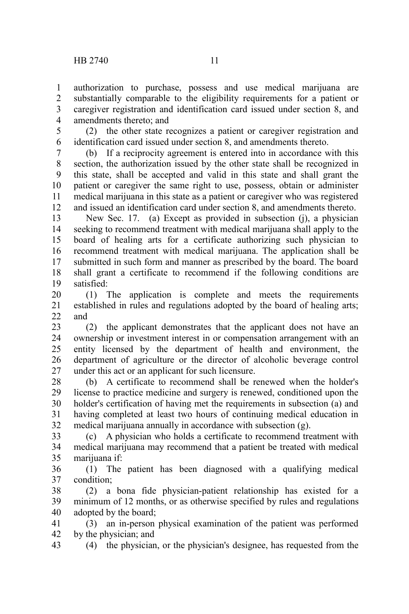authorization to purchase, possess and use medical marijuana are substantially comparable to the eligibility requirements for a patient or caregiver registration and identification card issued under section 8, and amendments thereto; and 1 2 3 4

(2) the other state recognizes a patient or caregiver registration and identification card issued under section 8, and amendments thereto. 5 6

(b) If a reciprocity agreement is entered into in accordance with this section, the authorization issued by the other state shall be recognized in this state, shall be accepted and valid in this state and shall grant the patient or caregiver the same right to use, possess, obtain or administer medical marijuana in this state as a patient or caregiver who was registered and issued an identification card under section 8, and amendments thereto. 7 8 9 10 11 12

New Sec. 17. (a) Except as provided in subsection (j), a physician seeking to recommend treatment with medical marijuana shall apply to the board of healing arts for a certificate authorizing such physician to recommend treatment with medical marijuana. The application shall be submitted in such form and manner as prescribed by the board. The board shall grant a certificate to recommend if the following conditions are satisfied: 13 14 15 16 17 18 19

(1) The application is complete and meets the requirements established in rules and regulations adopted by the board of healing arts; and 20 21  $22$ 

(2) the applicant demonstrates that the applicant does not have an ownership or investment interest in or compensation arrangement with an entity licensed by the department of health and environment, the department of agriculture or the director of alcoholic beverage control under this act or an applicant for such licensure. 23 24 25 26 27

(b) A certificate to recommend shall be renewed when the holder's license to practice medicine and surgery is renewed, conditioned upon the holder's certification of having met the requirements in subsection (a) and having completed at least two hours of continuing medical education in medical marijuana annually in accordance with subsection (g). 28 29 30 31 32

(c) A physician who holds a certificate to recommend treatment with medical marijuana may recommend that a patient be treated with medical marijuana if: 33 34 35

(1) The patient has been diagnosed with a qualifying medical condition; 36 37

(2) a bona fide physician-patient relationship has existed for a minimum of 12 months, or as otherwise specified by rules and regulations adopted by the board; 38 39 40

(3) an in-person physical examination of the patient was performed by the physician; and 41 42

(4) the physician, or the physician's designee, has requested from the 43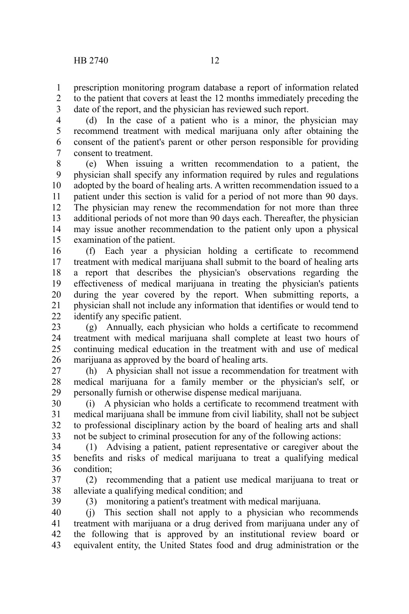prescription monitoring program database a report of information related to the patient that covers at least the 12 months immediately preceding the date of the report, and the physician has reviewed such report. 1 2 3

(d) In the case of a patient who is a minor, the physician may recommend treatment with medical marijuana only after obtaining the consent of the patient's parent or other person responsible for providing consent to treatment. 4 5 6 7

(e) When issuing a written recommendation to a patient, the physician shall specify any information required by rules and regulations adopted by the board of healing arts. A written recommendation issued to a patient under this section is valid for a period of not more than 90 days. The physician may renew the recommendation for not more than three additional periods of not more than 90 days each. Thereafter, the physician may issue another recommendation to the patient only upon a physical examination of the patient. 8 9 10 11 12 13 14 15

(f) Each year a physician holding a certificate to recommend treatment with medical marijuana shall submit to the board of healing arts a report that describes the physician's observations regarding the effectiveness of medical marijuana in treating the physician's patients during the year covered by the report. When submitting reports, a physician shall not include any information that identifies or would tend to identify any specific patient. 16 17 18 19 20 21 22

(g) Annually, each physician who holds a certificate to recommend treatment with medical marijuana shall complete at least two hours of continuing medical education in the treatment with and use of medical marijuana as approved by the board of healing arts. 23 24 25 26

(h) A physician shall not issue a recommendation for treatment with medical marijuana for a family member or the physician's self, or personally furnish or otherwise dispense medical marijuana. 27 28 29

(i) A physician who holds a certificate to recommend treatment with medical marijuana shall be immune from civil liability, shall not be subject to professional disciplinary action by the board of healing arts and shall not be subject to criminal prosecution for any of the following actions: 30 31 32 33

(1) Advising a patient, patient representative or caregiver about the benefits and risks of medical marijuana to treat a qualifying medical condition; 34 35 36

(2) recommending that a patient use medical marijuana to treat or alleviate a qualifying medical condition; and 37 38

39

(3) monitoring a patient's treatment with medical marijuana.

(j) This section shall not apply to a physician who recommends treatment with marijuana or a drug derived from marijuana under any of the following that is approved by an institutional review board or equivalent entity, the United States food and drug administration or the 40 41 42 43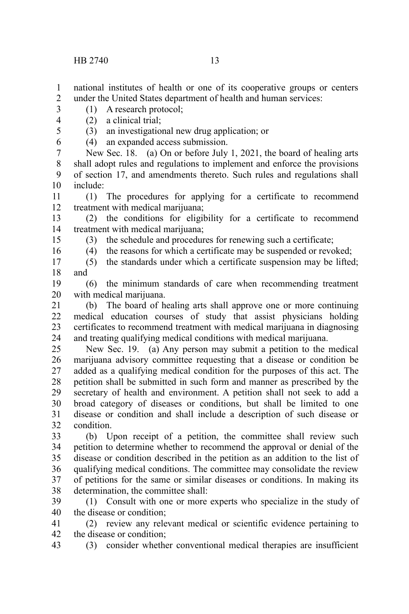national institutes of health or one of its cooperative groups or centers under the United States department of health and human services: 1 2

- (1) A research protocol; 3
- (2) a clinical trial; 4 5
	- (3) an investigational new drug application; or
	- (4) an expanded access submission.

New Sec. 18. (a) On or before July 1, 2021, the board of healing arts shall adopt rules and regulations to implement and enforce the provisions of section 17, and amendments thereto. Such rules and regulations shall include: 7 8 9 10

(1) The procedures for applying for a certificate to recommend treatment with medical marijuana; 11 12

(2) the conditions for eligibility for a certificate to recommend treatment with medical marijuana; 13 14

- (3) the schedule and procedures for renewing such a certificate;
- 15 16

(4) the reasons for which a certificate may be suspended or revoked;

(5) the standards under which a certificate suspension may be lifted; and 17 18

(6) the minimum standards of care when recommending treatment with medical marijuana. 19 20

(b) The board of healing arts shall approve one or more continuing medical education courses of study that assist physicians holding certificates to recommend treatment with medical marijuana in diagnosing and treating qualifying medical conditions with medical marijuana. 21 22 23 24

New Sec. 19. (a) Any person may submit a petition to the medical marijuana advisory committee requesting that a disease or condition be added as a qualifying medical condition for the purposes of this act. The petition shall be submitted in such form and manner as prescribed by the secretary of health and environment. A petition shall not seek to add a broad category of diseases or conditions, but shall be limited to one disease or condition and shall include a description of such disease or condition. 25 26 27 28 29 30 31 32

(b) Upon receipt of a petition, the committee shall review such petition to determine whether to recommend the approval or denial of the disease or condition described in the petition as an addition to the list of qualifying medical conditions. The committee may consolidate the review of petitions for the same or similar diseases or conditions. In making its determination, the committee shall: 33 34 35 36 37 38

(1) Consult with one or more experts who specialize in the study of the disease or condition; 39 40

(2) review any relevant medical or scientific evidence pertaining to the disease or condition; 41 42

(3) consider whether conventional medical therapies are insufficient 43

6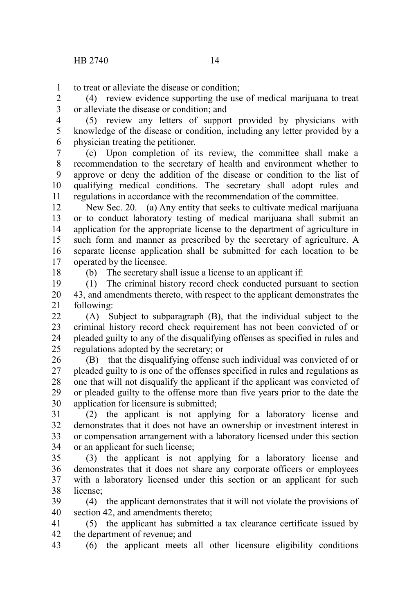to treat or alleviate the disease or condition; 1

(4) review evidence supporting the use of medical marijuana to treat or alleviate the disease or condition; and 2 3

(5) review any letters of support provided by physicians with knowledge of the disease or condition, including any letter provided by a physician treating the petitioner. 4 5 6

(c) Upon completion of its review, the committee shall make a recommendation to the secretary of health and environment whether to approve or deny the addition of the disease or condition to the list of qualifying medical conditions. The secretary shall adopt rules and regulations in accordance with the recommendation of the committee. 7 8 9 10 11

New Sec. 20. (a) Any entity that seeks to cultivate medical marijuana or to conduct laboratory testing of medical marijuana shall submit an application for the appropriate license to the department of agriculture in such form and manner as prescribed by the secretary of agriculture. A separate license application shall be submitted for each location to be operated by the licensee. 12 13 14 15 16 17

18

(b) The secretary shall issue a license to an applicant if:

(1) The criminal history record check conducted pursuant to section 43, and amendments thereto, with respect to the applicant demonstrates the following: 19 20 21

(A) Subject to subparagraph (B), that the individual subject to the criminal history record check requirement has not been convicted of or pleaded guilty to any of the disqualifying offenses as specified in rules and regulations adopted by the secretary; or  $22$ 23 24 25

(B) that the disqualifying offense such individual was convicted of or pleaded guilty to is one of the offenses specified in rules and regulations as one that will not disqualify the applicant if the applicant was convicted of or pleaded guilty to the offense more than five years prior to the date the application for licensure is submitted; 26 27 28 29 30

(2) the applicant is not applying for a laboratory license and demonstrates that it does not have an ownership or investment interest in or compensation arrangement with a laboratory licensed under this section or an applicant for such license; 31 32 33 34

(3) the applicant is not applying for a laboratory license and demonstrates that it does not share any corporate officers or employees with a laboratory licensed under this section or an applicant for such license; 35 36 37 38

(4) the applicant demonstrates that it will not violate the provisions of section 42, and amendments thereto: 39 40

(5) the applicant has submitted a tax clearance certificate issued by the department of revenue; and 41 42

(6) the applicant meets all other licensure eligibility conditions 43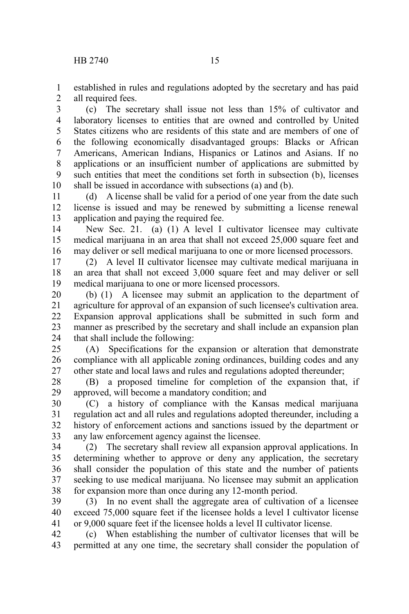established in rules and regulations adopted by the secretary and has paid all required fees. 1 2

(c) The secretary shall issue not less than 15% of cultivator and laboratory licenses to entities that are owned and controlled by United States citizens who are residents of this state and are members of one of the following economically disadvantaged groups: Blacks or African Americans, American Indians, Hispanics or Latinos and Asians. If no applications or an insufficient number of applications are submitted by such entities that meet the conditions set forth in subsection (b), licenses shall be issued in accordance with subsections (a) and (b). 3 4 5 6 7 8 9 10

(d) A license shall be valid for a period of one year from the date such license is issued and may be renewed by submitting a license renewal application and paying the required fee. 11 12 13

New Sec. 21. (a) (1) A level I cultivator licensee may cultivate medical marijuana in an area that shall not exceed 25,000 square feet and may deliver or sell medical marijuana to one or more licensed processors. 14 15 16

(2) A level II cultivator licensee may cultivate medical marijuana in an area that shall not exceed 3,000 square feet and may deliver or sell medical marijuana to one or more licensed processors. 17 18 19

(b) (1) A licensee may submit an application to the department of agriculture for approval of an expansion of such licensee's cultivation area. Expansion approval applications shall be submitted in such form and manner as prescribed by the secretary and shall include an expansion plan that shall include the following: 20 21 22 23 24

(A) Specifications for the expansion or alteration that demonstrate compliance with all applicable zoning ordinances, building codes and any other state and local laws and rules and regulations adopted thereunder; 25 26 27

(B) a proposed timeline for completion of the expansion that, if approved, will become a mandatory condition; and 28 29

(C) a history of compliance with the Kansas medical marijuana regulation act and all rules and regulations adopted thereunder, including a history of enforcement actions and sanctions issued by the department or any law enforcement agency against the licensee. 30 31 32 33

(2) The secretary shall review all expansion approval applications. In determining whether to approve or deny any application, the secretary shall consider the population of this state and the number of patients seeking to use medical marijuana. No licensee may submit an application for expansion more than once during any 12-month period. 34 35 36 37 38

(3) In no event shall the aggregate area of cultivation of a licensee exceed 75,000 square feet if the licensee holds a level I cultivator license or 9,000 square feet if the licensee holds a level II cultivator license. 39 40 41

(c) When establishing the number of cultivator licenses that will be permitted at any one time, the secretary shall consider the population of 42 43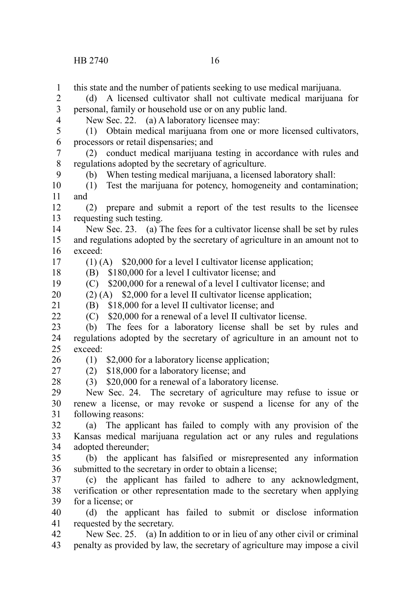this state and the number of patients seeking to use medical marijuana. (d) A licensed cultivator shall not cultivate medical marijuana for personal, family or household use or on any public land. New Sec. 22. (a) A laboratory licensee may: (1) Obtain medical marijuana from one or more licensed cultivators, processors or retail dispensaries; and (2) conduct medical marijuana testing in accordance with rules and regulations adopted by the secretary of agriculture. (b) When testing medical marijuana, a licensed laboratory shall: (1) Test the marijuana for potency, homogeneity and contamination; and (2) prepare and submit a report of the test results to the licensee requesting such testing. New Sec. 23. (a) The fees for a cultivator license shall be set by rules and regulations adopted by the secretary of agriculture in an amount not to exceed: (1) (A) \$20,000 for a level I cultivator license application; (B) \$180,000 for a level I cultivator license; and (C) \$200,000 for a renewal of a level I cultivator license; and (2) (A) \$2,000 for a level II cultivator license application; (B) \$18,000 for a level II cultivator license; and (C) \$20,000 for a renewal of a level II cultivator license. (b) The fees for a laboratory license shall be set by rules and regulations adopted by the secretary of agriculture in an amount not to exceed: (1) \$2,000 for a laboratory license application; (2) \$18,000 for a laboratory license; and (3) \$20,000 for a renewal of a laboratory license. New Sec. 24. The secretary of agriculture may refuse to issue or renew a license, or may revoke or suspend a license for any of the following reasons: (a) The applicant has failed to comply with any provision of the Kansas medical marijuana regulation act or any rules and regulations adopted thereunder; (b) the applicant has falsified or misrepresented any information submitted to the secretary in order to obtain a license; (c) the applicant has failed to adhere to any acknowledgment, verification or other representation made to the secretary when applying for a license; or (d) the applicant has failed to submit or disclose information requested by the secretary. New Sec. 25. (a) In addition to or in lieu of any other civil or criminal penalty as provided by law, the secretary of agriculture may impose a civil 1 2 3 4 5 6 7 8 9 10 11 12 13 14 15 16 17 18 19 20 21  $22$ 23 24 25 26 27 28 29 30 31 32 33 34 35 36 37 38 39 40 41 42 43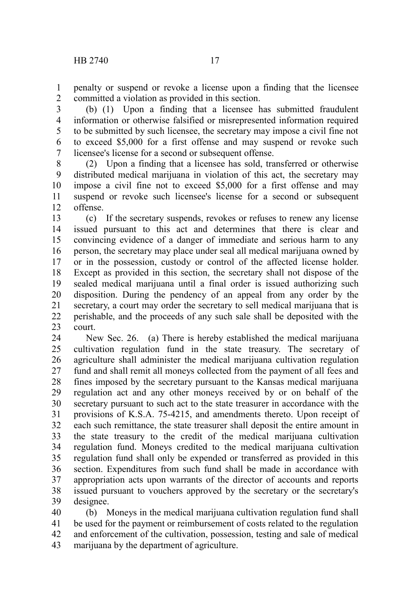penalty or suspend or revoke a license upon a finding that the licensee committed a violation as provided in this section. 1 2

(b) (1) Upon a finding that a licensee has submitted fraudulent information or otherwise falsified or misrepresented information required to be submitted by such licensee, the secretary may impose a civil fine not to exceed \$5,000 for a first offense and may suspend or revoke such licensee's license for a second or subsequent offense. 3 4 5 6 7

(2) Upon a finding that a licensee has sold, transferred or otherwise distributed medical marijuana in violation of this act, the secretary may impose a civil fine not to exceed \$5,000 for a first offense and may suspend or revoke such licensee's license for a second or subsequent offense. 8 9 10 11 12

(c) If the secretary suspends, revokes or refuses to renew any license issued pursuant to this act and determines that there is clear and convincing evidence of a danger of immediate and serious harm to any person, the secretary may place under seal all medical marijuana owned by or in the possession, custody or control of the affected license holder. Except as provided in this section, the secretary shall not dispose of the sealed medical marijuana until a final order is issued authorizing such disposition. During the pendency of an appeal from any order by the secretary, a court may order the secretary to sell medical marijuana that is perishable, and the proceeds of any such sale shall be deposited with the court. 13 14 15 16 17 18 19 20 21 22 23

New Sec. 26. (a) There is hereby established the medical marijuana cultivation regulation fund in the state treasury. The secretary of agriculture shall administer the medical marijuana cultivation regulation fund and shall remit all moneys collected from the payment of all fees and fines imposed by the secretary pursuant to the Kansas medical marijuana regulation act and any other moneys received by or on behalf of the secretary pursuant to such act to the state treasurer in accordance with the provisions of K.S.A. 75-4215, and amendments thereto. Upon receipt of each such remittance, the state treasurer shall deposit the entire amount in the state treasury to the credit of the medical marijuana cultivation regulation fund. Moneys credited to the medical marijuana cultivation regulation fund shall only be expended or transferred as provided in this section. Expenditures from such fund shall be made in accordance with appropriation acts upon warrants of the director of accounts and reports issued pursuant to vouchers approved by the secretary or the secretary's designee. 24 25 26 27 28 29 30 31 32 33 34 35 36 37 38 39

(b) Moneys in the medical marijuana cultivation regulation fund shall be used for the payment or reimbursement of costs related to the regulation and enforcement of the cultivation, possession, testing and sale of medical marijuana by the department of agriculture. 40 41 42 43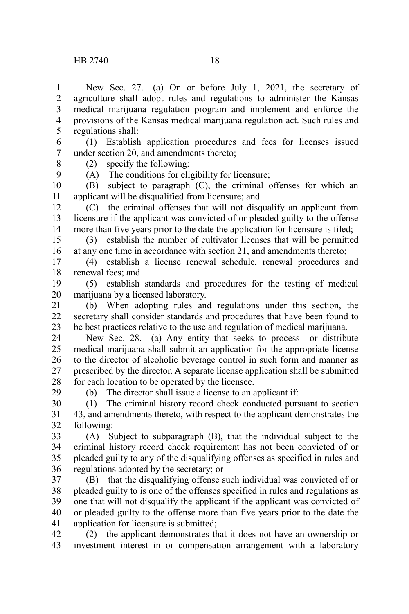New Sec. 27. (a) On or before July 1, 2021, the secretary of agriculture shall adopt rules and regulations to administer the Kansas medical marijuana regulation program and implement and enforce the provisions of the Kansas medical marijuana regulation act. Such rules and regulations shall: 1 2 3 4 5

(1) Establish application procedures and fees for licenses issued under section 20, and amendments thereto; 6 7

8 9

29

(A) The conditions for eligibility for licensure;

(2) specify the following:

(B) subject to paragraph (C), the criminal offenses for which an applicant will be disqualified from licensure; and 10 11

(C) the criminal offenses that will not disqualify an applicant from licensure if the applicant was convicted of or pleaded guilty to the offense more than five years prior to the date the application for licensure is filed; 12 13 14

(3) establish the number of cultivator licenses that will be permitted at any one time in accordance with section 21, and amendments thereto; 15 16

(4) establish a license renewal schedule, renewal procedures and renewal fees; and 17 18

(5) establish standards and procedures for the testing of medical marijuana by a licensed laboratory. 19 20

(b) When adopting rules and regulations under this section, the secretary shall consider standards and procedures that have been found to be best practices relative to the use and regulation of medical marijuana. 21  $22$ 23

New Sec. 28. (a) Any entity that seeks to process or distribute medical marijuana shall submit an application for the appropriate license to the director of alcoholic beverage control in such form and manner as prescribed by the director. A separate license application shall be submitted for each location to be operated by the licensee. 24 25 26 27 28

(b) The director shall issue a license to an applicant if:

(1) The criminal history record check conducted pursuant to section 43, and amendments thereto, with respect to the applicant demonstrates the following: 30 31 32

(A) Subject to subparagraph (B), that the individual subject to the criminal history record check requirement has not been convicted of or pleaded guilty to any of the disqualifying offenses as specified in rules and regulations adopted by the secretary; or 33 34 35 36

(B) that the disqualifying offense such individual was convicted of or pleaded guilty to is one of the offenses specified in rules and regulations as one that will not disqualify the applicant if the applicant was convicted of or pleaded guilty to the offense more than five years prior to the date the application for licensure is submitted; 37 38 39 40 41

(2) the applicant demonstrates that it does not have an ownership or investment interest in or compensation arrangement with a laboratory 42 43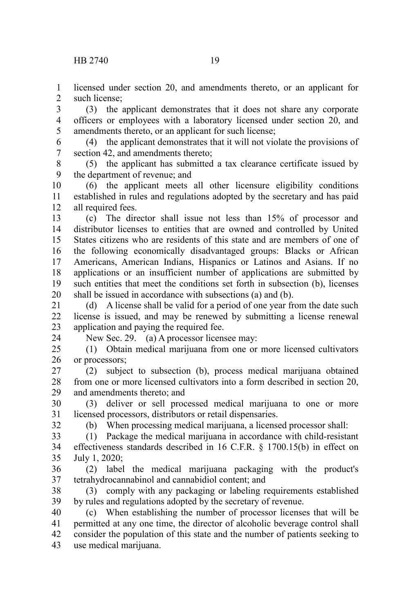licensed under section 20, and amendments thereto, or an applicant for such license; 1  $\mathcal{L}$ 

(3) the applicant demonstrates that it does not share any corporate officers or employees with a laboratory licensed under section 20, and amendments thereto, or an applicant for such license; 3 4 5

(4) the applicant demonstrates that it will not violate the provisions of section 42, and amendments thereto; 6 7

(5) the applicant has submitted a tax clearance certificate issued by the department of revenue; and 8 9

(6) the applicant meets all other licensure eligibility conditions established in rules and regulations adopted by the secretary and has paid all required fees. 10 11 12

(c) The director shall issue not less than 15% of processor and distributor licenses to entities that are owned and controlled by United States citizens who are residents of this state and are members of one of the following economically disadvantaged groups: Blacks or African Americans, American Indians, Hispanics or Latinos and Asians. If no applications or an insufficient number of applications are submitted by such entities that meet the conditions set forth in subsection (b), licenses shall be issued in accordance with subsections (a) and (b). 13 14 15 16 17 18 19 20

(d) A license shall be valid for a period of one year from the date such license is issued, and may be renewed by submitting a license renewal application and paying the required fee. 21 22 23 24

New Sec. 29. (a) A processor licensee may:

(1) Obtain medical marijuana from one or more licensed cultivators or processors;  $25$ 26

(2) subject to subsection (b), process medical marijuana obtained from one or more licensed cultivators into a form described in section 20, and amendments thereto; and 27 28 29

(3) deliver or sell processed medical marijuana to one or more licensed processors, distributors or retail dispensaries. 30 31 32

(b) When processing medical marijuana, a licensed processor shall:

(1) Package the medical marijuana in accordance with child-resistant effectiveness standards described in 16 C.F.R. § 1700.15(b) in effect on July 1, 2020; 33 34 35

(2) label the medical marijuana packaging with the product's tetrahydrocannabinol and cannabidiol content; and 36 37

(3) comply with any packaging or labeling requirements established by rules and regulations adopted by the secretary of revenue. 38 39

(c) When establishing the number of processor licenses that will be permitted at any one time, the director of alcoholic beverage control shall consider the population of this state and the number of patients seeking to use medical marijuana. 40 41 42 43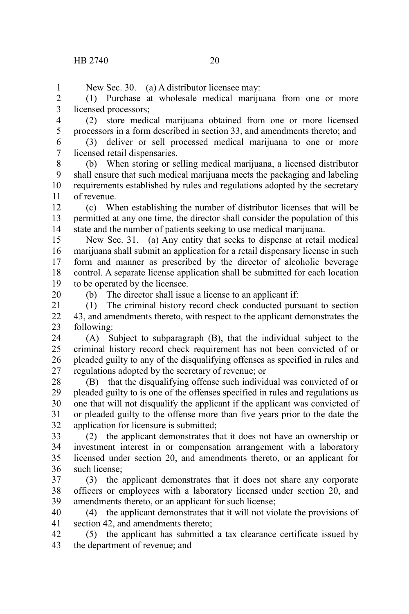New Sec. 30. (a) A distributor licensee may: (1) Purchase at wholesale medical marijuana from one or more licensed processors; (2) store medical marijuana obtained from one or more licensed processors in a form described in section 33, and amendments thereto; and (3) deliver or sell processed medical marijuana to one or more licensed retail dispensaries. (b) When storing or selling medical marijuana, a licensed distributor shall ensure that such medical marijuana meets the packaging and labeling requirements established by rules and regulations adopted by the secretary of revenue. (c) When establishing the number of distributor licenses that will be permitted at any one time, the director shall consider the population of this state and the number of patients seeking to use medical marijuana. New Sec. 31. (a) Any entity that seeks to dispense at retail medical marijuana shall submit an application for a retail dispensary license in such form and manner as prescribed by the director of alcoholic beverage control. A separate license application shall be submitted for each location to be operated by the licensee. (b) The director shall issue a license to an applicant if: (1) The criminal history record check conducted pursuant to section 43, and amendments thereto, with respect to the applicant demonstrates the following: (A) Subject to subparagraph (B), that the individual subject to the criminal history record check requirement has not been convicted of or pleaded guilty to any of the disqualifying offenses as specified in rules and regulations adopted by the secretary of revenue; or (B) that the disqualifying offense such individual was convicted of or pleaded guilty to is one of the offenses specified in rules and regulations as one that will not disqualify the applicant if the applicant was convicted of or pleaded guilty to the offense more than five years prior to the date the application for licensure is submitted; (2) the applicant demonstrates that it does not have an ownership or investment interest in or compensation arrangement with a laboratory licensed under section 20, and amendments thereto, or an applicant for such license; (3) the applicant demonstrates that it does not share any corporate officers or employees with a laboratory licensed under section 20, and amendments thereto, or an applicant for such license; (4) the applicant demonstrates that it will not violate the provisions of section 42, and amendments thereto; (5) the applicant has submitted a tax clearance certificate issued by the department of revenue; and 1 2 3 4 5 6 7 8 9 10 11 12 13 14 15 16 17 18 19 20 21 22 23 24 25 26 27 28 29 30 31 32 33 34 35 36 37 38 39 40 41 42 43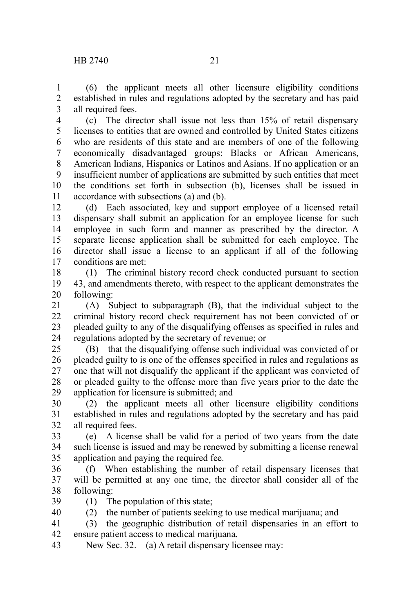(6) the applicant meets all other licensure eligibility conditions established in rules and regulations adopted by the secretary and has paid all required fees. 1 2 3

(c) The director shall issue not less than 15% of retail dispensary licenses to entities that are owned and controlled by United States citizens who are residents of this state and are members of one of the following economically disadvantaged groups: Blacks or African Americans, American Indians, Hispanics or Latinos and Asians. If no application or an insufficient number of applications are submitted by such entities that meet the conditions set forth in subsection (b), licenses shall be issued in accordance with subsections (a) and (b). 4 5 6 7 8 9 10 11

(d) Each associated, key and support employee of a licensed retail dispensary shall submit an application for an employee license for such employee in such form and manner as prescribed by the director. A separate license application shall be submitted for each employee. The director shall issue a license to an applicant if all of the following conditions are met: 12 13 14 15 16 17

(1) The criminal history record check conducted pursuant to section 43, and amendments thereto, with respect to the applicant demonstrates the following: 18 19 20

(A) Subject to subparagraph (B), that the individual subject to the criminal history record check requirement has not been convicted of or pleaded guilty to any of the disqualifying offenses as specified in rules and regulations adopted by the secretary of revenue; or 21 22 23 24

(B) that the disqualifying offense such individual was convicted of or pleaded guilty to is one of the offenses specified in rules and regulations as one that will not disqualify the applicant if the applicant was convicted of or pleaded guilty to the offense more than five years prior to the date the application for licensure is submitted; and 25 26 27 28 29

(2) the applicant meets all other licensure eligibility conditions established in rules and regulations adopted by the secretary and has paid all required fees. 30 31 32

(e) A license shall be valid for a period of two years from the date such license is issued and may be renewed by submitting a license renewal application and paying the required fee. 33 34 35

(f) When establishing the number of retail dispensary licenses that will be permitted at any one time, the director shall consider all of the following: 36 37 38

(1) The population of this state; 39

40

(2) the number of patients seeking to use medical marijuana; and

(3) the geographic distribution of retail dispensaries in an effort to ensure patient access to medical marijuana. 41 42

New Sec. 32. (a) A retail dispensary licensee may: 43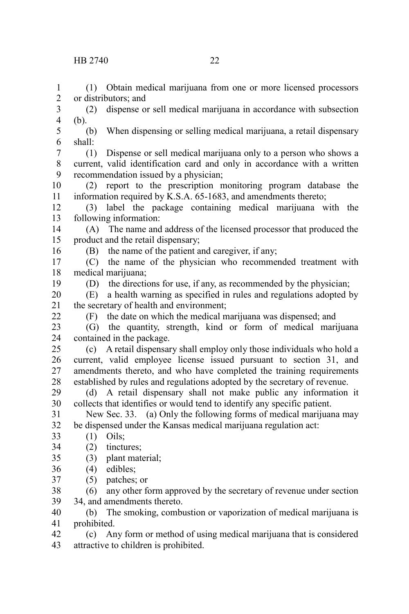or distributors; and

(1) Obtain medical marijuana from one or more licensed processors

(2) dispense or sell medical marijuana in accordance with subsection (b). (b) When dispensing or selling medical marijuana, a retail dispensary shall: (1) Dispense or sell medical marijuana only to a person who shows a current, valid identification card and only in accordance with a written recommendation issued by a physician; (2) report to the prescription monitoring program database the information required by K.S.A. 65-1683, and amendments thereto; 3 4 5 6 7 8 9 10 11

(3) label the package containing medical marijuana with the following information: 12 13

(A) The name and address of the licensed processor that produced the product and the retail dispensary; 14 15

16

1 2

(B) the name of the patient and caregiver, if any;

(C) the name of the physician who recommended treatment with medical marijuana: 17 18

19

(D) the directions for use, if any, as recommended by the physician;

(E) a health warning as specified in rules and regulations adopted by the secretary of health and environment; 20 21 22

(F) the date on which the medical marijuana was dispensed; and

(G) the quantity, strength, kind or form of medical marijuana contained in the package. 23 24

(c) A retail dispensary shall employ only those individuals who hold a current, valid employee license issued pursuant to section 31, and amendments thereto, and who have completed the training requirements established by rules and regulations adopted by the secretary of revenue. 25 26 27 28

(d) A retail dispensary shall not make public any information it collects that identifies or would tend to identify any specific patient. 29 30

New Sec. 33. (a) Only the following forms of medical marijuana may be dispensed under the Kansas medical marijuana regulation act: 31 32

(1) Oils; 33

(2) tinctures; 34

(3) plant material; 35

- (4) edibles; 36
- (5) patches; or 37

(6) any other form approved by the secretary of revenue under section 34, and amendments thereto. 38 39

(b) The smoking, combustion or vaporization of medical marijuana is prohibited. 40 41

(c) Any form or method of using medical marijuana that is considered attractive to children is prohibited. 42 43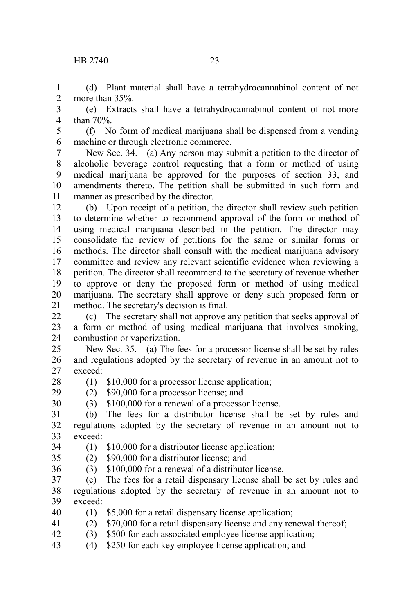## HB 2740 23

(d) Plant material shall have a tetrahydrocannabinol content of not more than 35%. 1  $\mathcal{L}$ 

(e) Extracts shall have a tetrahydrocannabinol content of not more than 70%. 3 4

(f) No form of medical marijuana shall be dispensed from a vending machine or through electronic commerce. 5 6

New Sec. 34. (a) Any person may submit a petition to the director of alcoholic beverage control requesting that a form or method of using medical marijuana be approved for the purposes of section 33, and amendments thereto. The petition shall be submitted in such form and manner as prescribed by the director. 7 8 9 10 11

(b) Upon receipt of a petition, the director shall review such petition to determine whether to recommend approval of the form or method of using medical marijuana described in the petition. The director may consolidate the review of petitions for the same or similar forms or methods. The director shall consult with the medical marijuana advisory committee and review any relevant scientific evidence when reviewing a petition. The director shall recommend to the secretary of revenue whether to approve or deny the proposed form or method of using medical marijuana. The secretary shall approve or deny such proposed form or method. The secretary's decision is final. 12 13 14 15 16 17 18 19 20 21

(c) The secretary shall not approve any petition that seeks approval of a form or method of using medical marijuana that involves smoking, combustion or vaporization.  $22$ 23 24

New Sec. 35. (a) The fees for a processor license shall be set by rules and regulations adopted by the secretary of revenue in an amount not to exceed: 25 26 27

(1) \$10,000 for a processor license application; 28

(2) \$90,000 for a processor license; and 29

- (3) \$100,000 for a renewal of a processor license. 30
- (b) The fees for a distributor license shall be set by rules and regulations adopted by the secretary of revenue in an amount not to exceed: 31 32 33
- (1) \$10,000 for a distributor license application; 34
- (2) \$90,000 for a distributor license; and 35
- (3) \$100,000 for a renewal of a distributor license. 36
- (c) The fees for a retail dispensary license shall be set by rules and regulations adopted by the secretary of revenue in an amount not to exceed: 37 38 39
- (1) \$5,000 for a retail dispensary license application; 40
- (2) \$70,000 for a retail dispensary license and any renewal thereof; 41
- (3) \$500 for each associated employee license application; 42
- (4) \$250 for each key employee license application; and 43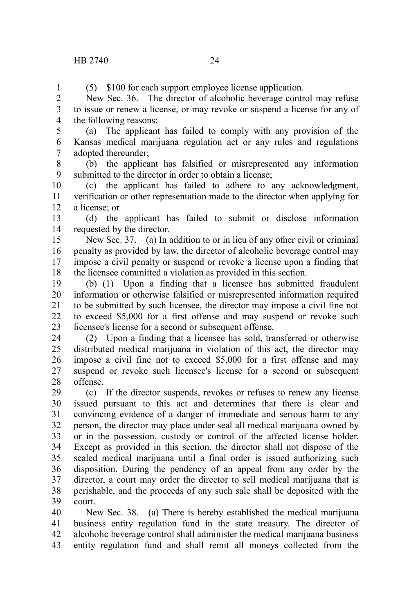1

(5) \$100 for each support employee license application.

New Sec. 36. The director of alcoholic beverage control may refuse to issue or renew a license, or may revoke or suspend a license for any of the following reasons:  $\mathcal{L}$ 3 4

(a) The applicant has failed to comply with any provision of the Kansas medical marijuana regulation act or any rules and regulations adopted thereunder; 5 6 7

(b) the applicant has falsified or misrepresented any information submitted to the director in order to obtain a license; 8 9

(c) the applicant has failed to adhere to any acknowledgment, verification or other representation made to the director when applying for a license; or 10 11 12

(d) the applicant has failed to submit or disclose information requested by the director. 13 14

New Sec. 37. (a) In addition to or in lieu of any other civil or criminal penalty as provided by law, the director of alcoholic beverage control may impose a civil penalty or suspend or revoke a license upon a finding that the licensee committed a violation as provided in this section. 15 16 17 18

(b) (1) Upon a finding that a licensee has submitted fraudulent information or otherwise falsified or misrepresented information required to be submitted by such licensee, the director may impose a civil fine not to exceed \$5,000 for a first offense and may suspend or revoke such licensee's license for a second or subsequent offense. 19 20 21 22 23

(2) Upon a finding that a licensee has sold, transferred or otherwise distributed medical marijuana in violation of this act, the director may impose a civil fine not to exceed \$5,000 for a first offense and may suspend or revoke such licensee's license for a second or subsequent offense. 24 25 26 27 28

(c) If the director suspends, revokes or refuses to renew any license issued pursuant to this act and determines that there is clear and convincing evidence of a danger of immediate and serious harm to any person, the director may place under seal all medical marijuana owned by or in the possession, custody or control of the affected license holder. Except as provided in this section, the director shall not dispose of the sealed medical marijuana until a final order is issued authorizing such disposition. During the pendency of an appeal from any order by the director, a court may order the director to sell medical marijuana that is perishable, and the proceeds of any such sale shall be deposited with the court. 29 30 31 32 33 34 35 36 37 38 39

New Sec. 38. (a) There is hereby established the medical marijuana business entity regulation fund in the state treasury. The director of alcoholic beverage control shall administer the medical marijuana business entity regulation fund and shall remit all moneys collected from the 40 41 42 43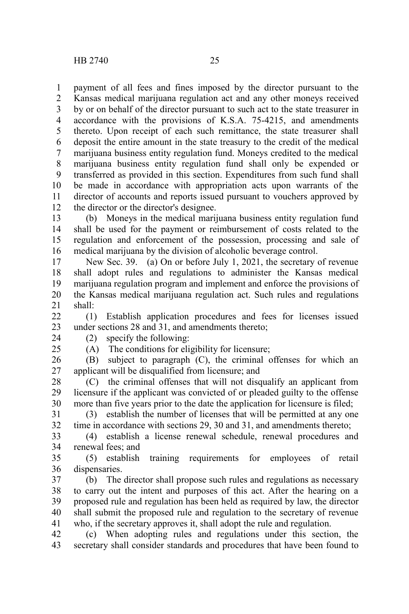payment of all fees and fines imposed by the director pursuant to the Kansas medical marijuana regulation act and any other moneys received by or on behalf of the director pursuant to such act to the state treasurer in accordance with the provisions of K.S.A. 75-4215, and amendments thereto. Upon receipt of each such remittance, the state treasurer shall deposit the entire amount in the state treasury to the credit of the medical marijuana business entity regulation fund. Moneys credited to the medical marijuana business entity regulation fund shall only be expended or transferred as provided in this section. Expenditures from such fund shall be made in accordance with appropriation acts upon warrants of the director of accounts and reports issued pursuant to vouchers approved by the director or the director's designee. 1 2 3 4 5 6 7 8 9 10 11 12

(b) Moneys in the medical marijuana business entity regulation fund shall be used for the payment or reimbursement of costs related to the regulation and enforcement of the possession, processing and sale of medical marijuana by the division of alcoholic beverage control. 13 14 15 16

New Sec. 39. (a) On or before July 1, 2021, the secretary of revenue shall adopt rules and regulations to administer the Kansas medical marijuana regulation program and implement and enforce the provisions of the Kansas medical marijuana regulation act. Such rules and regulations shall: 17 18 19 20 21

(1) Establish application procedures and fees for licenses issued under sections 28 and 31, and amendments thereto;  $22$ 23

24 25 (2) specify the following:

(A) The conditions for eligibility for licensure;

(B) subject to paragraph (C), the criminal offenses for which an applicant will be disqualified from licensure; and 26 27

(C) the criminal offenses that will not disqualify an applicant from licensure if the applicant was convicted of or pleaded guilty to the offense more than five years prior to the date the application for licensure is filed; 28 29 30

(3) establish the number of licenses that will be permitted at any one time in accordance with sections 29, 30 and 31, and amendments thereto; 31 32

(4) establish a license renewal schedule, renewal procedures and renewal fees; and 33 34

(5) establish training requirements for employees of retail dispensaries. 35 36

(b) The director shall propose such rules and regulations as necessary to carry out the intent and purposes of this act. After the hearing on a proposed rule and regulation has been held as required by law, the director shall submit the proposed rule and regulation to the secretary of revenue who, if the secretary approves it, shall adopt the rule and regulation. 37 38 39 40 41

(c) When adopting rules and regulations under this section, the secretary shall consider standards and procedures that have been found to 42 43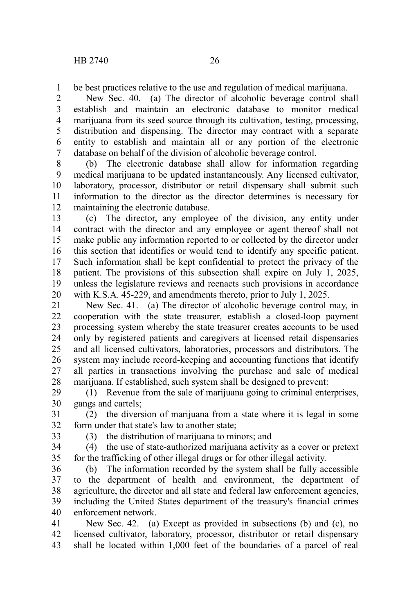be best practices relative to the use and regulation of medical marijuana. 1

New Sec. 40. (a) The director of alcoholic beverage control shall establish and maintain an electronic database to monitor medical marijuana from its seed source through its cultivation, testing, processing, distribution and dispensing. The director may contract with a separate entity to establish and maintain all or any portion of the electronic database on behalf of the division of alcoholic beverage control. 2 3 4 5 6 7

(b) The electronic database shall allow for information regarding medical marijuana to be updated instantaneously. Any licensed cultivator, laboratory, processor, distributor or retail dispensary shall submit such information to the director as the director determines is necessary for maintaining the electronic database. 8 9 10 11 12

(c) The director, any employee of the division, any entity under contract with the director and any employee or agent thereof shall not make public any information reported to or collected by the director under this section that identifies or would tend to identify any specific patient. Such information shall be kept confidential to protect the privacy of the patient. The provisions of this subsection shall expire on July 1, 2025, unless the legislature reviews and reenacts such provisions in accordance with K.S.A. 45-229, and amendments thereto, prior to July 1, 2025. 13 14 15 16 17 18 19 20

New Sec. 41. (a) The director of alcoholic beverage control may, in cooperation with the state treasurer, establish a closed-loop payment processing system whereby the state treasurer creates accounts to be used only by registered patients and caregivers at licensed retail dispensaries and all licensed cultivators, laboratories, processors and distributors. The system may include record-keeping and accounting functions that identify all parties in transactions involving the purchase and sale of medical marijuana. If established, such system shall be designed to prevent: 21 22 23 24 25 26 27 28

(1) Revenue from the sale of marijuana going to criminal enterprises, gangs and cartels; 29 30

(2) the diversion of marijuana from a state where it is legal in some form under that state's law to another state; 31 32

33

(3) the distribution of marijuana to minors; and

(4) the use of state-authorized marijuana activity as a cover or pretext for the trafficking of other illegal drugs or for other illegal activity. 34 35

(b) The information recorded by the system shall be fully accessible to the department of health and environment, the department of agriculture, the director and all state and federal law enforcement agencies, including the United States department of the treasury's financial crimes enforcement network. 36 37 38 39 40

New Sec. 42. (a) Except as provided in subsections (b) and (c), no licensed cultivator, laboratory, processor, distributor or retail dispensary shall be located within 1,000 feet of the boundaries of a parcel of real 41 42 43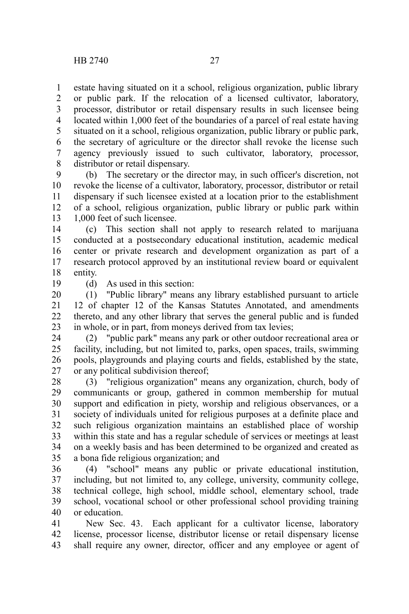estate having situated on it a school, religious organization, public library or public park. If the relocation of a licensed cultivator, laboratory, processor, distributor or retail dispensary results in such licensee being located within 1,000 feet of the boundaries of a parcel of real estate having situated on it a school, religious organization, public library or public park, the secretary of agriculture or the director shall revoke the license such agency previously issued to such cultivator, laboratory, processor, distributor or retail dispensary. 1 2 3 4 5 6 7 8

(b) The secretary or the director may, in such officer's discretion, not revoke the license of a cultivator, laboratory, processor, distributor or retail dispensary if such licensee existed at a location prior to the establishment of a school, religious organization, public library or public park within 1,000 feet of such licensee. 9 10 11 12 13

(c) This section shall not apply to research related to marijuana conducted at a postsecondary educational institution, academic medical center or private research and development organization as part of a research protocol approved by an institutional review board or equivalent entity. 14 15 16 17 18

19

(d) As used in this section:

(1) "Public library" means any library established pursuant to article 12 of chapter 12 of the Kansas Statutes Annotated, and amendments thereto, and any other library that serves the general public and is funded in whole, or in part, from moneys derived from tax levies; 20 21 22 23

(2) "public park" means any park or other outdoor recreational area or facility, including, but not limited to, parks, open spaces, trails, swimming pools, playgrounds and playing courts and fields, established by the state, or any political subdivision thereof; 24 25 26 27

(3) "religious organization" means any organization, church, body of communicants or group, gathered in common membership for mutual support and edification in piety, worship and religious observances, or a society of individuals united for religious purposes at a definite place and such religious organization maintains an established place of worship within this state and has a regular schedule of services or meetings at least on a weekly basis and has been determined to be organized and created as a bona fide religious organization; and 28 29 30 31 32 33 34 35

(4) "school" means any public or private educational institution, including, but not limited to, any college, university, community college, technical college, high school, middle school, elementary school, trade school, vocational school or other professional school providing training or education. 36 37 38 39 40

New Sec. 43. Each applicant for a cultivator license, laboratory license, processor license, distributor license or retail dispensary license shall require any owner, director, officer and any employee or agent of 41 42 43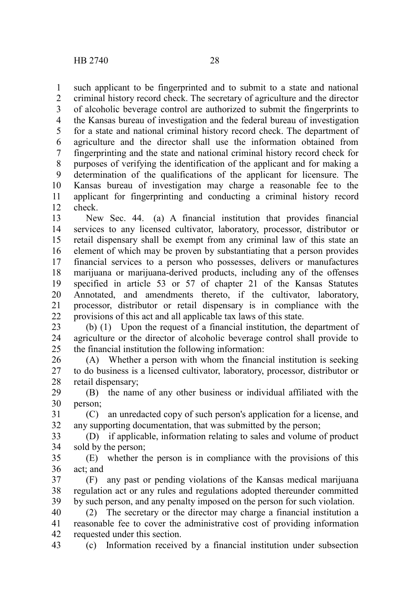such applicant to be fingerprinted and to submit to a state and national criminal history record check. The secretary of agriculture and the director of alcoholic beverage control are authorized to submit the fingerprints to the Kansas bureau of investigation and the federal bureau of investigation for a state and national criminal history record check. The department of agriculture and the director shall use the information obtained from fingerprinting and the state and national criminal history record check for purposes of verifying the identification of the applicant and for making a determination of the qualifications of the applicant for licensure. The Kansas bureau of investigation may charge a reasonable fee to the applicant for fingerprinting and conducting a criminal history record check. 1 2 3 4 5 6 7 8 9 10 11 12

New Sec. 44. (a) A financial institution that provides financial services to any licensed cultivator, laboratory, processor, distributor or retail dispensary shall be exempt from any criminal law of this state an element of which may be proven by substantiating that a person provides financial services to a person who possesses, delivers or manufactures marijuana or marijuana-derived products, including any of the offenses specified in article 53 or 57 of chapter 21 of the Kansas Statutes Annotated, and amendments thereto, if the cultivator, laboratory, processor, distributor or retail dispensary is in compliance with the provisions of this act and all applicable tax laws of this state. 13 14 15 16 17 18 19 20 21 22

(b) (1) Upon the request of a financial institution, the department of agriculture or the director of alcoholic beverage control shall provide to the financial institution the following information: 23 24 25

(A) Whether a person with whom the financial institution is seeking to do business is a licensed cultivator, laboratory, processor, distributor or retail dispensary; 26 27 28

(B) the name of any other business or individual affiliated with the person; 29 30

(C) an unredacted copy of such person's application for a license, and any supporting documentation, that was submitted by the person; 31 32

(D) if applicable, information relating to sales and volume of product sold by the person; 33 34

(E) whether the person is in compliance with the provisions of this act; and 35 36

(F) any past or pending violations of the Kansas medical marijuana regulation act or any rules and regulations adopted thereunder committed by such person, and any penalty imposed on the person for such violation. 37 38 39

(2) The secretary or the director may charge a financial institution a reasonable fee to cover the administrative cost of providing information requested under this section. 40 41 42

(c) Information received by a financial institution under subsection 43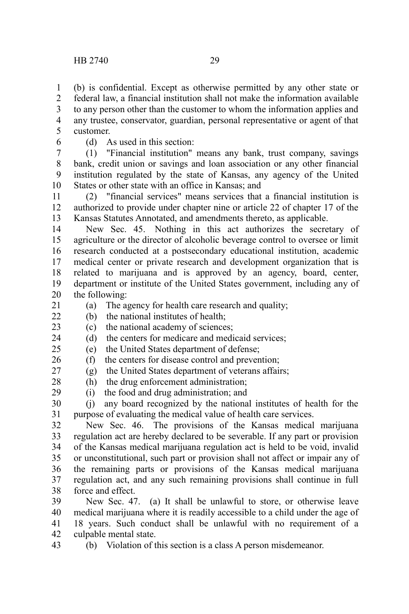(b) is confidential. Except as otherwise permitted by any other state or federal law, a financial institution shall not make the information available to any person other than the customer to whom the information applies and any trustee, conservator, guardian, personal representative or agent of that customer. 1 2 3 4 5

6

(d) As used in this section:

(1) "Financial institution" means any bank, trust company, savings bank, credit union or savings and loan association or any other financial institution regulated by the state of Kansas, any agency of the United States or other state with an office in Kansas; and 7 8 9 10

(2) "financial services" means services that a financial institution is authorized to provide under chapter nine or article 22 of chapter 17 of the Kansas Statutes Annotated, and amendments thereto, as applicable. 11 12 13

New Sec. 45. Nothing in this act authorizes the secretary of agriculture or the director of alcoholic beverage control to oversee or limit research conducted at a postsecondary educational institution, academic medical center or private research and development organization that is related to marijuana and is approved by an agency, board, center, department or institute of the United States government, including any of the following: 14 15 16 17 18 19 20

(a) The agency for health care research and quality; 21

(b) the national institutes of health;  $22$ 

(c) the national academy of sciences; 23

(d) the centers for medicare and medicaid services; 24

(e) the United States department of defense;  $25$ 

(f) the centers for disease control and prevention; 26

(g) the United States department of veterans affairs; 27

(h) the drug enforcement administration; 28

(i) the food and drug administration; and 29

(j) any board recognized by the national institutes of health for the purpose of evaluating the medical value of health care services. 30 31

New Sec. 46. The provisions of the Kansas medical marijuana regulation act are hereby declared to be severable. If any part or provision of the Kansas medical marijuana regulation act is held to be void, invalid or unconstitutional, such part or provision shall not affect or impair any of the remaining parts or provisions of the Kansas medical marijuana regulation act, and any such remaining provisions shall continue in full force and effect. 32 33 34 35 36 37 38

New Sec. 47. (a) It shall be unlawful to store, or otherwise leave medical marijuana where it is readily accessible to a child under the age of 18 years. Such conduct shall be unlawful with no requirement of a culpable mental state. 39 40 41 42

(b) Violation of this section is a class A person misdemeanor. 43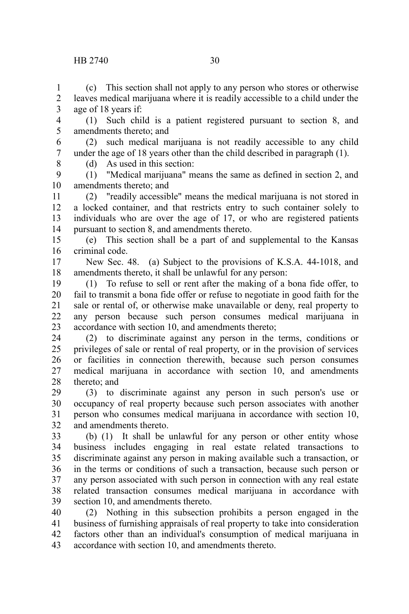(c) This section shall not apply to any person who stores or otherwise leaves medical marijuana where it is readily accessible to a child under the age of 18 years if: 1 2 3

(1) Such child is a patient registered pursuant to section 8, and amendments thereto; and 4 5

(2) such medical marijuana is not readily accessible to any child under the age of 18 years other than the child described in paragraph (1). (d) As used in this section: 6 7

8

(1) "Medical marijuana" means the same as defined in section 2, and amendments thereto; and 9 10

(2) "readily accessible" means the medical marijuana is not stored in a locked container, and that restricts entry to such container solely to individuals who are over the age of 17, or who are registered patients pursuant to section 8, and amendments thereto. 11 12 13 14

(e) This section shall be a part of and supplemental to the Kansas criminal code. 15 16

New Sec. 48. (a) Subject to the provisions of K.S.A. 44-1018, and amendments thereto, it shall be unlawful for any person: 17 18

(1) To refuse to sell or rent after the making of a bona fide offer, to fail to transmit a bona fide offer or refuse to negotiate in good faith for the sale or rental of, or otherwise make unavailable or deny, real property to any person because such person consumes medical marijuana in accordance with section 10, and amendments thereto; 19 20 21 22 23

(2) to discriminate against any person in the terms, conditions or privileges of sale or rental of real property, or in the provision of services or facilities in connection therewith, because such person consumes medical marijuana in accordance with section 10, and amendments thereto; and 24 25 26 27 28

(3) to discriminate against any person in such person's use or occupancy of real property because such person associates with another person who consumes medical marijuana in accordance with section 10, and amendments thereto. 29 30 31 32

(b) (1) It shall be unlawful for any person or other entity whose business includes engaging in real estate related transactions to discriminate against any person in making available such a transaction, or in the terms or conditions of such a transaction, because such person or any person associated with such person in connection with any real estate related transaction consumes medical marijuana in accordance with section 10, and amendments thereto. 33 34 35 36 37 38 39

(2) Nothing in this subsection prohibits a person engaged in the business of furnishing appraisals of real property to take into consideration factors other than an individual's consumption of medical marijuana in accordance with section 10, and amendments thereto. 40 41 42 43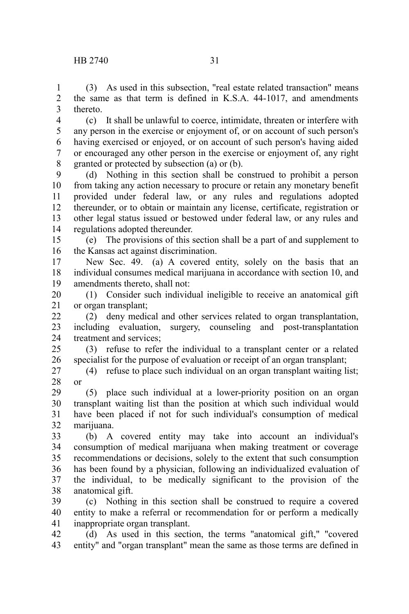(3) As used in this subsection, "real estate related transaction" means the same as that term is defined in K.S.A. 44-1017, and amendments thereto. 1 2 3

(c) It shall be unlawful to coerce, intimidate, threaten or interfere with any person in the exercise or enjoyment of, or on account of such person's having exercised or enjoyed, or on account of such person's having aided or encouraged any other person in the exercise or enjoyment of, any right granted or protected by subsection (a) or (b). 4 5 6 7 8

(d) Nothing in this section shall be construed to prohibit a person from taking any action necessary to procure or retain any monetary benefit provided under federal law, or any rules and regulations adopted thereunder, or to obtain or maintain any license, certificate, registration or other legal status issued or bestowed under federal law, or any rules and regulations adopted thereunder. 9 10 11 12 13 14

(e) The provisions of this section shall be a part of and supplement to the Kansas act against discrimination. 15 16

New Sec. 49. (a) A covered entity, solely on the basis that an individual consumes medical marijuana in accordance with section 10, and amendments thereto, shall not: 17 18 19

(1) Consider such individual ineligible to receive an anatomical gift or organ transplant; 20 21

(2) deny medical and other services related to organ transplantation, including evaluation, surgery, counseling and post-transplantation treatment and services; 22 23 24

(3) refuse to refer the individual to a transplant center or a related specialist for the purpose of evaluation or receipt of an organ transplant; 25 26

(4) refuse to place such individual on an organ transplant waiting list; or 27 28

(5) place such individual at a lower-priority position on an organ transplant waiting list than the position at which such individual would have been placed if not for such individual's consumption of medical marijuana. 29 30 31 32

(b) A covered entity may take into account an individual's consumption of medical marijuana when making treatment or coverage recommendations or decisions, solely to the extent that such consumption has been found by a physician, following an individualized evaluation of the individual, to be medically significant to the provision of the anatomical gift. 33 34 35 36 37 38

(c) Nothing in this section shall be construed to require a covered entity to make a referral or recommendation for or perform a medically inappropriate organ transplant. 39 40 41

(d) As used in this section, the terms "anatomical gift," "covered entity" and "organ transplant" mean the same as those terms are defined in 42 43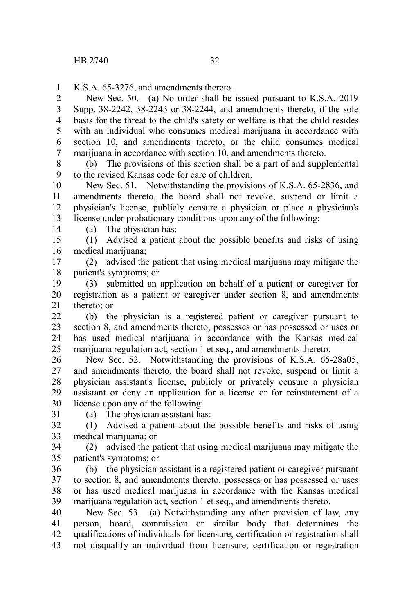K.S.A. 65-3276, and amendments thereto. 1

New Sec. 50. (a) No order shall be issued pursuant to K.S.A. 2019 Supp. 38-2242, 38-2243 or 38-2244, and amendments thereto, if the sole basis for the threat to the child's safety or welfare is that the child resides with an individual who consumes medical marijuana in accordance with section 10, and amendments thereto, or the child consumes medical marijuana in accordance with section 10, and amendments thereto. 2 3 4 5 6 7

(b) The provisions of this section shall be a part of and supplemental to the revised Kansas code for care of children. 8 9

New Sec. 51. Notwithstanding the provisions of K.S.A. 65-2836, and amendments thereto, the board shall not revoke, suspend or limit a physician's license, publicly censure a physician or place a physician's license under probationary conditions upon any of the following: 10 11 12 13

14

(a) The physician has:

(1) Advised a patient about the possible benefits and risks of using medical marijuana; 15 16

(2) advised the patient that using medical marijuana may mitigate the patient's symptoms; or 17 18

(3) submitted an application on behalf of a patient or caregiver for registration as a patient or caregiver under section 8, and amendments thereto; or 19 20 21

(b) the physician is a registered patient or caregiver pursuant to section 8, and amendments thereto, possesses or has possessed or uses or has used medical marijuana in accordance with the Kansas medical marijuana regulation act, section 1 et seq., and amendments thereto.  $22$ 23 24 25

New Sec. 52. Notwithstanding the provisions of K.S.A. 65-28a05, and amendments thereto, the board shall not revoke, suspend or limit a physician assistant's license, publicly or privately censure a physician assistant or deny an application for a license or for reinstatement of a license upon any of the following: 26 27 28 29 30

31

(a) The physician assistant has:

(1) Advised a patient about the possible benefits and risks of using medical marijuana; or 32 33

(2) advised the patient that using medical marijuana may mitigate the patient's symptoms; or 34 35

(b) the physician assistant is a registered patient or caregiver pursuant to section 8, and amendments thereto, possesses or has possessed or uses or has used medical marijuana in accordance with the Kansas medical marijuana regulation act, section 1 et seq., and amendments thereto. 36 37 38 39

New Sec. 53. (a) Notwithstanding any other provision of law, any person, board, commission or similar body that determines the qualifications of individuals for licensure, certification or registration shall not disqualify an individual from licensure, certification or registration 40 41 42 43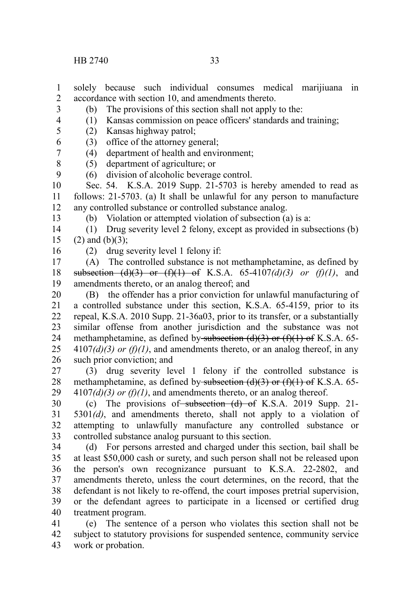(b) The provisions of this section shall not apply to the: 3

4

9

(1) Kansas commission on peace officers' standards and training;

(2) Kansas highway patrol; 5

(3) office of the attorney general; 6 7

(4) department of health and environment;

(5) department of agriculture; or 8

(6) division of alcoholic beverage control.

Sec. 54. K.S.A. 2019 Supp. 21-5703 is hereby amended to read as follows: 21-5703. (a) It shall be unlawful for any person to manufacture any controlled substance or controlled substance analog. 10 11 12

(b) Violation or attempted violation of subsection (a) is a:

(1) Drug severity level 2 felony, except as provided in subsections (b)  $(2)$  and  $(b)(3)$ ; 14 15

16

13

(2) drug severity level 1 felony if:

(A) The controlled substance is not methamphetamine, as defined by subsection  $(d)(3)$  or  $(f)(1)$  of K.S.A. 65-4107 $(d)(3)$  or  $(f)(1)$ , and amendments thereto, or an analog thereof; and 17 18 19

(B) the offender has a prior conviction for unlawful manufacturing of a controlled substance under this section, K.S.A. 65-4159, prior to its repeal, K.S.A. 2010 Supp. 21-36a03, prior to its transfer, or a substantially similar offense from another jurisdiction and the substance was not methamphetamine, as defined by subsection  $(d)(3)$  or  $(f)(1)$  of K.S.A. 65- $4107(d)(3)$  or  $(f)(1)$ , and amendments thereto, or an analog thereof, in any such prior conviction; and 20 21 22 23 24 25 26

(3) drug severity level 1 felony if the controlled substance is methamphetamine, as defined by subsection  $(d)(3)$  or  $(f)(1)$  of K.S.A. 65- $4107(d)(3)$  or  $(f)(1)$ , and amendments thereto, or an analog thereof. 27 28 29

(c) The provisions of subsection  $(d)$  of K.S.A. 2019 Supp. 21-5301*(d)*, and amendments thereto, shall not apply to a violation of attempting to unlawfully manufacture any controlled substance or controlled substance analog pursuant to this section. 30 31 32 33

(d) For persons arrested and charged under this section, bail shall be at least \$50,000 cash or surety, and such person shall not be released upon the person's own recognizance pursuant to K.S.A. 22-2802, and amendments thereto, unless the court determines, on the record, that the defendant is not likely to re-offend, the court imposes pretrial supervision, or the defendant agrees to participate in a licensed or certified drug treatment program. 34 35 36 37 38 39 40

(e) The sentence of a person who violates this section shall not be subject to statutory provisions for suspended sentence, community service work or probation. 41 42 43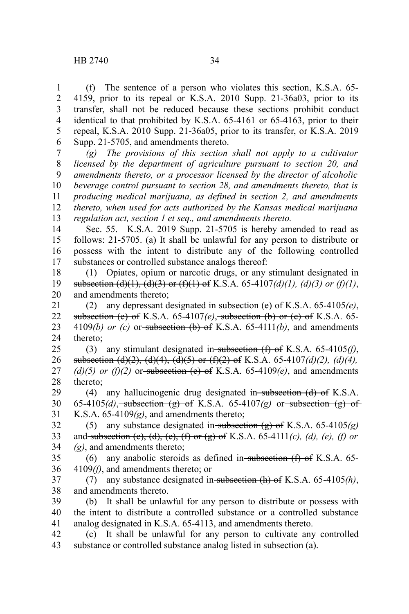(f) The sentence of a person who violates this section, K.S.A. 65- 4159, prior to its repeal or K.S.A. 2010 Supp. 21-36a03, prior to its transfer, shall not be reduced because these sections prohibit conduct identical to that prohibited by K.S.A. 65-4161 or 65-4163, prior to their repeal, K.S.A. 2010 Supp. 21-36a05, prior to its transfer, or K.S.A. 2019 Supp. 21-5705, and amendments thereto. 1 2 3 4 5 6

*(g) The provisions of this section shall not apply to a cultivator licensed by the department of agriculture pursuant to section 20, and amendments thereto, or a processor licensed by the director of alcoholic beverage control pursuant to section 28, and amendments thereto, that is producing medical marijuana, as defined in section 2, and amendments thereto, when used for acts authorized by the Kansas medical marijuana regulation act, section 1 et seq., and amendments thereto.* 7 8 9 10 11 12 13

Sec. 55. K.S.A. 2019 Supp. 21-5705 is hereby amended to read as follows: 21-5705. (a) It shall be unlawful for any person to distribute or possess with the intent to distribute any of the following controlled substances or controlled substance analogs thereof: 14 15 16 17

(1) Opiates, opium or narcotic drugs, or any stimulant designated in subsection (d)(1), (d)(3) or (f)(1) of K.S.A. 65-4107(d)(1), (d)(3) or (f)(1), and amendments thereto; 18 19 20

(2) any depressant designated in subsection (e) of K.S.A. 65-4105*(e)*, subsection (e) of K.S.A. 65-4107*(e)*, subsection (b) or (c) of K.S.A. 65- 4109 $(b)$  or  $(c)$  or subsection  $(b)$  of K.S.A. 65-4111 $(b)$ , and amendments thereto; 21 22 23 24

(3) any stimulant designated in subsection (f) of K.S.A. 65-4105*(f)*, subsection (d)(2), (d)(4), (d)(5) or (f)(2) of K.S.A. 65-4107*(d)(2), (d)(4),*  $(d)(5)$  or  $(f)(2)$  or subsection (e) of K.S.A. 65-4109 $(e)$ , and amendments thereto; 25 26 27 28

(4) any hallucinogenic drug designated in subsection  $(d)$  of K.S.A. 65-4105 $(d)$ , subsection  $(g)$  of K.S.A. 65-4107 $(g)$  or subsection  $(g)$  of K.S.A. 65-4109*(g)*, and amendments thereto; 29 30 31

(5) any substance designated in subsection  $(g)$  of K.S.A. 65-4105 $(g)$ and subsection (c), (d), (e), (f) or (g) of K.S.A. 65-4111*(c), (d), (e), (f) or (g)*, and amendments thereto; 32 33 34

(6) any anabolic steroids as defined in subsection  $(f)$  of K.S.A. 65-4109*(f)*, and amendments thereto; or 35 36

(7) any substance designated in subsection (h) of K.S.A. 65-4105*(h)*, and amendments thereto. 37 38

(b) It shall be unlawful for any person to distribute or possess with the intent to distribute a controlled substance or a controlled substance analog designated in K.S.A. 65-4113, and amendments thereto. 39 40 41

(c) It shall be unlawful for any person to cultivate any controlled substance or controlled substance analog listed in subsection (a). 42 43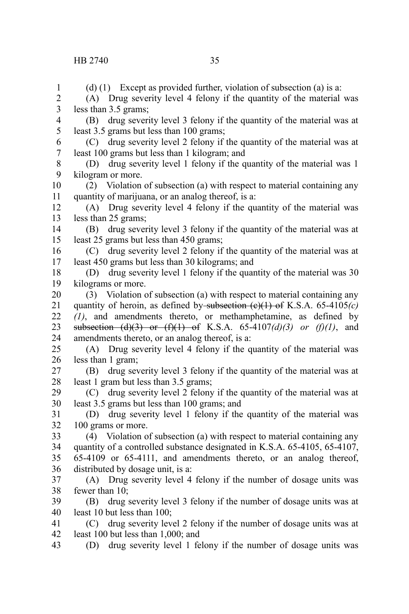(d) (1) Except as provided further, violation of subsection (a) is a: (A) Drug severity level 4 felony if the quantity of the material was less than 3.5 grams; (B) drug severity level 3 felony if the quantity of the material was at least 3.5 grams but less than 100 grams; (C) drug severity level 2 felony if the quantity of the material was at least 100 grams but less than 1 kilogram; and (D) drug severity level 1 felony if the quantity of the material was 1 kilogram or more. (2) Violation of subsection (a) with respect to material containing any quantity of marijuana, or an analog thereof, is a: (A) Drug severity level 4 felony if the quantity of the material was less than 25 grams; (B) drug severity level 3 felony if the quantity of the material was at least 25 grams but less than 450 grams; (C) drug severity level 2 felony if the quantity of the material was at least 450 grams but less than 30 kilograms; and (D) drug severity level 1 felony if the quantity of the material was 30 kilograms or more. (3) Violation of subsection (a) with respect to material containing any quantity of heroin, as defined by subsection (e)(1) of K.S.A. 65-4105*(c) (1)*, and amendments thereto, or methamphetamine, as defined by subsection  $(d)(3)$  or  $(f)(1)$  of K.S.A. 65-4107 $(d)(3)$  or  $(f)(1)$ , and amendments thereto, or an analog thereof, is a: (A) Drug severity level 4 felony if the quantity of the material was less than 1 gram; (B) drug severity level 3 felony if the quantity of the material was at least 1 gram but less than 3.5 grams; (C) drug severity level 2 felony if the quantity of the material was at least 3.5 grams but less than 100 grams; and (D) drug severity level 1 felony if the quantity of the material was 100 grams or more. (4) Violation of subsection (a) with respect to material containing any quantity of a controlled substance designated in K.S.A. 65-4105, 65-4107, 65-4109 or 65-4111, and amendments thereto, or an analog thereof, distributed by dosage unit, is a: (A) Drug severity level 4 felony if the number of dosage units was fewer than 10; (B) drug severity level 3 felony if the number of dosage units was at least 10 but less than 100; (C) drug severity level 2 felony if the number of dosage units was at least 100 but less than 1,000; and (D) drug severity level 1 felony if the number of dosage units was 1 2 3 4 5 6 7 8 9 10 11 12 13 14 15 16 17 18 19 20 21 22 23 24 25 26 27 28 29 30 31 32 33 34 35 36 37 38 39 40 41 42 43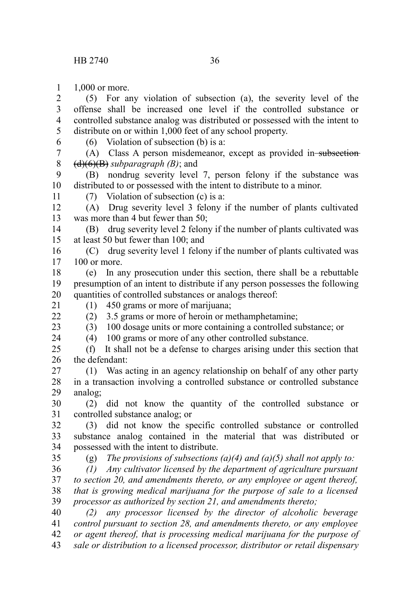1,000 or more. 1

(5) For any violation of subsection (a), the severity level of the offense shall be increased one level if the controlled substance or controlled substance analog was distributed or possessed with the intent to distribute on or within 1,000 feet of any school property. 2 3 4 5

6

(6) Violation of subsection (b) is a:

(A) Class A person misdemeanor, except as provided in subsection (d)(6)(B) *subparagraph (B)*; and 7 8

(B) nondrug severity level 7, person felony if the substance was distributed to or possessed with the intent to distribute to a minor. 9 10

11

(7) Violation of subsection (c) is a:

(A) Drug severity level 3 felony if the number of plants cultivated was more than 4 but fewer than 50; 12 13

(B) drug severity level 2 felony if the number of plants cultivated was at least 50 but fewer than 100; and 14 15

(C) drug severity level 1 felony if the number of plants cultivated was 100 or more. 16 17

(e) In any prosecution under this section, there shall be a rebuttable presumption of an intent to distribute if any person possesses the following quantities of controlled substances or analogs thereof: 18 19 20

(1) 450 grams or more of marijuana;

21  $22$ 

23 24 (2) 3.5 grams or more of heroin or methamphetamine;

(3) 100 dosage units or more containing a controlled substance; or

(4) 100 grams or more of any other controlled substance.

(f) It shall not be a defense to charges arising under this section that the defendant:  $25$ 26

(1) Was acting in an agency relationship on behalf of any other party in a transaction involving a controlled substance or controlled substance analog; 27 28 29

(2) did not know the quantity of the controlled substance or controlled substance analog; or 30 31

(3) did not know the specific controlled substance or controlled substance analog contained in the material that was distributed or possessed with the intent to distribute. 32 33 34

35

(g) *The provisions of subsections (a)(4) and (a)(5) shall not apply to:*

*(1) Any cultivator licensed by the department of agriculture pursuant to section 20, and amendments thereto, or any employee or agent thereof, that is growing medical marijuana for the purpose of sale to a licensed processor as authorized by section 21, and amendments thereto;* 36 37 38 39

*(2) any processor licensed by the director of alcoholic beverage control pursuant to section 28, and amendments thereto, or any employee or agent thereof, that is processing medical marijuana for the purpose of* 40 41 42

*sale or distribution to a licensed processor, distributor or retail dispensary* 43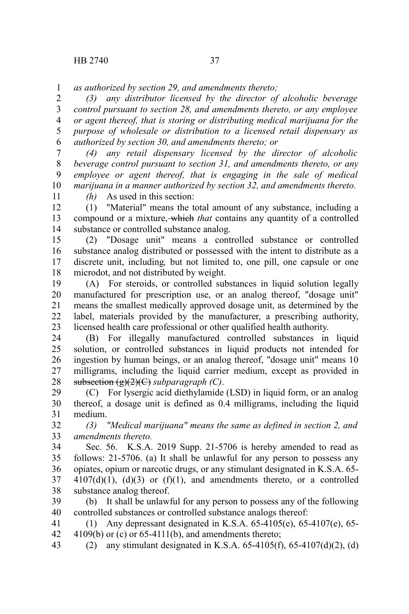*as authorized by section 29, and amendments thereto;* 1

*(3) any distributor licensed by the director of alcoholic beverage control pursuant to section 28, and amendments thereto, or any employee or agent thereof, that is storing or distributing medical marijuana for the purpose of wholesale or distribution to a licensed retail dispensary as authorized by section 30, and amendments thereto; or*  2 3 4 5 6

*(4) any retail dispensary licensed by the director of alcoholic beverage control pursuant to section 31, and amendments thereto, or any employee or agent thereof, that is engaging in the sale of medical marijuana in a manner authorized by section 32, and amendments thereto.* 7 8 9 10

11

*(h)* As used in this section:

(1) "Material" means the total amount of any substance, including a compound or a mixture, which *that* contains any quantity of a controlled substance or controlled substance analog. 12 13 14

(2) "Dosage unit" means a controlled substance or controlled substance analog distributed or possessed with the intent to distribute as a discrete unit, including*,* but not limited to, one pill, one capsule or one microdot, and not distributed by weight. 15 16 17 18

(A) For steroids, or controlled substances in liquid solution legally manufactured for prescription use, or an analog thereof, "dosage unit" means the smallest medically approved dosage unit, as determined by the label, materials provided by the manufacturer, a prescribing authority, licensed health care professional or other qualified health authority. 19 20 21 22 23

(B) For illegally manufactured controlled substances in liquid solution, or controlled substances in liquid products not intended for ingestion by human beings, or an analog thereof, "dosage unit" means 10 milligrams, including the liquid carrier medium, except as provided in subsection (g)(2)(C) *subparagraph (C)*. 24 25 26 27 28

(C) For lysergic acid diethylamide (LSD) in liquid form, or an analog thereof, a dosage unit is defined as 0.4 milligrams, including the liquid medium. 29 30 31

*(3) "Medical marijuana" means the same as defined in section 2, and amendments thereto.* 32 33

Sec. 56. K.S.A. 2019 Supp. 21-5706 is hereby amended to read as follows: 21-5706. (a) It shall be unlawful for any person to possess any opiates, opium or narcotic drugs, or any stimulant designated in K.S.A. 65-  $4107(d)(1)$ ,  $(d)(3)$  or  $(f)(1)$ , and amendments thereto, or a controlled substance analog thereof. 34 35 36 37 38

(b) It shall be unlawful for any person to possess any of the following controlled substances or controlled substance analogs thereof: 39 40

(1) Any depressant designated in K.S.A. 65-4105(e), 65-4107(e), 65-  $4109(b)$  or (c) or 65-4111(b), and amendments thereto; 41 42

(2) any stimulant designated in K.S.A.  $65-4105(f)$ ,  $65-4107(d)(2)$ , (d) 43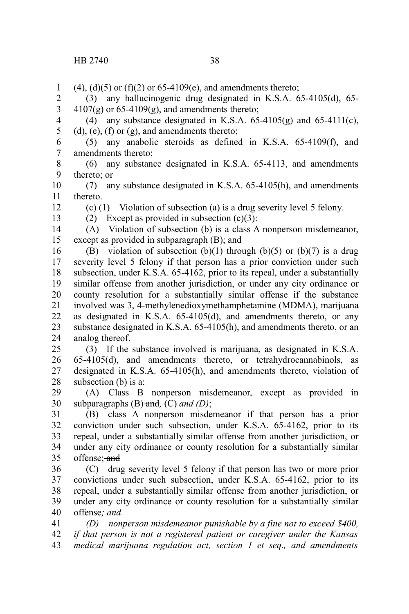$(4)$ ,  $(d)(5)$  or  $(f)(2)$  or  $65-4109(e)$ , and amendments thereto; 1

(3) any hallucinogenic drug designated in K.S.A. 65-4105(d), 65-  $4107(g)$  or 65-4109(g), and amendments thereto; 2 3

(4) any substance designated in K.S.A.  $65-4105(g)$  and  $65-4111(c)$ ,  $(d)$ ,  $(e)$ ,  $(f)$  or  $(g)$ , and amendments thereto; 4 5

(5) any anabolic steroids as defined in K.S.A. 65-4109(f), and amendments thereto; 6 7

(6) any substance designated in K.S.A. 65-4113, and amendments thereto; or 8 9

(7) any substance designated in K.S.A. 65-4105(h), and amendments thereto. 10 11

(c) (1) Violation of subsection (a) is a drug severity level 5 felony.

12

13

(2) Except as provided in subsection  $(c)(3)$ :

(A) Violation of subsection (b) is a class A nonperson misdemeanor, except as provided in subparagraph (B); and 14 15

(B) violation of subsection  $(b)(1)$  through  $(b)(5)$  or  $(b)(7)$  is a drug severity level 5 felony if that person has a prior conviction under such subsection, under K.S.A. 65-4162, prior to its repeal, under a substantially similar offense from another jurisdiction, or under any city ordinance or county resolution for a substantially similar offense if the substance involved was 3, 4-methylenedioxymethamphetamine (MDMA), marijuana as designated in K.S.A. 65-4105(d), and amendments thereto, or any substance designated in K.S.A. 65-4105(h), and amendments thereto, or an analog thereof. 16 17 18 19 20 21 22 23 24

(3) If the substance involved is marijuana, as designated in K.S.A. 65-4105(d), and amendments thereto, or tetrahydrocannabinols, as designated in K.S.A. 65-4105(h), and amendments thereto, violation of subsection (b) is a: 25 26 27 28

(A) Class B nonperson misdemeanor, except as provided in subparagraphs (B) and*,* (C) *and (D)*; 29 30

(B) class A nonperson misdemeanor if that person has a prior conviction under such subsection, under K.S.A. 65-4162, prior to its repeal, under a substantially similar offense from another jurisdiction, or under any city ordinance or county resolution for a substantially similar offense: and 31 32 33 34 35

(C) drug severity level 5 felony if that person has two or more prior convictions under such subsection, under K.S.A. 65-4162, prior to its repeal, under a substantially similar offense from another jurisdiction, or under any city ordinance or county resolution for a substantially similar offense*; and* 36 37 38 39 40

*(D) nonperson misdemeanor punishable by a fine not to exceed \$400, if that person is not a registered patient or caregiver under the Kansas medical marijuana regulation act, section 1 et seq., and amendments* 41 42 43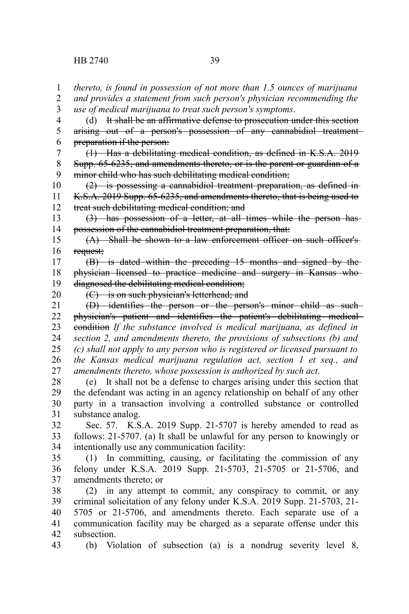*thereto, is found in possession of not more than 1.5 ounces of marijuana and provides a statement from such person's physician recommending the use of medical marijuana to treat such person's symptoms*. 1 2 3

(d) It shall be an affirmative defense to prosecution under this section arising out of a person's possession of any cannabidiol treatment preparation if the person: 4 5 6

(1) Has a debilitating medical condition, as defined in K.S.A. 2019 Supp. 65-6235, and amendments thereto, or is the parent or guardian of a minor child who has such debilitating medical condition; 7 8 9

(2) is possessing a cannabidiol treatment preparation, as defined in K.S.A. 2019 Supp. 65-6235, and amendments thereto, that is being used to treat such debilitating medical condition; and 10 11 12

(3) has possession of a letter, at all times while the person has possession of the cannabidiol treatment preparation, that: 13 14

(A) Shall be shown to a law enforcement officer on such officer's request; 15 16

(B) is dated within the preceding 15 months and signed by the physician licensed to practice medicine and surgery in Kansas who diagnosed the debilitating medical condition; 17 18 19

20

(C) is on such physician's letterhead; and

(D) identifies the person or the person's minor child as such physician's patient and identifies the patient's debilitating medical condition *If the substance involved is medical marijuana, as defined in section 2, and amendments thereto, the provisions of subsections (b) and (c) shall not apply to any person who is registered or licensed pursuant to the Kansas medical marijuana regulation act, section 1 et seq., and amendments thereto, whose possession is authorized by such act*. 21 22 23 24 25 26 27

(e) It shall not be a defense to charges arising under this section that the defendant was acting in an agency relationship on behalf of any other party in a transaction involving a controlled substance or controlled substance analog. 28 29 30 31

Sec. 57. K.S.A. 2019 Supp. 21-5707 is hereby amended to read as follows: 21-5707. (a) It shall be unlawful for any person to knowingly or intentionally use any communication facility: 32 33 34

(1) In committing, causing, or facilitating the commission of any felony under K.S.A. 2019 Supp. 21-5703, 21-5705 or 21-5706, and amendments thereto; or 35 36 37

(2) in any attempt to commit, any conspiracy to commit, or any criminal solicitation of any felony under K.S.A. 2019 Supp. 21-5703, 21- 5705 or 21-5706, and amendments thereto. Each separate use of a communication facility may be charged as a separate offense under this subsection. 38 39 40 41 42

(b) Violation of subsection (a) is a nondrug severity level 8, 43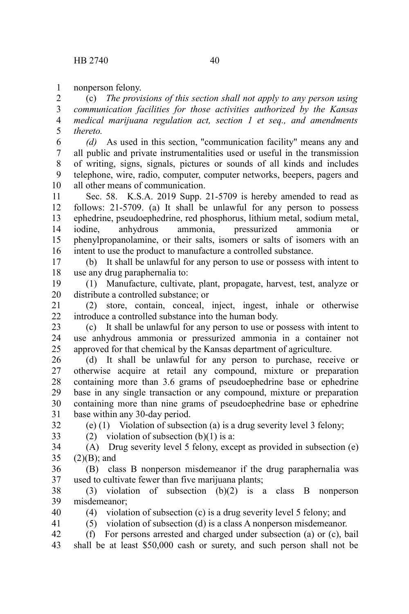nonperson felony. 1

(c) *The provisions of this section shall not apply to any person using communication facilities for those activities authorized by the Kansas medical marijuana regulation act, section 1 et seq., and amendments thereto.* 2 3 4 5

*(d)* As used in this section, "communication facility" means any and all public and private instrumentalities used or useful in the transmission of writing, signs, signals, pictures or sounds of all kinds and includes telephone, wire, radio, computer, computer networks, beepers, pagers and all other means of communication. 6 7 8 9 10

Sec. 58. K.S.A. 2019 Supp. 21-5709 is hereby amended to read as follows: 21-5709. (a) It shall be unlawful for any person to possess ephedrine, pseudoephedrine, red phosphorus, lithium metal, sodium metal, iodine, anhydrous ammonia, pressurized ammonia or phenylpropanolamine, or their salts, isomers or salts of isomers with an intent to use the product to manufacture a controlled substance. 11 12 13 14 15 16

(b) It shall be unlawful for any person to use or possess with intent to use any drug paraphernalia to: 17 18

(1) Manufacture, cultivate, plant, propagate, harvest, test, analyze or distribute a controlled substance; or 19 20

(2) store, contain, conceal, inject, ingest, inhale or otherwise introduce a controlled substance into the human body. 21 22

(c) It shall be unlawful for any person to use or possess with intent to use anhydrous ammonia or pressurized ammonia in a container not approved for that chemical by the Kansas department of agriculture. 23 24 25

(d) It shall be unlawful for any person to purchase, receive or otherwise acquire at retail any compound, mixture or preparation containing more than 3.6 grams of pseudoephedrine base or ephedrine base in any single transaction or any compound, mixture or preparation containing more than nine grams of pseudoephedrine base or ephedrine base within any 30-day period. 26 27 28 29 30 31

32 33 (e) (1) Violation of subsection (a) is a drug severity level 3 felony;

(2) violation of subsection  $(b)(1)$  is a:

(A) Drug severity level 5 felony, except as provided in subsection (e)  $(2)(B)$ ; and 34 35

(B) class B nonperson misdemeanor if the drug paraphernalia was used to cultivate fewer than five marijuana plants; 36 37

(3) violation of subsection (b)(2) is a class B nonperson misdemeanor; 38 39

40

41

(4) violation of subsection (c) is a drug severity level 5 felony; and

(5) violation of subsection (d) is a class A nonperson misdemeanor.

(f) For persons arrested and charged under subsection (a) or (c), bail shall be at least \$50,000 cash or surety, and such person shall not be 42 43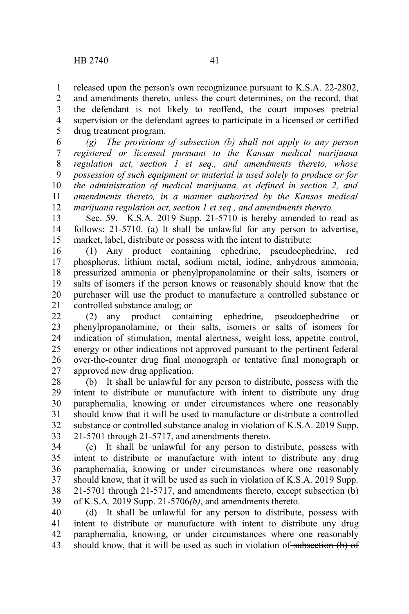released upon the person's own recognizance pursuant to K.S.A. 22-2802, and amendments thereto, unless the court determines, on the record, that the defendant is not likely to reoffend, the court imposes pretrial supervision or the defendant agrees to participate in a licensed or certified drug treatment program. 1 2 3 4 5

*(g) The provisions of subsection (b) shall not apply to any person registered or licensed pursuant to the Kansas medical marijuana regulation act, section 1 et seq., and amendments thereto, whose possession of such equipment or material is used solely to produce or for the administration of medical marijuana, as defined in section 2, and amendments thereto, in a manner authorized by the Kansas medical marijuana regulation act, section 1 et seq., and amendments thereto.* 6 7 8 9 10 11 12

Sec. 59. K.S.A. 2019 Supp. 21-5710 is hereby amended to read as follows: 21-5710. (a) It shall be unlawful for any person to advertise, market, label, distribute or possess with the intent to distribute: 13 14 15

(1) Any product containing ephedrine, pseudoephedrine, red phosphorus, lithium metal, sodium metal, iodine, anhydrous ammonia, pressurized ammonia or phenylpropanolamine or their salts, isomers or salts of isomers if the person knows or reasonably should know that the purchaser will use the product to manufacture a controlled substance or controlled substance analog; or 16 17 18 19 20 21

(2) any product containing ephedrine, pseudoephedrine or phenylpropanolamine, or their salts, isomers or salts of isomers for indication of stimulation, mental alertness, weight loss, appetite control, energy or other indications not approved pursuant to the pertinent federal over-the-counter drug final monograph or tentative final monograph or approved new drug application. 22 23 24 25 26 27

(b) It shall be unlawful for any person to distribute, possess with the intent to distribute or manufacture with intent to distribute any drug paraphernalia, knowing or under circumstances where one reasonably should know that it will be used to manufacture or distribute a controlled substance or controlled substance analog in violation of K.S.A. 2019 Supp. 21-5701 through 21-5717, and amendments thereto. 28 29 30 31 32 33

(c) It shall be unlawful for any person to distribute, possess with intent to distribute or manufacture with intent to distribute any drug paraphernalia, knowing or under circumstances where one reasonably should know, that it will be used as such in violation of K.S.A. 2019 Supp. 21-5701 through 21-5717, and amendments thereto, except subsection (b) of K.S.A. 2019 Supp. 21-5706*(b)*, and amendments thereto. 34 35 36 37 38 39

(d) It shall be unlawful for any person to distribute, possess with intent to distribute or manufacture with intent to distribute any drug paraphernalia, knowing, or under circumstances where one reasonably should know, that it will be used as such in violation of subsection (b) of 40 41 42 43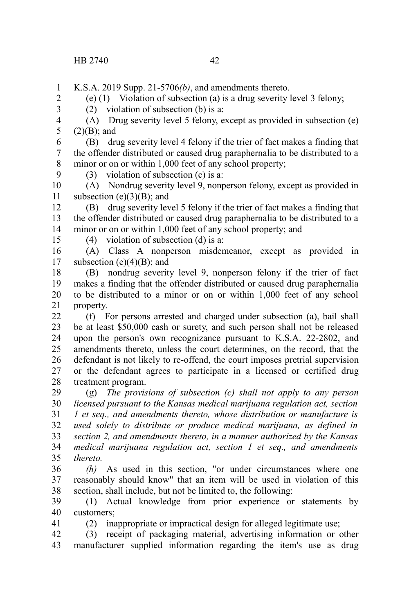(e) (1) Violation of subsection (a) is a drug severity level 3 felony;

K.S.A. 2019 Supp. 21-5706*(b)*, and amendments thereto. 1

2 3

 $(2)$  violation of subsection (b) is a:

(A) Drug severity level 5 felony, except as provided in subsection (e)  $(2)(B)$ ; and 4 5

(B) drug severity level 4 felony if the trier of fact makes a finding that the offender distributed or caused drug paraphernalia to be distributed to a minor or on or within 1,000 feet of any school property; 6 7 8

(3) violation of subsection (c) is a:

(A) Nondrug severity level 9, nonperson felony, except as provided in subsection  $(e)(3)(B)$ ; and 10 11

(B) drug severity level 5 felony if the trier of fact makes a finding that the offender distributed or caused drug paraphernalia to be distributed to a minor or on or within 1,000 feet of any school property; and 12 13 14

15

41

9

(4) violation of subsection (d) is a:

(A) Class A nonperson misdemeanor, except as provided in subsection  $(e)(4)(B)$ ; and 16 17

(B) nondrug severity level 9, nonperson felony if the trier of fact makes a finding that the offender distributed or caused drug paraphernalia to be distributed to a minor or on or within 1,000 feet of any school property. 18 19 20 21

(f) For persons arrested and charged under subsection (a), bail shall be at least \$50,000 cash or surety, and such person shall not be released upon the person's own recognizance pursuant to K.S.A. 22-2802, and amendments thereto, unless the court determines, on the record, that the defendant is not likely to re-offend, the court imposes pretrial supervision or the defendant agrees to participate in a licensed or certified drug treatment program. 22 23 24 25 26 27 28

(g) *The provisions of subsection (c) shall not apply to any person licensed pursuant to the Kansas medical marijuana regulation act, section 1 et seq., and amendments thereto, whose distribution or manufacture is used solely to distribute or produce medical marijuana, as defined in section 2, and amendments thereto, in a manner authorized by the Kansas medical marijuana regulation act, section 1 et seq., and amendments thereto.* 29 30 31 32 33 34 35

*(h)* As used in this section, "or under circumstances where one reasonably should know" that an item will be used in violation of this section, shall include, but not be limited to, the following: 36 37 38

(1) Actual knowledge from prior experience or statements by customers; 39 40

(2) inappropriate or impractical design for alleged legitimate use;

(3) receipt of packaging material, advertising information or other manufacturer supplied information regarding the item's use as drug 42 43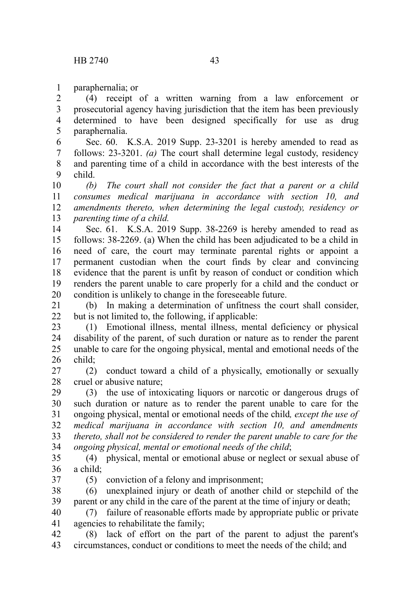paraphernalia; or 1

(4) receipt of a written warning from a law enforcement or prosecutorial agency having jurisdiction that the item has been previously determined to have been designed specifically for use as drug paraphernalia. 2 3 4 5

Sec. 60. K.S.A. 2019 Supp. 23-3201 is hereby amended to read as follows: 23-3201. *(a)* The court shall determine legal custody, residency and parenting time of a child in accordance with the best interests of the child. 6 7 8 9

*(b) The court shall not consider the fact that a parent or a child consumes medical marijuana in accordance with section 10, and amendments thereto, when determining the legal custody, residency or parenting time of a child.* 10 11 12 13

Sec. 61. K.S.A. 2019 Supp. 38-2269 is hereby amended to read as follows: 38-2269. (a) When the child has been adjudicated to be a child in need of care, the court may terminate parental rights or appoint a permanent custodian when the court finds by clear and convincing evidence that the parent is unfit by reason of conduct or condition which renders the parent unable to care properly for a child and the conduct or condition is unlikely to change in the foreseeable future. 14 15 16 17 18 19 20

(b) In making a determination of unfitness the court shall consider, but is not limited to, the following, if applicable: 21  $22$ 

(1) Emotional illness, mental illness, mental deficiency or physical disability of the parent, of such duration or nature as to render the parent unable to care for the ongoing physical, mental and emotional needs of the child; 23 24 25 26

(2) conduct toward a child of a physically, emotionally or sexually cruel or abusive nature; 27 28

(3) the use of intoxicating liquors or narcotic or dangerous drugs of such duration or nature as to render the parent unable to care for the ongoing physical, mental or emotional needs of the child*, except the use of medical marijuana in accordance with section 10, and amendments thereto, shall not be considered to render the parent unable to care for the ongoing physical, mental or emotional needs of the child*; 29 30 31 32 33 34

(4) physical, mental or emotional abuse or neglect or sexual abuse of a child; 35 36

37

(5) conviction of a felony and imprisonment;

(6) unexplained injury or death of another child or stepchild of the parent or any child in the care of the parent at the time of injury or death; 38 39

(7) failure of reasonable efforts made by appropriate public or private agencies to rehabilitate the family; 40 41

(8) lack of effort on the part of the parent to adjust the parent's circumstances, conduct or conditions to meet the needs of the child; and 42 43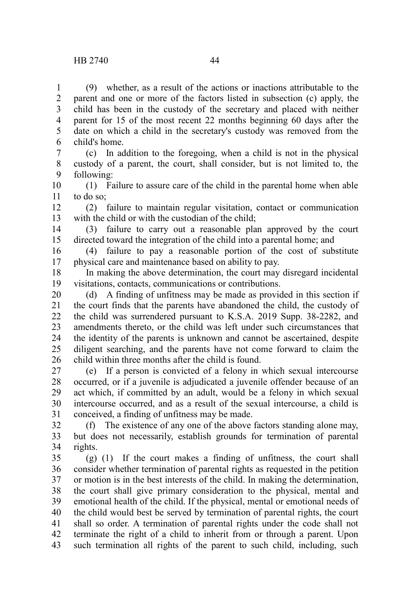(9) whether, as a result of the actions or inactions attributable to the parent and one or more of the factors listed in subsection (c) apply, the child has been in the custody of the secretary and placed with neither parent for 15 of the most recent 22 months beginning 60 days after the date on which a child in the secretary's custody was removed from the child's home. 1 2 3 4 5 6

(c) In addition to the foregoing, when a child is not in the physical custody of a parent, the court, shall consider, but is not limited to, the following: 7 8 9

(1) Failure to assure care of the child in the parental home when able to do so; 10 11

(2) failure to maintain regular visitation, contact or communication with the child or with the custodian of the child: 12 13

(3) failure to carry out a reasonable plan approved by the court directed toward the integration of the child into a parental home; and 14 15

(4) failure to pay a reasonable portion of the cost of substitute physical care and maintenance based on ability to pay. 16 17

In making the above determination, the court may disregard incidental visitations, contacts, communications or contributions. 18 19

(d) A finding of unfitness may be made as provided in this section if the court finds that the parents have abandoned the child, the custody of the child was surrendered pursuant to K.S.A. 2019 Supp. 38-2282, and amendments thereto, or the child was left under such circumstances that the identity of the parents is unknown and cannot be ascertained, despite diligent searching, and the parents have not come forward to claim the child within three months after the child is found. 20 21 22 23 24 25 26

(e) If a person is convicted of a felony in which sexual intercourse occurred, or if a juvenile is adjudicated a juvenile offender because of an act which, if committed by an adult, would be a felony in which sexual intercourse occurred, and as a result of the sexual intercourse, a child is conceived, a finding of unfitness may be made. 27 28 29 30 31

(f) The existence of any one of the above factors standing alone may, but does not necessarily, establish grounds for termination of parental rights. 32 33 34

(g) (1) If the court makes a finding of unfitness, the court shall consider whether termination of parental rights as requested in the petition or motion is in the best interests of the child. In making the determination, the court shall give primary consideration to the physical, mental and emotional health of the child. If the physical, mental or emotional needs of the child would best be served by termination of parental rights, the court shall so order. A termination of parental rights under the code shall not terminate the right of a child to inherit from or through a parent. Upon such termination all rights of the parent to such child, including, such 35 36 37 38 39 40 41 42 43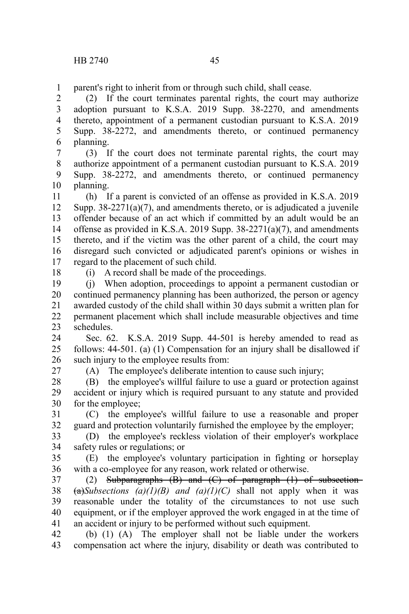parent's right to inherit from or through such child, shall cease.

(2) If the court terminates parental rights, the court may authorize adoption pursuant to K.S.A. 2019 Supp. 38-2270, and amendments thereto, appointment of a permanent custodian pursuant to K.S.A. 2019 Supp. 38-2272, and amendments thereto, or continued permanency planning. 2 3 4 5 6

(3) If the court does not terminate parental rights, the court may authorize appointment of a permanent custodian pursuant to K.S.A. 2019 Supp. 38-2272, and amendments thereto, or continued permanency planning. 7 8 9 10

(h) If a parent is convicted of an offense as provided in K.S.A. 2019 Supp.  $38-2271(a)(7)$ , and amendments thereto, or is adjudicated a juvenile offender because of an act which if committed by an adult would be an offense as provided in K.S.A. 2019 Supp. 38-2271(a)(7), and amendments thereto, and if the victim was the other parent of a child, the court may disregard such convicted or adjudicated parent's opinions or wishes in regard to the placement of such child. 11 12 13 14 15 16 17

18

(i) A record shall be made of the proceedings.

(j) When adoption, proceedings to appoint a permanent custodian or continued permanency planning has been authorized, the person or agency awarded custody of the child shall within 30 days submit a written plan for permanent placement which shall include measurable objectives and time schedules. 19 20 21 22 23

Sec. 62. K.S.A. 2019 Supp. 44-501 is hereby amended to read as follows: 44-501. (a) (1) Compensation for an injury shall be disallowed if such injury to the employee results from: 24 25 26

27

(A) The employee's deliberate intention to cause such injury;

(B) the employee's willful failure to use a guard or protection against accident or injury which is required pursuant to any statute and provided for the employee; 28 29 30

(C) the employee's willful failure to use a reasonable and proper guard and protection voluntarily furnished the employee by the employer; 31 32

(D) the employee's reckless violation of their employer's workplace safety rules or regulations; or 33 34

(E) the employee's voluntary participation in fighting or horseplay with a co-employee for any reason, work related or otherwise. 35 36

(2) Subparagraphs  $(B)$  and  $(C)$  of paragraph  $(1)$  of subsection- $(a)$ *Subsections (a)(1)(B) and (a)(1)(C)* shall not apply when it was reasonable under the totality of the circumstances to not use such equipment, or if the employer approved the work engaged in at the time of an accident or injury to be performed without such equipment. 37 38 39 40 41

(b) (1) (A) The employer shall not be liable under the workers compensation act where the injury, disability or death was contributed to 42 43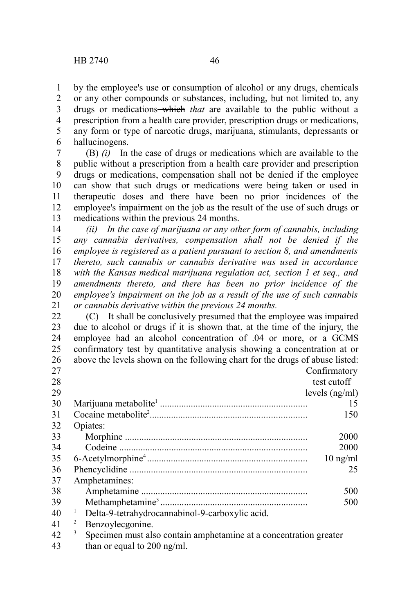drugs or medications-which *that* are available to the public without a prescription from a health care provider, prescription drugs or medications, any form or type of narcotic drugs, marijuana, stimulants, depressants or hallucinogens. 3 4 5 6

(B) *(i)* In the case of drugs or medications which are available to the public without a prescription from a health care provider and prescription drugs or medications, compensation shall not be denied if the employee can show that such drugs or medications were being taken or used in therapeutic doses and there have been no prior incidences of the employee's impairment on the job as the result of the use of such drugs or medications within the previous 24 months. 7 8 9 10 11 12 13

*(ii) In the case of marijuana or any other form of cannabis, including any cannabis derivatives, compensation shall not be denied if the employee is registered as a patient pursuant to section 8, and amendments thereto, such cannabis or cannabis derivative was used in accordance with the Kansas medical marijuana regulation act, section 1 et seq., and amendments thereto, and there has been no prior incidence of the employee's impairment on the job as a result of the use of such cannabis or cannabis derivative within the previous 24 months.* 14 15 16 17 18 19 20 21

(C) It shall be conclusively presumed that the employee was impaired due to alcohol or drugs if it is shown that, at the time of the injury, the employee had an alcohol concentration of .04 or more, or a GCMS confirmatory test by quantitative analysis showing a concentration at or above the levels shown on the following chart for the drugs of abuse listed: Confirmatory 22 23 24 25 26  $27$ 

| $\sim$ 1                 |                                                                                                                 | CUMMINIQUOI V      |  |
|--------------------------|-----------------------------------------------------------------------------------------------------------------|--------------------|--|
| 28                       | test cutoff                                                                                                     |                    |  |
| 29                       |                                                                                                                 | levels $(ng/ml)$   |  |
| 30                       |                                                                                                                 | 15                 |  |
| 31                       |                                                                                                                 | 150                |  |
| 32                       | Opiates:                                                                                                        |                    |  |
| 33                       |                                                                                                                 | 2000               |  |
| 34                       |                                                                                                                 | 2000               |  |
| 35                       |                                                                                                                 | $10 \text{ ng/ml}$ |  |
| 36                       |                                                                                                                 | 25                 |  |
| 37                       | Amphetamines:                                                                                                   |                    |  |
| 38                       |                                                                                                                 | 500                |  |
| 39                       |                                                                                                                 | 500                |  |
| 40                       | Delta-9-tetrahydrocannabinol-9-carboxylic acid.                                                                 |                    |  |
| 41                       | 2<br>Benzoylecgonine.                                                                                           |                    |  |
| $\overline{\phantom{a}}$ | the contract of the contract of the contract of the contract of the contract of the contract of the contract of |                    |  |

<sup>3</sup> Specimen must also contain amphetamine at a concentration greater than or equal to 200 ng/ml. 42 43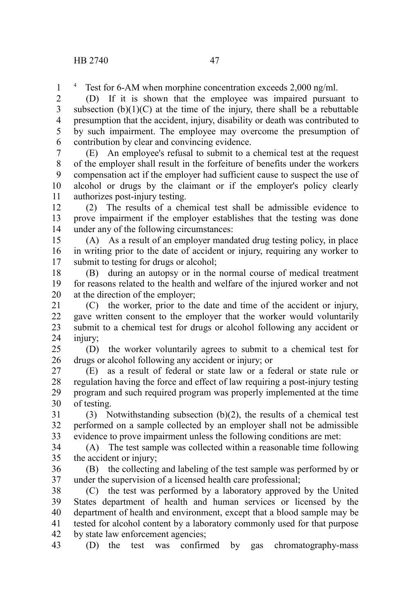<sup>4</sup> Test for 6-AM when morphine concentration exceeds 2,000 ng/ml.

(D) If it is shown that the employee was impaired pursuant to subsection  $(b)(1)(C)$  at the time of the injury, there shall be a rebuttable presumption that the accident, injury, disability or death was contributed to by such impairment. The employee may overcome the presumption of contribution by clear and convincing evidence. 2 3 4 5 6

(E) An employee's refusal to submit to a chemical test at the request of the employer shall result in the forfeiture of benefits under the workers compensation act if the employer had sufficient cause to suspect the use of alcohol or drugs by the claimant or if the employer's policy clearly authorizes post-injury testing. 7 8 9 10 11

(2) The results of a chemical test shall be admissible evidence to prove impairment if the employer establishes that the testing was done under any of the following circumstances: 12 13 14

(A) As a result of an employer mandated drug testing policy, in place in writing prior to the date of accident or injury, requiring any worker to submit to testing for drugs or alcohol; 15 16 17

(B) during an autopsy or in the normal course of medical treatment for reasons related to the health and welfare of the injured worker and not at the direction of the employer; 18 19 20

(C) the worker, prior to the date and time of the accident or injury, gave written consent to the employer that the worker would voluntarily submit to a chemical test for drugs or alcohol following any accident or injury: 21 22 23 24

(D) the worker voluntarily agrees to submit to a chemical test for drugs or alcohol following any accident or injury; or 25 26

(E) as a result of federal or state law or a federal or state rule or regulation having the force and effect of law requiring a post-injury testing program and such required program was properly implemented at the time of testing. 27 28 29 30

(3) Notwithstanding subsection  $(b)(2)$ , the results of a chemical test performed on a sample collected by an employer shall not be admissible evidence to prove impairment unless the following conditions are met: 31 32 33

(A) The test sample was collected within a reasonable time following the accident or injury; 34 35

(B) the collecting and labeling of the test sample was performed by or under the supervision of a licensed health care professional; 36 37

(C) the test was performed by a laboratory approved by the United States department of health and human services or licensed by the department of health and environment, except that a blood sample may be tested for alcohol content by a laboratory commonly used for that purpose by state law enforcement agencies; 38 39 40 41 42

(D) the test was confirmed by gas chromatography-mass 43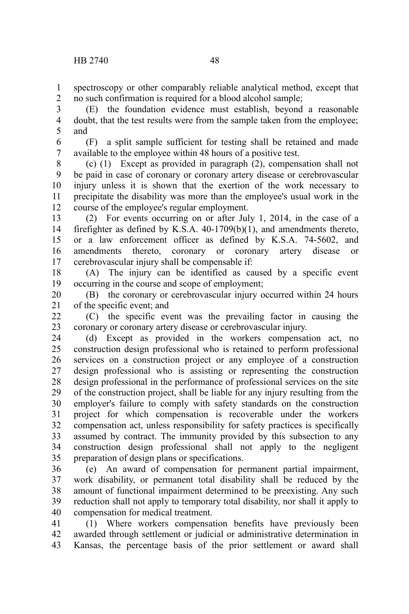spectroscopy or other comparably reliable analytical method, except that no such confirmation is required for a blood alcohol sample; 1 2

(E) the foundation evidence must establish, beyond a reasonable doubt, that the test results were from the sample taken from the employee; and 3 4 5

(F) a split sample sufficient for testing shall be retained and made available to the employee within 48 hours of a positive test. 6 7

(c) (1) Except as provided in paragraph (2), compensation shall not be paid in case of coronary or coronary artery disease or cerebrovascular injury unless it is shown that the exertion of the work necessary to precipitate the disability was more than the employee's usual work in the course of the employee's regular employment. 8 9 10 11 12

(2) For events occurring on or after July 1, 2014, in the case of a firefighter as defined by K.S.A. 40-1709(b)(1), and amendments thereto, or a law enforcement officer as defined by K.S.A. 74-5602, and amendments thereto, coronary or coronary artery disease or cerebrovascular injury shall be compensable if: 13 14 15 16 17

(A) The injury can be identified as caused by a specific event occurring in the course and scope of employment; 18 19

(B) the coronary or cerebrovascular injury occurred within 24 hours of the specific event; and 20 21

(C) the specific event was the prevailing factor in causing the coronary or coronary artery disease or cerebrovascular injury. 22 23

(d) Except as provided in the workers compensation act, no construction design professional who is retained to perform professional services on a construction project or any employee of a construction design professional who is assisting or representing the construction design professional in the performance of professional services on the site of the construction project, shall be liable for any injury resulting from the employer's failure to comply with safety standards on the construction project for which compensation is recoverable under the workers compensation act, unless responsibility for safety practices is specifically assumed by contract. The immunity provided by this subsection to any construction design professional shall not apply to the negligent preparation of design plans or specifications. 24 25 26 27 28 29 30 31 32 33 34 35

(e) An award of compensation for permanent partial impairment, work disability, or permanent total disability shall be reduced by the amount of functional impairment determined to be preexisting. Any such reduction shall not apply to temporary total disability, nor shall it apply to compensation for medical treatment. 36 37 38 39 40

(1) Where workers compensation benefits have previously been awarded through settlement or judicial or administrative determination in Kansas, the percentage basis of the prior settlement or award shall 41 42 43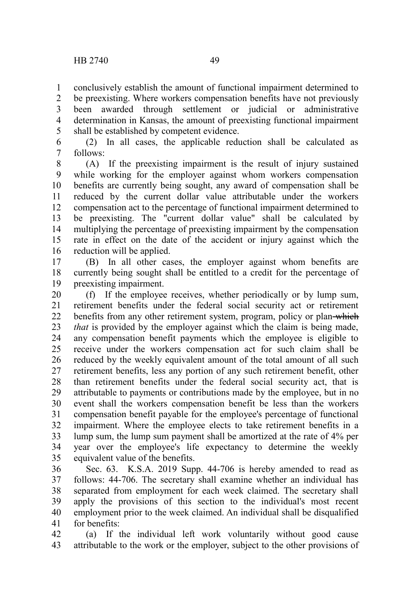conclusively establish the amount of functional impairment determined to 1

be preexisting. Where workers compensation benefits have not previously been awarded through settlement or judicial or administrative determination in Kansas, the amount of preexisting functional impairment shall be established by competent evidence. 2 3 4 5

(2) In all cases, the applicable reduction shall be calculated as follows: 6 7

(A) If the preexisting impairment is the result of injury sustained while working for the employer against whom workers compensation benefits are currently being sought, any award of compensation shall be reduced by the current dollar value attributable under the workers compensation act to the percentage of functional impairment determined to be preexisting. The "current dollar value" shall be calculated by multiplying the percentage of preexisting impairment by the compensation rate in effect on the date of the accident or injury against which the reduction will be applied. 8 9 10 11 12 13 14 15 16

(B) In all other cases, the employer against whom benefits are currently being sought shall be entitled to a credit for the percentage of preexisting impairment. 17 18 19

(f) If the employee receives, whether periodically or by lump sum, retirement benefits under the federal social security act or retirement benefits from any other retirement system, program, policy or plan-which *that* is provided by the employer against which the claim is being made, any compensation benefit payments which the employee is eligible to receive under the workers compensation act for such claim shall be reduced by the weekly equivalent amount of the total amount of all such retirement benefits, less any portion of any such retirement benefit, other than retirement benefits under the federal social security act, that is attributable to payments or contributions made by the employee, but in no event shall the workers compensation benefit be less than the workers compensation benefit payable for the employee's percentage of functional impairment. Where the employee elects to take retirement benefits in a lump sum, the lump sum payment shall be amortized at the rate of 4% per year over the employee's life expectancy to determine the weekly equivalent value of the benefits. 20 21 22 23 24 25 26 27 28 29 30 31 32 33 34 35

Sec. 63. K.S.A. 2019 Supp. 44-706 is hereby amended to read as follows: 44-706. The secretary shall examine whether an individual has separated from employment for each week claimed. The secretary shall apply the provisions of this section to the individual's most recent employment prior to the week claimed. An individual shall be disqualified for benefits: 36 37 38 39 40 41

(a) If the individual left work voluntarily without good cause attributable to the work or the employer, subject to the other provisions of 42 43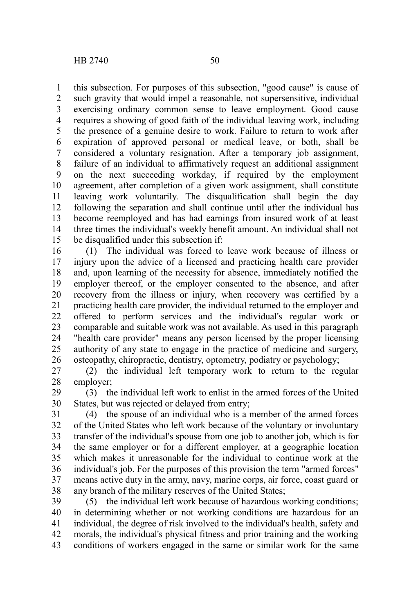this subsection. For purposes of this subsection, "good cause" is cause of such gravity that would impel a reasonable, not supersensitive, individual exercising ordinary common sense to leave employment. Good cause requires a showing of good faith of the individual leaving work, including the presence of a genuine desire to work. Failure to return to work after expiration of approved personal or medical leave, or both, shall be considered a voluntary resignation. After a temporary job assignment, failure of an individual to affirmatively request an additional assignment on the next succeeding workday, if required by the employment agreement, after completion of a given work assignment, shall constitute leaving work voluntarily. The disqualification shall begin the day following the separation and shall continue until after the individual has become reemployed and has had earnings from insured work of at least three times the individual's weekly benefit amount. An individual shall not be disqualified under this subsection if: 1 2 3 4 5 6 7 8 9 10 11 12 13 14 15

(1) The individual was forced to leave work because of illness or injury upon the advice of a licensed and practicing health care provider and, upon learning of the necessity for absence, immediately notified the employer thereof, or the employer consented to the absence, and after recovery from the illness or injury, when recovery was certified by a practicing health care provider, the individual returned to the employer and offered to perform services and the individual's regular work or comparable and suitable work was not available. As used in this paragraph "health care provider" means any person licensed by the proper licensing authority of any state to engage in the practice of medicine and surgery, osteopathy, chiropractic, dentistry, optometry, podiatry or psychology; 16 17 18 19 20 21 22 23 24 25 26

(2) the individual left temporary work to return to the regular employer; 27 28

(3) the individual left work to enlist in the armed forces of the United States, but was rejected or delayed from entry; 29 30

(4) the spouse of an individual who is a member of the armed forces of the United States who left work because of the voluntary or involuntary transfer of the individual's spouse from one job to another job, which is for the same employer or for a different employer, at a geographic location which makes it unreasonable for the individual to continue work at the individual's job. For the purposes of this provision the term "armed forces" means active duty in the army, navy, marine corps, air force, coast guard or any branch of the military reserves of the United States; 31 32 33 34 35 36 37 38

(5) the individual left work because of hazardous working conditions; in determining whether or not working conditions are hazardous for an individual, the degree of risk involved to the individual's health, safety and morals, the individual's physical fitness and prior training and the working conditions of workers engaged in the same or similar work for the same 39 40 41 42 43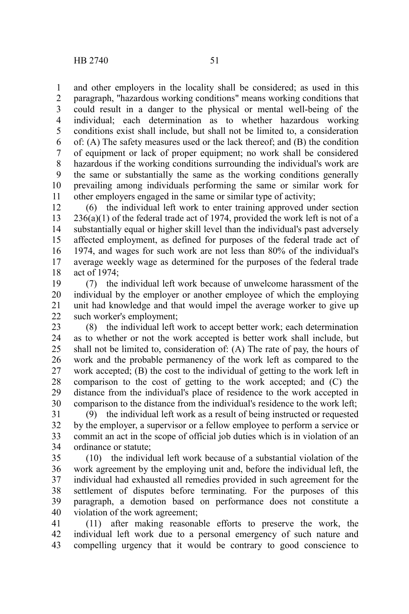and other employers in the locality shall be considered; as used in this paragraph, "hazardous working conditions" means working conditions that could result in a danger to the physical or mental well-being of the individual; each determination as to whether hazardous working conditions exist shall include, but shall not be limited to, a consideration of: (A) The safety measures used or the lack thereof; and (B) the condition of equipment or lack of proper equipment; no work shall be considered hazardous if the working conditions surrounding the individual's work are the same or substantially the same as the working conditions generally prevailing among individuals performing the same or similar work for other employers engaged in the same or similar type of activity; 1 2 3 4 5 6 7 8 9 10 11

(6) the individual left work to enter training approved under section  $236(a)(1)$  of the federal trade act of 1974, provided the work left is not of a substantially equal or higher skill level than the individual's past adversely affected employment, as defined for purposes of the federal trade act of 1974, and wages for such work are not less than 80% of the individual's average weekly wage as determined for the purposes of the federal trade act of 1974; 12 13 14 15 16 17 18

(7) the individual left work because of unwelcome harassment of the individual by the employer or another employee of which the employing unit had knowledge and that would impel the average worker to give up such worker's employment; 19 20 21 22

(8) the individual left work to accept better work; each determination as to whether or not the work accepted is better work shall include, but shall not be limited to, consideration of: (A) The rate of pay, the hours of work and the probable permanency of the work left as compared to the work accepted; (B) the cost to the individual of getting to the work left in comparison to the cost of getting to the work accepted; and (C) the distance from the individual's place of residence to the work accepted in comparison to the distance from the individual's residence to the work left; 23 24 25 26 27 28 29 30

(9) the individual left work as a result of being instructed or requested by the employer, a supervisor or a fellow employee to perform a service or commit an act in the scope of official job duties which is in violation of an ordinance or statute; 31 32 33 34

(10) the individual left work because of a substantial violation of the work agreement by the employing unit and, before the individual left, the individual had exhausted all remedies provided in such agreement for the settlement of disputes before terminating. For the purposes of this paragraph, a demotion based on performance does not constitute a violation of the work agreement; 35 36 37 38 39 40

(11) after making reasonable efforts to preserve the work, the individual left work due to a personal emergency of such nature and compelling urgency that it would be contrary to good conscience to 41 42 43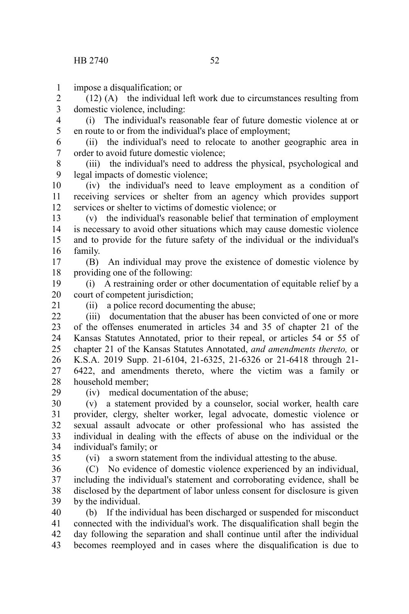impose a disqualification; or 1

(12) (A) the individual left work due to circumstances resulting from domestic violence, including: 2 3

(i) The individual's reasonable fear of future domestic violence at or en route to or from the individual's place of employment; 4 5

(ii) the individual's need to relocate to another geographic area in order to avoid future domestic violence; 6 7

(iii) the individual's need to address the physical, psychological and legal impacts of domestic violence; 8 9

(iv) the individual's need to leave employment as a condition of receiving services or shelter from an agency which provides support services or shelter to victims of domestic violence; or 10 11 12

(v) the individual's reasonable belief that termination of employment is necessary to avoid other situations which may cause domestic violence and to provide for the future safety of the individual or the individual's family. 13 14 15 16

(B) An individual may prove the existence of domestic violence by providing one of the following: 17 18

(i) A restraining order or other documentation of equitable relief by a court of competent jurisdiction; 19 20

21

(ii) a police record documenting the abuse;

(iii) documentation that the abuser has been convicted of one or more of the offenses enumerated in articles 34 and 35 of chapter 21 of the Kansas Statutes Annotated, prior to their repeal, or articles 54 or 55 of chapter 21 of the Kansas Statutes Annotated, *and amendments thereto,* or K.S.A. 2019 Supp. 21-6104, 21-6325, 21-6326 or 21-6418 through 21- 6422, and amendments thereto, where the victim was a family or household member;  $22$ 23 24 25 26 27 28

29

(iv) medical documentation of the abuse;

(v) a statement provided by a counselor, social worker, health care provider, clergy, shelter worker, legal advocate, domestic violence or sexual assault advocate or other professional who has assisted the individual in dealing with the effects of abuse on the individual or the individual's family; or 30 31 32 33 34

35

(vi) a sworn statement from the individual attesting to the abuse.

(C) No evidence of domestic violence experienced by an individual, including the individual's statement and corroborating evidence, shall be disclosed by the department of labor unless consent for disclosure is given by the individual. 36 37 38 39

(b) If the individual has been discharged or suspended for misconduct connected with the individual's work. The disqualification shall begin the day following the separation and shall continue until after the individual becomes reemployed and in cases where the disqualification is due to 40 41 42 43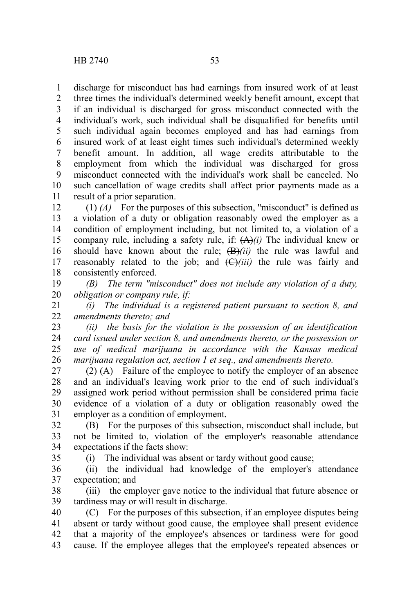discharge for misconduct has had earnings from insured work of at least 1

three times the individual's determined weekly benefit amount, except that if an individual is discharged for gross misconduct connected with the individual's work, such individual shall be disqualified for benefits until such individual again becomes employed and has had earnings from insured work of at least eight times such individual's determined weekly benefit amount. In addition, all wage credits attributable to the employment from which the individual was discharged for gross misconduct connected with the individual's work shall be canceled. No such cancellation of wage credits shall affect prior payments made as a result of a prior separation. 2 3 4 5 6 7 8 9 10 11

(1) *(A)* For the purposes of this subsection, "misconduct" is defined as a violation of a duty or obligation reasonably owed the employer as a condition of employment including, but not limited to, a violation of a company rule, including a safety rule, if: (A)*(i)* The individual knew or should have known about the rule; (B)*(ii)* the rule was lawful and reasonably related to the job; and  $\left(\frac{C}{i}\right)$  the rule was fairly and consistently enforced. 12 13 14 15 16 17 18

*(B) The term "misconduct" does not include any violation of a duty, obligation or company rule, if:* 19 20

*(i) The individual is a registered patient pursuant to section 8, and amendments thereto; and* 21 22

*(ii) the basis for the violation is the possession of an identification card issued under section 8, and amendments thereto, or the possession or use of medical marijuana in accordance with the Kansas medical marijuana regulation act, section 1 et seq., and amendments thereto.* 23 24 25 26

(2) (A) Failure of the employee to notify the employer of an absence and an individual's leaving work prior to the end of such individual's assigned work period without permission shall be considered prima facie evidence of a violation of a duty or obligation reasonably owed the employer as a condition of employment. 27 28 29 30 31

(B) For the purposes of this subsection, misconduct shall include, but not be limited to, violation of the employer's reasonable attendance expectations if the facts show: 32 33 34

35

(i) The individual was absent or tardy without good cause;

(ii) the individual had knowledge of the employer's attendance expectation; and 36 37

(iii) the employer gave notice to the individual that future absence or tardiness may or will result in discharge. 38 39

(C) For the purposes of this subsection, if an employee disputes being absent or tardy without good cause, the employee shall present evidence that a majority of the employee's absences or tardiness were for good cause. If the employee alleges that the employee's repeated absences or 40 41 42 43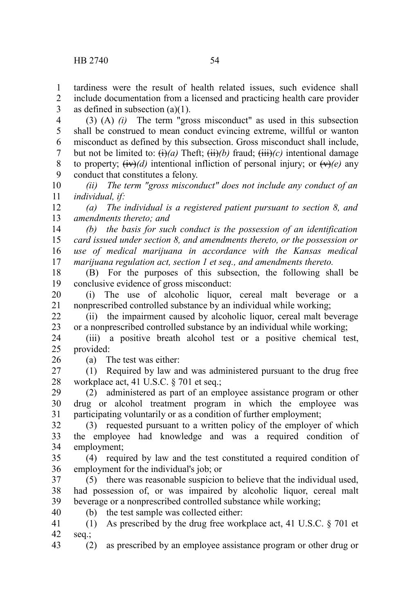(3) (A) *(i)* The term "gross misconduct" as used in this subsection shall be construed to mean conduct evincing extreme, willful or wanton misconduct as defined by this subsection. Gross misconduct shall include, but not be limited to:  $\overrightarrow{(t)}(a)$  Theft;  $\overrightarrow{(ii)}(b)$  fraud;  $\overrightarrow{(iii)}(c)$  intentional damage to property;  $(iv)(d)$  intentional infliction of personal injury; or  $(v)(e)$  any conduct that constitutes a felony. 4 5 6 7 8 9

*(ii) The term "gross misconduct" does not include any conduct of an individual, if:* 10 11

*(a) The individual is a registered patient pursuant to section 8, and amendments thereto; and*  12 13

*(b) the basis for such conduct is the possession of an identification card issued under section 8, and amendments thereto, or the possession or use of medical marijuana in accordance with the Kansas medical marijuana regulation act, section 1 et seq., and amendments thereto.* 14 15 16 17

(B) For the purposes of this subsection, the following shall be conclusive evidence of gross misconduct: 18 19

(i) The use of alcoholic liquor, cereal malt beverage or a nonprescribed controlled substance by an individual while working; 20 21

(ii) the impairment caused by alcoholic liquor, cereal malt beverage or a nonprescribed controlled substance by an individual while working; 22 23

(iii) a positive breath alcohol test or a positive chemical test, provided: 24 25

26

43

(a) The test was either:

(1) Required by law and was administered pursuant to the drug free workplace act, 41 U.S.C. § 701 et seq.; 27 28

(2) administered as part of an employee assistance program or other drug or alcohol treatment program in which the employee was participating voluntarily or as a condition of further employment; 29 30 31

(3) requested pursuant to a written policy of the employer of which the employee had knowledge and was a required condition of employment; 32 33 34

(4) required by law and the test constituted a required condition of employment for the individual's job; or 35 36

(5) there was reasonable suspicion to believe that the individual used, had possession of, or was impaired by alcoholic liquor, cereal malt beverage or a nonprescribed controlled substance while working; 37 38 39 40

(b) the test sample was collected either:

(1) As prescribed by the drug free workplace act, 41 U.S.C. § 701 et seq.; 41 42

(2) as prescribed by an employee assistance program or other drug or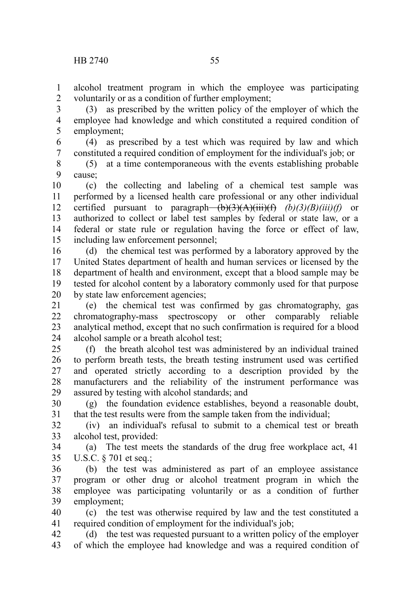alcohol treatment program in which the employee was participating voluntarily or as a condition of further employment; 1 2

(3) as prescribed by the written policy of the employer of which the employee had knowledge and which constituted a required condition of employment; 3 4 5

(4) as prescribed by a test which was required by law and which constituted a required condition of employment for the individual's job; or 6 7

(5) at a time contemporaneous with the events establishing probable cause; 8 9

(c) the collecting and labeling of a chemical test sample was performed by a licensed health care professional or any other individual certified pursuant to paragraph— $\overrightarrow{(b)}$ ( $\overrightarrow{3)}$ ( $\overrightarrow{(A)}$ ( $\overrightarrow{ii}$ )( $\overrightarrow{f}$ )( $\overrightarrow{B}$ )( $\overrightarrow{B}$ )( $\overrightarrow{B}$ )( $\overrightarrow{a}$ )( $\overrightarrow{f}$ )( $\overrightarrow{a}$ )( $\overrightarrow{a}$ )( $\overrightarrow{a}$ )( $\overrightarrow{a}$ )( $\overrightarrow{a}$ )( $\overrightarrow{a}$ )( $\overrightarrow{a}$ )( $\overrightarrow{a}$ )( $\overrightarrow{a}$ )( $\$ authorized to collect or label test samples by federal or state law, or a federal or state rule or regulation having the force or effect of law, including law enforcement personnel; 10 11 12 13 14 15

(d) the chemical test was performed by a laboratory approved by the United States department of health and human services or licensed by the department of health and environment, except that a blood sample may be tested for alcohol content by a laboratory commonly used for that purpose by state law enforcement agencies; 16 17 18 19 20

(e) the chemical test was confirmed by gas chromatography, gas chromatography-mass spectroscopy or other comparably reliable analytical method, except that no such confirmation is required for a blood alcohol sample or a breath alcohol test; 21 22 23 24

(f) the breath alcohol test was administered by an individual trained to perform breath tests, the breath testing instrument used was certified and operated strictly according to a description provided by the manufacturers and the reliability of the instrument performance was assured by testing with alcohol standards; and 25 26 27 28 29

(g) the foundation evidence establishes, beyond a reasonable doubt, that the test results were from the sample taken from the individual; 30 31

(iv) an individual's refusal to submit to a chemical test or breath alcohol test, provided: 32 33

(a) The test meets the standards of the drug free workplace act, 41 U.S.C. § 701 et seq.; 34 35

(b) the test was administered as part of an employee assistance program or other drug or alcohol treatment program in which the employee was participating voluntarily or as a condition of further employment; 36 37 38 39

(c) the test was otherwise required by law and the test constituted a required condition of employment for the individual's job; 40 41

(d) the test was requested pursuant to a written policy of the employer of which the employee had knowledge and was a required condition of 42 43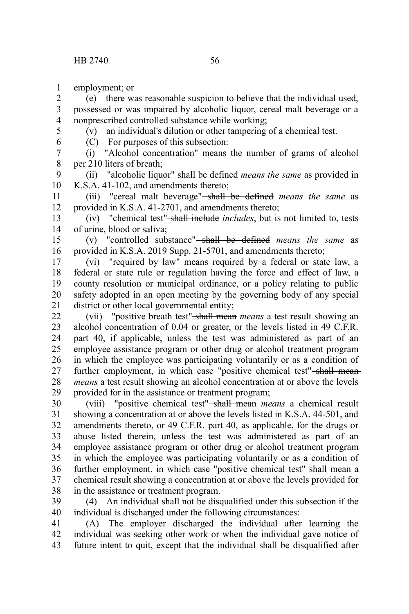employment; or 1

(e) there was reasonable suspicion to believe that the individual used, possessed or was impaired by alcoholic liquor, cereal malt beverage or a nonprescribed controlled substance while working; 2 3 4

5 6

(v) an individual's dilution or other tampering of a chemical test.

(C) For purposes of this subsection:

(i) "Alcohol concentration" means the number of grams of alcohol per 210 liters of breath; 7 8

(ii) "alcoholic liquor" shall be defined *means the same* as provided in K.S.A. 41-102, and amendments thereto; 9 10

(iii) "cereal malt beverage" shall be defined *means the same* as provided in K.S.A. 41-2701, and amendments thereto; 11 12

(iv) "chemical test" shall include *includes*, but is not limited to, tests of urine, blood or saliva; 13 14

(v) "controlled substance" shall be defined *means the same* as provided in K.S.A. 2019 Supp. 21-5701, and amendments thereto; 15 16

(vi) "required by law" means required by a federal or state law, a federal or state rule or regulation having the force and effect of law, a county resolution or municipal ordinance, or a policy relating to public safety adopted in an open meeting by the governing body of any special district or other local governmental entity; 17 18 19 20 21

(vii) "positive breath test" shall mean *means* a test result showing an alcohol concentration of 0.04 or greater, or the levels listed in 49 C.F.R. part 40, if applicable, unless the test was administered as part of an employee assistance program or other drug or alcohol treatment program in which the employee was participating voluntarily or as a condition of further employment, in which case "positive chemical test"-shall mean*means* a test result showing an alcohol concentration at or above the levels provided for in the assistance or treatment program; 22 23 24 25 26 27 28 29

(viii) "positive chemical test" shall mean *means* a chemical result showing a concentration at or above the levels listed in K.S.A. 44-501, and amendments thereto, or 49 C.F.R. part 40, as applicable, for the drugs or abuse listed therein, unless the test was administered as part of an employee assistance program or other drug or alcohol treatment program in which the employee was participating voluntarily or as a condition of further employment, in which case "positive chemical test" shall mean a chemical result showing a concentration at or above the levels provided for in the assistance or treatment program. 30 31 32 33 34 35 36 37 38

(4) An individual shall not be disqualified under this subsection if the individual is discharged under the following circumstances: 39 40

(A) The employer discharged the individual after learning the individual was seeking other work or when the individual gave notice of future intent to quit, except that the individual shall be disqualified after 41 42 43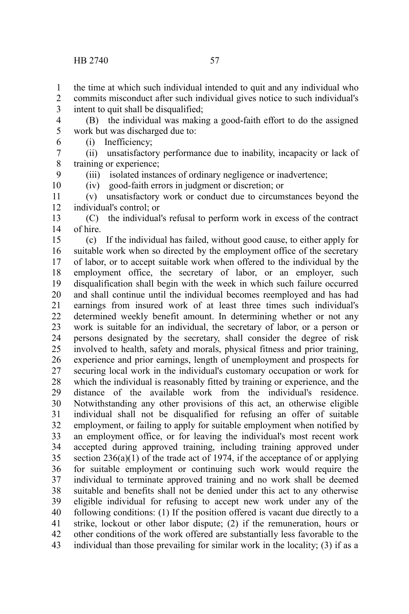the time at which such individual intended to quit and any individual who 1

commits misconduct after such individual gives notice to such individual's intent to quit shall be disqualified; 2 3

(B) the individual was making a good-faith effort to do the assigned work but was discharged due to: 4 5 6

(i) Inefficiency;

(ii) unsatisfactory performance due to inability, incapacity or lack of training or experience; 7 8

(iii) isolated instances of ordinary negligence or inadvertence;

(iv) good-faith errors in judgment or discretion; or

(v) unsatisfactory work or conduct due to circumstances beyond the individual's control; or 11 12

(C) the individual's refusal to perform work in excess of the contract of hire. 13 14

(c) If the individual has failed, without good cause, to either apply for suitable work when so directed by the employment office of the secretary of labor, or to accept suitable work when offered to the individual by the employment office, the secretary of labor, or an employer, such disqualification shall begin with the week in which such failure occurred and shall continue until the individual becomes reemployed and has had earnings from insured work of at least three times such individual's determined weekly benefit amount. In determining whether or not any work is suitable for an individual, the secretary of labor, or a person or persons designated by the secretary, shall consider the degree of risk involved to health, safety and morals, physical fitness and prior training, experience and prior earnings, length of unemployment and prospects for securing local work in the individual's customary occupation or work for which the individual is reasonably fitted by training or experience, and the distance of the available work from the individual's residence. Notwithstanding any other provisions of this act, an otherwise eligible individual shall not be disqualified for refusing an offer of suitable employment, or failing to apply for suitable employment when notified by an employment office, or for leaving the individual's most recent work accepted during approved training, including training approved under section  $236(a)(1)$  of the trade act of 1974, if the acceptance of or applying for suitable employment or continuing such work would require the individual to terminate approved training and no work shall be deemed suitable and benefits shall not be denied under this act to any otherwise eligible individual for refusing to accept new work under any of the following conditions: (1) If the position offered is vacant due directly to a strike, lockout or other labor dispute; (2) if the remuneration, hours or other conditions of the work offered are substantially less favorable to the individual than those prevailing for similar work in the locality; (3) if as a 15 16 17 18 19 20 21 22 23 24 25 26 27 28 29 30 31 32 33 34 35 36 37 38 39 40 41 42 43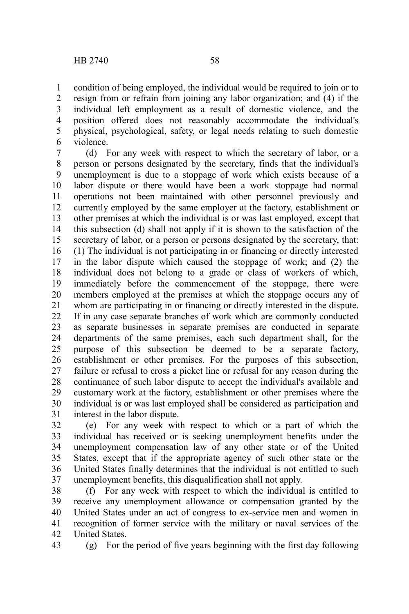condition of being employed, the individual would be required to join or to resign from or refrain from joining any labor organization; and (4) if the individual left employment as a result of domestic violence, and the position offered does not reasonably accommodate the individual's physical, psychological, safety, or legal needs relating to such domestic violence. 1 2 3 4 5 6

(d) For any week with respect to which the secretary of labor, or a person or persons designated by the secretary, finds that the individual's unemployment is due to a stoppage of work which exists because of a labor dispute or there would have been a work stoppage had normal operations not been maintained with other personnel previously and currently employed by the same employer at the factory, establishment or other premises at which the individual is or was last employed, except that this subsection (d) shall not apply if it is shown to the satisfaction of the secretary of labor, or a person or persons designated by the secretary, that: (1) The individual is not participating in or financing or directly interested in the labor dispute which caused the stoppage of work; and (2) the individual does not belong to a grade or class of workers of which, immediately before the commencement of the stoppage, there were members employed at the premises at which the stoppage occurs any of whom are participating in or financing or directly interested in the dispute. If in any case separate branches of work which are commonly conducted as separate businesses in separate premises are conducted in separate departments of the same premises, each such department shall, for the purpose of this subsection be deemed to be a separate factory, establishment or other premises. For the purposes of this subsection, failure or refusal to cross a picket line or refusal for any reason during the continuance of such labor dispute to accept the individual's available and customary work at the factory, establishment or other premises where the individual is or was last employed shall be considered as participation and interest in the labor dispute. 7 8 9 10 11 12 13 14 15 16 17 18 19 20 21 22 23 24 25 26 27 28 29 30 31

(e) For any week with respect to which or a part of which the individual has received or is seeking unemployment benefits under the unemployment compensation law of any other state or of the United States, except that if the appropriate agency of such other state or the United States finally determines that the individual is not entitled to such unemployment benefits, this disqualification shall not apply. 32 33 34 35 36 37

(f) For any week with respect to which the individual is entitled to receive any unemployment allowance or compensation granted by the United States under an act of congress to ex-service men and women in recognition of former service with the military or naval services of the United States. 38 39 40 41 42

43

(g) For the period of five years beginning with the first day following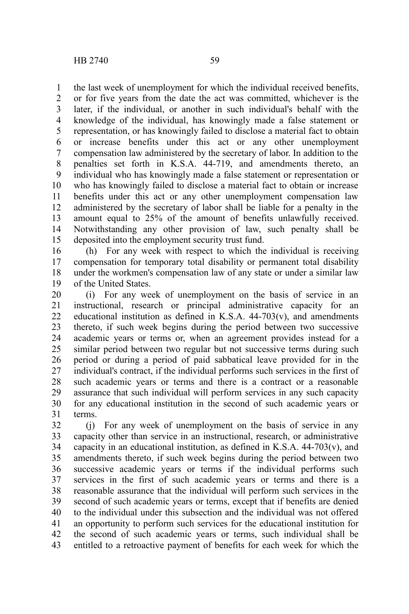the last week of unemployment for which the individual received benefits, or for five years from the date the act was committed, whichever is the later, if the individual, or another in such individual's behalf with the knowledge of the individual, has knowingly made a false statement or representation, or has knowingly failed to disclose a material fact to obtain or increase benefits under this act or any other unemployment compensation law administered by the secretary of labor. In addition to the penalties set forth in K.S.A. 44-719, and amendments thereto, an individual who has knowingly made a false statement or representation or who has knowingly failed to disclose a material fact to obtain or increase benefits under this act or any other unemployment compensation law administered by the secretary of labor shall be liable for a penalty in the amount equal to 25% of the amount of benefits unlawfully received. Notwithstanding any other provision of law, such penalty shall be deposited into the employment security trust fund. 1 2 3 4 5 6 7 8 9 10 11 12 13 14 15

(h) For any week with respect to which the individual is receiving compensation for temporary total disability or permanent total disability under the workmen's compensation law of any state or under a similar law of the United States. 16 17 18 19

(i) For any week of unemployment on the basis of service in an instructional, research or principal administrative capacity for an educational institution as defined in K.S.A.  $44-703(v)$ , and amendments thereto, if such week begins during the period between two successive academic years or terms or, when an agreement provides instead for a similar period between two regular but not successive terms during such period or during a period of paid sabbatical leave provided for in the individual's contract, if the individual performs such services in the first of such academic years or terms and there is a contract or a reasonable assurance that such individual will perform services in any such capacity for any educational institution in the second of such academic years or terms. 20 21 22 23 24 25 26 27 28 29 30 31

(j) For any week of unemployment on the basis of service in any capacity other than service in an instructional, research, or administrative capacity in an educational institution, as defined in K.S.A.  $44-703(v)$ , and amendments thereto, if such week begins during the period between two successive academic years or terms if the individual performs such services in the first of such academic years or terms and there is a reasonable assurance that the individual will perform such services in the second of such academic years or terms, except that if benefits are denied to the individual under this subsection and the individual was not offered an opportunity to perform such services for the educational institution for the second of such academic years or terms, such individual shall be entitled to a retroactive payment of benefits for each week for which the 32 33 34 35 36 37 38 39 40 41 42 43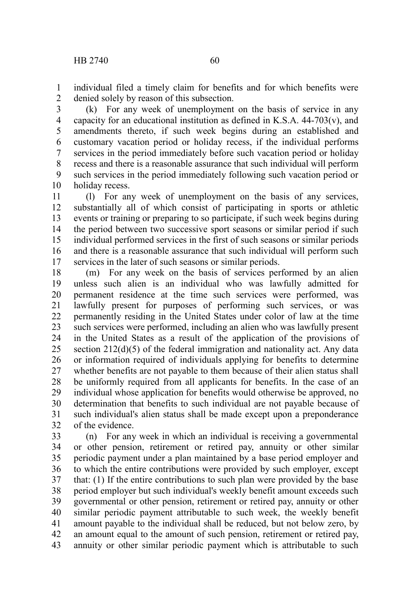individual filed a timely claim for benefits and for which benefits were denied solely by reason of this subsection. 1 2

(k) For any week of unemployment on the basis of service in any capacity for an educational institution as defined in K.S.A. 44-703(v), and amendments thereto, if such week begins during an established and customary vacation period or holiday recess, if the individual performs services in the period immediately before such vacation period or holiday recess and there is a reasonable assurance that such individual will perform such services in the period immediately following such vacation period or holiday recess. 3 4 5 6 7 8 9 10

(l) For any week of unemployment on the basis of any services, substantially all of which consist of participating in sports or athletic events or training or preparing to so participate, if such week begins during the period between two successive sport seasons or similar period if such individual performed services in the first of such seasons or similar periods and there is a reasonable assurance that such individual will perform such services in the later of such seasons or similar periods. 11 12 13 14 15 16 17

(m) For any week on the basis of services performed by an alien unless such alien is an individual who was lawfully admitted for permanent residence at the time such services were performed, was lawfully present for purposes of performing such services, or was permanently residing in the United States under color of law at the time such services were performed, including an alien who was lawfully present in the United States as a result of the application of the provisions of section 212(d)(5) of the federal immigration and nationality act. Any data or information required of individuals applying for benefits to determine whether benefits are not payable to them because of their alien status shall be uniformly required from all applicants for benefits. In the case of an individual whose application for benefits would otherwise be approved, no determination that benefits to such individual are not payable because of such individual's alien status shall be made except upon a preponderance of the evidence. 18 19 20 21 22 23 24 25 26 27 28 29 30 31 32

(n) For any week in which an individual is receiving a governmental or other pension, retirement or retired pay, annuity or other similar periodic payment under a plan maintained by a base period employer and to which the entire contributions were provided by such employer, except that: (1) If the entire contributions to such plan were provided by the base period employer but such individual's weekly benefit amount exceeds such governmental or other pension, retirement or retired pay, annuity or other similar periodic payment attributable to such week, the weekly benefit amount payable to the individual shall be reduced, but not below zero, by an amount equal to the amount of such pension, retirement or retired pay, annuity or other similar periodic payment which is attributable to such 33 34 35 36 37 38 39 40 41 42 43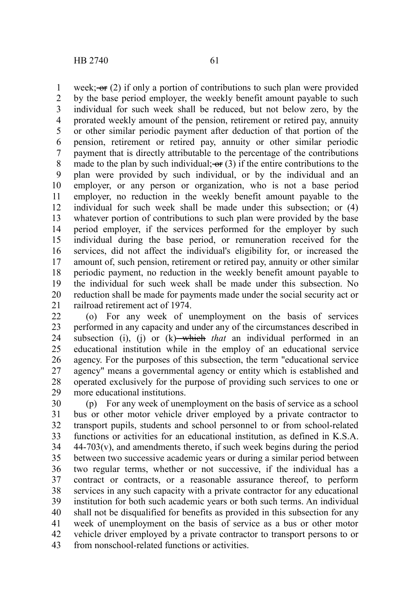week;  $\Theta$  (2) if only a portion of contributions to such plan were provided by the base period employer, the weekly benefit amount payable to such individual for such week shall be reduced, but not below zero, by the prorated weekly amount of the pension, retirement or retired pay, annuity or other similar periodic payment after deduction of that portion of the pension, retirement or retired pay, annuity or other similar periodic payment that is directly attributable to the percentage of the contributions made to the plan by such individual;  $\sigma$  (3) if the entire contributions to the plan were provided by such individual, or by the individual and an employer, or any person or organization, who is not a base period employer, no reduction in the weekly benefit amount payable to the individual for such week shall be made under this subsection; or (4) whatever portion of contributions to such plan were provided by the base period employer, if the services performed for the employer by such individual during the base period, or remuneration received for the services, did not affect the individual's eligibility for, or increased the amount of, such pension, retirement or retired pay, annuity or other similar periodic payment, no reduction in the weekly benefit amount payable to the individual for such week shall be made under this subsection. No reduction shall be made for payments made under the social security act or railroad retirement act of 1974. 1 2 3 4 5 6 7 8 9 10 11 12 13 14 15 16 17 18 19 20 21

(o) For any week of unemployment on the basis of services performed in any capacity and under any of the circumstances described in subsection (i), (j) or (k) which *that* an individual performed in an educational institution while in the employ of an educational service agency. For the purposes of this subsection, the term "educational service agency" means a governmental agency or entity which is established and operated exclusively for the purpose of providing such services to one or more educational institutions. 22 23 24 25 26 27 28 29

(p) For any week of unemployment on the basis of service as a school bus or other motor vehicle driver employed by a private contractor to transport pupils, students and school personnel to or from school-related functions or activities for an educational institution, as defined in K.S.A.  $44-703(v)$ , and amendments thereto, if such week begins during the period between two successive academic years or during a similar period between two regular terms, whether or not successive, if the individual has a contract or contracts, or a reasonable assurance thereof, to perform services in any such capacity with a private contractor for any educational institution for both such academic years or both such terms. An individual shall not be disqualified for benefits as provided in this subsection for any week of unemployment on the basis of service as a bus or other motor vehicle driver employed by a private contractor to transport persons to or from nonschool-related functions or activities. 30 31 32 33 34 35 36 37 38 39 40 41 42 43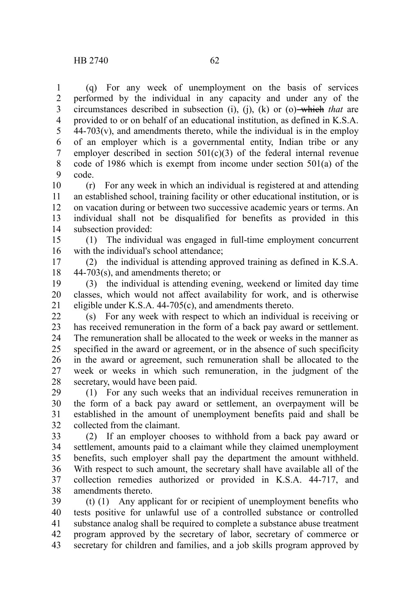(q) For any week of unemployment on the basis of services performed by the individual in any capacity and under any of the circumstances described in subsection (i), (j), (k) or (o) which *that* are provided to or on behalf of an educational institution, as defined in K.S.A.  $44-703(v)$ , and amendments thereto, while the individual is in the employ of an employer which is a governmental entity, Indian tribe or any employer described in section  $501(c)(3)$  of the federal internal revenue code of 1986 which is exempt from income under section 501(a) of the code. 1 2 3 4 5 6 7 8 9

(r) For any week in which an individual is registered at and attending an established school, training facility or other educational institution, or is on vacation during or between two successive academic years or terms. An individual shall not be disqualified for benefits as provided in this subsection provided: 10 11 12 13 14

(1) The individual was engaged in full-time employment concurrent with the individual's school attendance; 15 16

(2) the individual is attending approved training as defined in K.S.A. 44-703(s), and amendments thereto; or 17 18

(3) the individual is attending evening, weekend or limited day time classes, which would not affect availability for work, and is otherwise eligible under K.S.A. 44-705(c), and amendments thereto. 19 20 21

(s) For any week with respect to which an individual is receiving or has received remuneration in the form of a back pay award or settlement. The remuneration shall be allocated to the week or weeks in the manner as specified in the award or agreement, or in the absence of such specificity in the award or agreement, such remuneration shall be allocated to the week or weeks in which such remuneration, in the judgment of the secretary, would have been paid.  $22$ 23 24 25 26 27 28

(1) For any such weeks that an individual receives remuneration in the form of a back pay award or settlement, an overpayment will be established in the amount of unemployment benefits paid and shall be collected from the claimant. 29 30 31 32

(2) If an employer chooses to withhold from a back pay award or settlement, amounts paid to a claimant while they claimed unemployment benefits, such employer shall pay the department the amount withheld. With respect to such amount, the secretary shall have available all of the collection remedies authorized or provided in K.S.A. 44-717, and amendments thereto. 33 34 35 36 37 38

(t) (1) Any applicant for or recipient of unemployment benefits who tests positive for unlawful use of a controlled substance or controlled substance analog shall be required to complete a substance abuse treatment program approved by the secretary of labor, secretary of commerce or secretary for children and families, and a job skills program approved by 39 40 41 42 43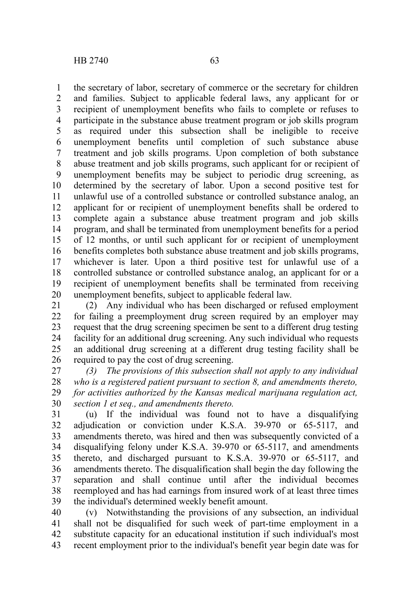the secretary of labor, secretary of commerce or the secretary for children and families. Subject to applicable federal laws, any applicant for or recipient of unemployment benefits who fails to complete or refuses to participate in the substance abuse treatment program or job skills program as required under this subsection shall be ineligible to receive unemployment benefits until completion of such substance abuse treatment and job skills programs. Upon completion of both substance abuse treatment and job skills programs, such applicant for or recipient of unemployment benefits may be subject to periodic drug screening, as determined by the secretary of labor. Upon a second positive test for unlawful use of a controlled substance or controlled substance analog, an applicant for or recipient of unemployment benefits shall be ordered to complete again a substance abuse treatment program and job skills program, and shall be terminated from unemployment benefits for a period of 12 months, or until such applicant for or recipient of unemployment benefits completes both substance abuse treatment and job skills programs, whichever is later. Upon a third positive test for unlawful use of a controlled substance or controlled substance analog, an applicant for or a recipient of unemployment benefits shall be terminated from receiving unemployment benefits, subject to applicable federal law. 1 2 3 4 5 6 7 8 9 10 11 12 13 14 15 16 17 18 19 20

(2) Any individual who has been discharged or refused employment for failing a preemployment drug screen required by an employer may request that the drug screening specimen be sent to a different drug testing facility for an additional drug screening. Any such individual who requests an additional drug screening at a different drug testing facility shall be required to pay the cost of drug screening. 21 22 23 24 25 26

*(3) The provisions of this subsection shall not apply to any individual who is a registered patient pursuant to section 8, and amendments thereto, for activities authorized by the Kansas medical marijuana regulation act, section 1 et seq., and amendments thereto.* 27 28 29 30

(u) If the individual was found not to have a disqualifying adjudication or conviction under K.S.A. 39-970 or 65-5117, and amendments thereto, was hired and then was subsequently convicted of a disqualifying felony under K.S.A. 39-970 or 65-5117, and amendments thereto, and discharged pursuant to K.S.A. 39-970 or 65-5117, and amendments thereto. The disqualification shall begin the day following the separation and shall continue until after the individual becomes reemployed and has had earnings from insured work of at least three times the individual's determined weekly benefit amount. 31 32 33 34 35 36 37 38 39

(v) Notwithstanding the provisions of any subsection, an individual shall not be disqualified for such week of part-time employment in a substitute capacity for an educational institution if such individual's most recent employment prior to the individual's benefit year begin date was for 40 41 42 43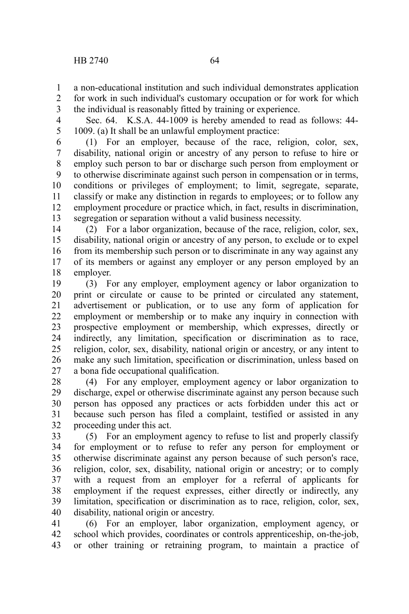a non-educational institution and such individual demonstrates application 1

for work in such individual's customary occupation or for work for which the individual is reasonably fitted by training or experience. 2 3

4 5

Sec. 64. K.S.A. 44-1009 is hereby amended to read as follows: 44- 1009. (a) It shall be an unlawful employment practice:

(1) For an employer, because of the race, religion, color, sex, disability, national origin or ancestry of any person to refuse to hire or employ such person to bar or discharge such person from employment or to otherwise discriminate against such person in compensation or in terms, conditions or privileges of employment; to limit, segregate, separate, classify or make any distinction in regards to employees; or to follow any employment procedure or practice which, in fact, results in discrimination, segregation or separation without a valid business necessity. 6 7 8 9 10 11 12 13

(2) For a labor organization, because of the race, religion, color, sex, disability, national origin or ancestry of any person, to exclude or to expel from its membership such person or to discriminate in any way against any of its members or against any employer or any person employed by an employer. 14 15 16 17 18

(3) For any employer, employment agency or labor organization to print or circulate or cause to be printed or circulated any statement, advertisement or publication, or to use any form of application for employment or membership or to make any inquiry in connection with prospective employment or membership, which expresses, directly or indirectly, any limitation, specification or discrimination as to race, religion, color, sex, disability, national origin or ancestry, or any intent to make any such limitation, specification or discrimination, unless based on a bona fide occupational qualification. 19 20 21 22 23 24 25 26 27

(4) For any employer, employment agency or labor organization to discharge, expel or otherwise discriminate against any person because such person has opposed any practices or acts forbidden under this act or because such person has filed a complaint, testified or assisted in any proceeding under this act. 28 29 30 31 32

(5) For an employment agency to refuse to list and properly classify for employment or to refuse to refer any person for employment or otherwise discriminate against any person because of such person's race, religion, color, sex, disability, national origin or ancestry; or to comply with a request from an employer for a referral of applicants for employment if the request expresses, either directly or indirectly, any limitation, specification or discrimination as to race, religion, color, sex, disability, national origin or ancestry. 33 34 35 36 37 38 39 40

(6) For an employer, labor organization, employment agency, or school which provides, coordinates or controls apprenticeship, on-the-job, or other training or retraining program, to maintain a practice of 41 42 43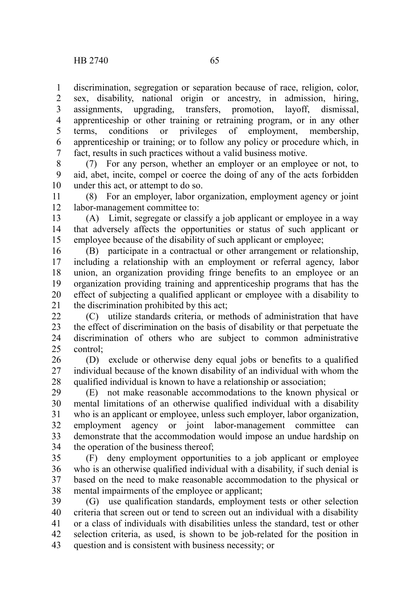discrimination, segregation or separation because of race, religion, color, sex, disability, national origin or ancestry, in admission, hiring, assignments, upgrading, transfers, promotion, layoff, dismissal, apprenticeship or other training or retraining program, or in any other terms, conditions or privileges of employment. membership terms, conditions or privileges of employment, membership, apprenticeship or training; or to follow any policy or procedure which, in fact, results in such practices without a valid business motive. 1 2 3 4 5 6 7

(7) For any person, whether an employer or an employee or not, to aid, abet, incite, compel or coerce the doing of any of the acts forbidden under this act, or attempt to do so. 8 9 10

(8) For an employer, labor organization, employment agency or joint labor-management committee to: 11 12

(A) Limit, segregate or classify a job applicant or employee in a way that adversely affects the opportunities or status of such applicant or employee because of the disability of such applicant or employee; 13 14 15

(B) participate in a contractual or other arrangement or relationship, including a relationship with an employment or referral agency, labor union, an organization providing fringe benefits to an employee or an organization providing training and apprenticeship programs that has the effect of subjecting a qualified applicant or employee with a disability to the discrimination prohibited by this act; 16 17 18 19 20 21

(C) utilize standards criteria, or methods of administration that have the effect of discrimination on the basis of disability or that perpetuate the discrimination of others who are subject to common administrative control; 22 23 24 25

(D) exclude or otherwise deny equal jobs or benefits to a qualified individual because of the known disability of an individual with whom the qualified individual is known to have a relationship or association; 26 27 28

(E) not make reasonable accommodations to the known physical or mental limitations of an otherwise qualified individual with a disability who is an applicant or employee, unless such employer, labor organization, employment agency or joint labor-management committee can demonstrate that the accommodation would impose an undue hardship on the operation of the business thereof; 29 30 31 32 33 34

(F) deny employment opportunities to a job applicant or employee who is an otherwise qualified individual with a disability, if such denial is based on the need to make reasonable accommodation to the physical or mental impairments of the employee or applicant; 35 36 37 38

(G) use qualification standards, employment tests or other selection criteria that screen out or tend to screen out an individual with a disability or a class of individuals with disabilities unless the standard, test or other selection criteria, as used, is shown to be job-related for the position in question and is consistent with business necessity; or 39 40 41 42 43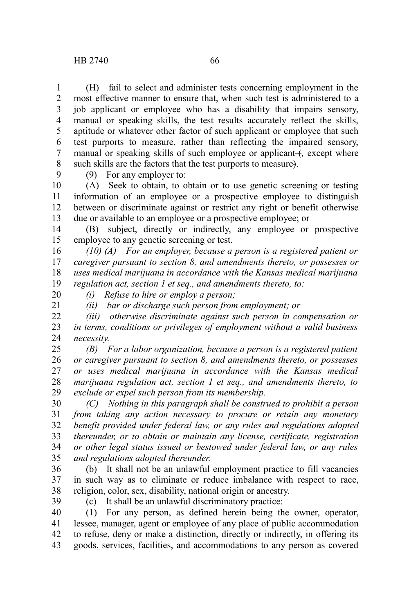(H) fail to select and administer tests concerning employment in the most effective manner to ensure that, when such test is administered to a job applicant or employee who has a disability that impairs sensory, manual or speaking skills, the test results accurately reflect the skills, aptitude or whatever other factor of such applicant or employee that such test purports to measure, rather than reflecting the impaired sensory, manual or speaking skills of such employee or applicant (*f*, except where such skills are the factors that the test purports to measure). 1 2 3 4 5 6 7 8

9

(9) For any employer to:

(A) Seek to obtain, to obtain or to use genetic screening or testing information of an employee or a prospective employee to distinguish between or discriminate against or restrict any right or benefit otherwise due or available to an employee or a prospective employee; or 10 11 12 13

(B) subject, directly or indirectly, any employee or prospective employee to any genetic screening or test. 14 15

*(10) (A) For an employer, because a person is a registered patient or caregiver pursuant to section 8, and amendments thereto, or possesses or uses medical marijuana in accordance with the Kansas medical marijuana regulation act, section 1 et seq., and amendments thereto, to:* 16 17 18 19

20 21

*(i) Refuse to hire or employ a person;*

*(ii) bar or discharge such person from employment; or*

*(iii) otherwise discriminate against such person in compensation or in terms, conditions or privileges of employment without a valid business necessity.* 22 23 24

*(B) For a labor organization, because a person is a registered patient or caregiver pursuant to section 8, and amendments thereto, or possesses or uses medical marijuana in accordance with the Kansas medical marijuana regulation act, section 1 et seq., and amendments thereto, to exclude or expel such person from its membership.* 25 26 27 28 29

*(C) Nothing in this paragraph shall be construed to prohibit a person from taking any action necessary to procure or retain any monetary benefit provided under federal law, or any rules and regulations adopted thereunder, or to obtain or maintain any license, certificate, registration or other legal status issued or bestowed under federal law, or any rules and regulations adopted thereunder.* 30 31 32 33 34 35

(b) It shall not be an unlawful employment practice to fill vacancies in such way as to eliminate or reduce imbalance with respect to race, religion, color, sex, disability, national origin or ancestry. 36 37 38

39

(c) It shall be an unlawful discriminatory practice:

(1) For any person, as defined herein being the owner, operator, lessee, manager, agent or employee of any place of public accommodation to refuse, deny or make a distinction, directly or indirectly, in offering its goods, services, facilities, and accommodations to any person as covered 40 41 42 43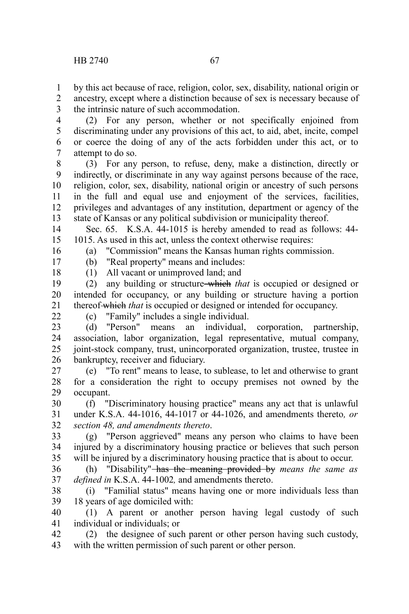by this act because of race, religion, color, sex, disability, national origin or ancestry, except where a distinction because of sex is necessary because of the intrinsic nature of such accommodation. 1 2 3

(2) For any person, whether or not specifically enjoined from discriminating under any provisions of this act, to aid, abet, incite, compel or coerce the doing of any of the acts forbidden under this act, or to attempt to do so. 4 5 6 7

(3) For any person, to refuse, deny, make a distinction, directly or indirectly, or discriminate in any way against persons because of the race, religion, color, sex, disability, national origin or ancestry of such persons in the full and equal use and enjoyment of the services, facilities, privileges and advantages of any institution, department or agency of the state of Kansas or any political subdivision or municipality thereof. 8 9 10 11 12 13

Sec. 65. K.S.A. 44-1015 is hereby amended to read as follows: 44- 1015. As used in this act, unless the context otherwise requires: 14 15

(a) "Commission" means the Kansas human rights commission.

(b) "Real property" means and includes:

17 18

16

(1) All vacant or unimproved land; and (2) any building or structure which *that* is occupied or designed or

intended for occupancy, or any building or structure having a portion thereof which *that* is occupied or designed or intended for occupancy. 19 20 21

 $22$ 

(c) "Family" includes a single individual.

(d) "Person" means an individual, corporation, partnership, association, labor organization, legal representative, mutual company, joint-stock company, trust, unincorporated organization, trustee, trustee in bankruptcy, receiver and fiduciary. 23 24 25 26

(e) "To rent" means to lease, to sublease, to let and otherwise to grant for a consideration the right to occupy premises not owned by the occupant. 27 28 29

(f) "Discriminatory housing practice" means any act that is unlawful under K.S.A. 44-1016, 44-1017 or 44-1026, and amendments thereto*, or section 48, and amendments thereto*. 30 31 32

(g) "Person aggrieved" means any person who claims to have been injured by a discriminatory housing practice or believes that such person will be injured by a discriminatory housing practice that is about to occur. 33 34 35

(h) "Disability" has the meaning provided by *means the same as defined in* K.S.A. 44-1002*,* and amendments thereto. 36 37

(i) "Familial status" means having one or more individuals less than 18 years of age domiciled with: 38 39

(1) A parent or another person having legal custody of such individual or individuals; or 40 41

(2) the designee of such parent or other person having such custody, with the written permission of such parent or other person. 42 43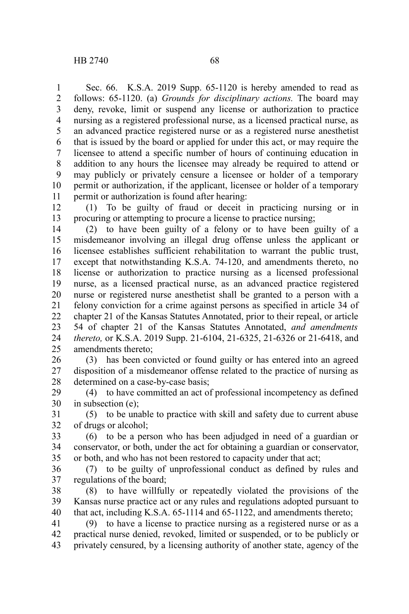Sec. 66. K.S.A. 2019 Supp. 65-1120 is hereby amended to read as follows: 65-1120. (a) *Grounds for disciplinary actions.* The board may deny, revoke, limit or suspend any license or authorization to practice nursing as a registered professional nurse, as a licensed practical nurse, as an advanced practice registered nurse or as a registered nurse anesthetist that is issued by the board or applied for under this act, or may require the licensee to attend a specific number of hours of continuing education in addition to any hours the licensee may already be required to attend or may publicly or privately censure a licensee or holder of a temporary permit or authorization, if the applicant, licensee or holder of a temporary permit or authorization is found after hearing: 1 2 3 4 5 6 7 8 9 10 11

(1) To be guilty of fraud or deceit in practicing nursing or in procuring or attempting to procure a license to practice nursing; 12 13

(2) to have been guilty of a felony or to have been guilty of a misdemeanor involving an illegal drug offense unless the applicant or licensee establishes sufficient rehabilitation to warrant the public trust, except that notwithstanding K.S.A. 74-120, and amendments thereto, no license or authorization to practice nursing as a licensed professional nurse, as a licensed practical nurse, as an advanced practice registered nurse or registered nurse anesthetist shall be granted to a person with a felony conviction for a crime against persons as specified in article 34 of chapter 21 of the Kansas Statutes Annotated, prior to their repeal, or article 54 of chapter 21 of the Kansas Statutes Annotated, *and amendments thereto,* or K.S.A. 2019 Supp. 21-6104, 21-6325, 21-6326 or 21-6418, and amendments thereto; 14 15 16 17 18 19 20 21 22 23 24 25

(3) has been convicted or found guilty or has entered into an agreed disposition of a misdemeanor offense related to the practice of nursing as determined on a case-by-case basis; 26 27 28

(4) to have committed an act of professional incompetency as defined in subsection (e); 29 30

(5) to be unable to practice with skill and safety due to current abuse of drugs or alcohol; 31 32

(6) to be a person who has been adjudged in need of a guardian or conservator, or both, under the act for obtaining a guardian or conservator, or both, and who has not been restored to capacity under that act; 33 34 35

(7) to be guilty of unprofessional conduct as defined by rules and regulations of the board; 36 37

(8) to have willfully or repeatedly violated the provisions of the Kansas nurse practice act or any rules and regulations adopted pursuant to that act, including K.S.A. 65-1114 and 65-1122, and amendments thereto; 38 39 40

(9) to have a license to practice nursing as a registered nurse or as a practical nurse denied, revoked, limited or suspended, or to be publicly or privately censured, by a licensing authority of another state, agency of the 41 42 43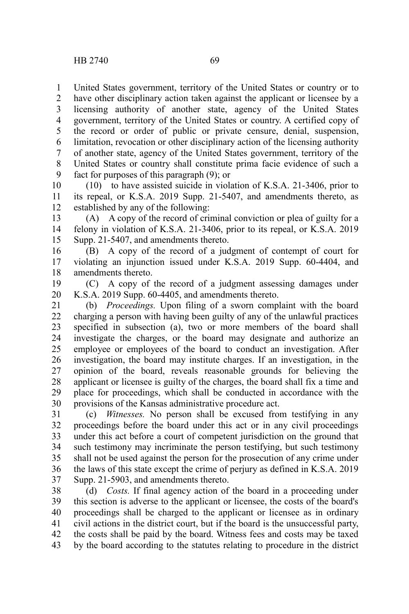United States government, territory of the United States or country or to have other disciplinary action taken against the applicant or licensee by a licensing authority of another state, agency of the United States government, territory of the United States or country. A certified copy of the record or order of public or private censure, denial, suspension, limitation, revocation or other disciplinary action of the licensing authority of another state, agency of the United States government, territory of the United States or country shall constitute prima facie evidence of such a fact for purposes of this paragraph (9); or 1 2 3 4 5 6 7 8 9

(10) to have assisted suicide in violation of K.S.A. 21-3406, prior to its repeal, or K.S.A. 2019 Supp. 21-5407, and amendments thereto, as established by any of the following: 10 11 12

(A) A copy of the record of criminal conviction or plea of guilty for a felony in violation of K.S.A. 21-3406, prior to its repeal, or K.S.A. 2019 Supp. 21-5407, and amendments thereto. 13 14 15

(B) A copy of the record of a judgment of contempt of court for violating an injunction issued under K.S.A. 2019 Supp. 60-4404, and amendments thereto. 16 17 18

(C) A copy of the record of a judgment assessing damages under K.S.A. 2019 Supp. 60-4405, and amendments thereto. 19 20

(b) *Proceedings.* Upon filing of a sworn complaint with the board charging a person with having been guilty of any of the unlawful practices specified in subsection (a), two or more members of the board shall investigate the charges, or the board may designate and authorize an employee or employees of the board to conduct an investigation. After investigation, the board may institute charges. If an investigation, in the opinion of the board, reveals reasonable grounds for believing the applicant or licensee is guilty of the charges, the board shall fix a time and place for proceedings, which shall be conducted in accordance with the provisions of the Kansas administrative procedure act. 21 22 23 24 25 26 27 28 29 30

(c) *Witnesses.* No person shall be excused from testifying in any proceedings before the board under this act or in any civil proceedings under this act before a court of competent jurisdiction on the ground that such testimony may incriminate the person testifying, but such testimony shall not be used against the person for the prosecution of any crime under the laws of this state except the crime of perjury as defined in K.S.A. 2019 Supp. 21-5903, and amendments thereto. 31 32 33 34 35 36 37

(d) *Costs.* If final agency action of the board in a proceeding under this section is adverse to the applicant or licensee, the costs of the board's proceedings shall be charged to the applicant or licensee as in ordinary civil actions in the district court, but if the board is the unsuccessful party, the costs shall be paid by the board. Witness fees and costs may be taxed by the board according to the statutes relating to procedure in the district 38 39 40 41 42 43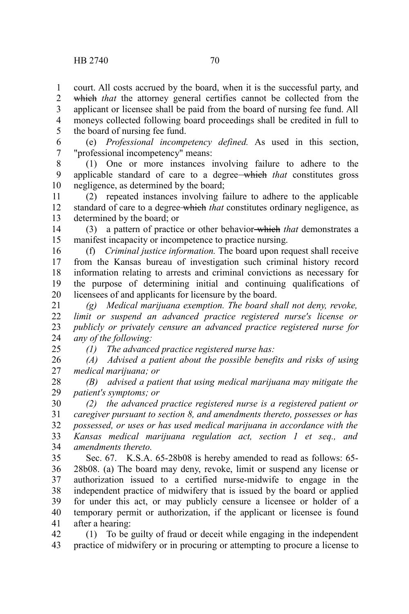court. All costs accrued by the board, when it is the successful party, and which *that* the attorney general certifies cannot be collected from the applicant or licensee shall be paid from the board of nursing fee fund. All moneys collected following board proceedings shall be credited in full to the board of nursing fee fund. 1 2 3 4 5

(e) *Professional incompetency defined.* As used in this section, "professional incompetency" means: 6 7

(1) One or more instances involving failure to adhere to the applicable standard of care to a degree which *that* constitutes gross negligence, as determined by the board; 8 9 10

(2) repeated instances involving failure to adhere to the applicable standard of care to a degree which *that* constitutes ordinary negligence, as determined by the board; or 11 12 13

(3) a pattern of practice or other behavior which *that* demonstrates a manifest incapacity or incompetence to practice nursing. 14 15

(f) *Criminal justice information.* The board upon request shall receive from the Kansas bureau of investigation such criminal history record information relating to arrests and criminal convictions as necessary for the purpose of determining initial and continuing qualifications of licensees of and applicants for licensure by the board. 16 17 18 19 20

*(g) Medical marijuana exemption. The board shall not deny, revoke, limit or suspend an advanced practice registered nurse's license or publicly or privately censure an advanced practice registered nurse for any of the following:* 21 22 23 24 25

*(1) The advanced practice registered nurse has:*

*(A) Advised a patient about the possible benefits and risks of using medical marijuana; or* 26 27

*(B) advised a patient that using medical marijuana may mitigate the patient's symptoms; or* 28 29

*(2) the advanced practice registered nurse is a registered patient or caregiver pursuant to section 8, and amendments thereto, possesses or has possessed, or uses or has used medical marijuana in accordance with the Kansas medical marijuana regulation act, section 1 et seq., and amendments thereto.* 30 31 32 33 34

Sec. 67. K.S.A. 65-28b08 is hereby amended to read as follows: 65- 28b08. (a) The board may deny, revoke, limit or suspend any license or authorization issued to a certified nurse-midwife to engage in the independent practice of midwifery that is issued by the board or applied for under this act, or may publicly censure a licensee or holder of a temporary permit or authorization, if the applicant or licensee is found after a hearing: 35 36 37 38 39 40 41

(1) To be guilty of fraud or deceit while engaging in the independent practice of midwifery or in procuring or attempting to procure a license to 42 43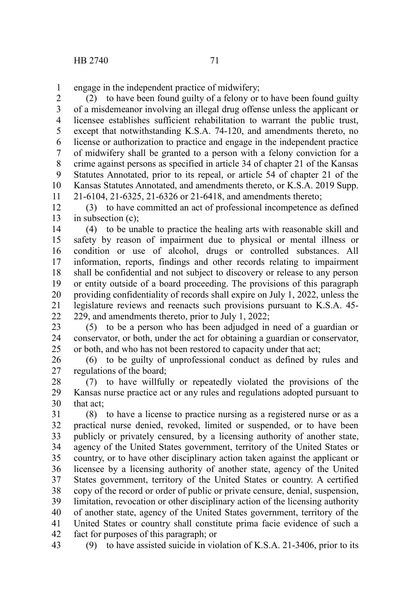engage in the independent practice of midwifery; 1

(2) to have been found guilty of a felony or to have been found guilty of a misdemeanor involving an illegal drug offense unless the applicant or licensee establishes sufficient rehabilitation to warrant the public trust, except that notwithstanding K.S.A. 74-120, and amendments thereto, no license or authorization to practice and engage in the independent practice of midwifery shall be granted to a person with a felony conviction for a crime against persons as specified in article 34 of chapter 21 of the Kansas Statutes Annotated, prior to its repeal, or article 54 of chapter 21 of the Kansas Statutes Annotated, and amendments thereto, or K.S.A. 2019 Supp. 21-6104, 21-6325, 21-6326 or 21-6418, and amendments thereto; 2 3 4 5 6 7 8 9 10 11

(3) to have committed an act of professional incompetence as defined in subsection (c); 12 13

(4) to be unable to practice the healing arts with reasonable skill and safety by reason of impairment due to physical or mental illness or condition or use of alcohol, drugs or controlled substances. All information, reports, findings and other records relating to impairment shall be confidential and not subject to discovery or release to any person or entity outside of a board proceeding. The provisions of this paragraph providing confidentiality of records shall expire on July 1, 2022, unless the legislature reviews and reenacts such provisions pursuant to K.S.A. 45- 229, and amendments thereto, prior to July 1, 2022; 14 15 16 17 18 19 20 21 22

(5) to be a person who has been adjudged in need of a guardian or conservator, or both, under the act for obtaining a guardian or conservator, or both, and who has not been restored to capacity under that act; 23 24 25

(6) to be guilty of unprofessional conduct as defined by rules and regulations of the board; 26 27

(7) to have willfully or repeatedly violated the provisions of the Kansas nurse practice act or any rules and regulations adopted pursuant to that act; 28 29 30

(8) to have a license to practice nursing as a registered nurse or as a practical nurse denied, revoked, limited or suspended, or to have been publicly or privately censured, by a licensing authority of another state, agency of the United States government, territory of the United States or country, or to have other disciplinary action taken against the applicant or licensee by a licensing authority of another state, agency of the United States government, territory of the United States or country. A certified copy of the record or order of public or private censure, denial, suspension, limitation, revocation or other disciplinary action of the licensing authority of another state, agency of the United States government, territory of the United States or country shall constitute prima facie evidence of such a fact for purposes of this paragraph; or 31 32 33 34 35 36 37 38 39 40 41 42

(9) to have assisted suicide in violation of K.S.A. 21-3406, prior to its 43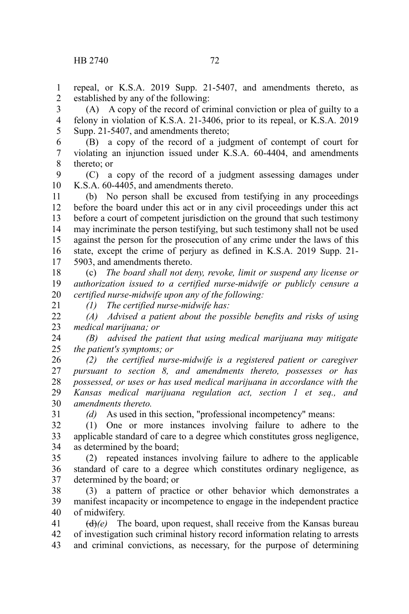repeal, or K.S.A. 2019 Supp. 21-5407, and amendments thereto, as established by any of the following: 1 2

(A) A copy of the record of criminal conviction or plea of guilty to a felony in violation of K.S.A. 21-3406, prior to its repeal, or K.S.A. 2019 Supp. 21-5407, and amendments thereto; 3 4 5

(B) a copy of the record of a judgment of contempt of court for violating an injunction issued under K.S.A. 60-4404, and amendments thereto; or 6 7 8

(C) a copy of the record of a judgment assessing damages under K.S.A. 60-4405, and amendments thereto. 9 10

(b) No person shall be excused from testifying in any proceedings before the board under this act or in any civil proceedings under this act before a court of competent jurisdiction on the ground that such testimony may incriminate the person testifying, but such testimony shall not be used against the person for the prosecution of any crime under the laws of this state, except the crime of perjury as defined in K.S.A. 2019 Supp. 21- 5903, and amendments thereto. 11 12 13 14 15 16 17

(c) *The board shall not deny, revoke, limit or suspend any license or authorization issued to a certified nurse-midwife or publicly censure a certified nurse-midwife upon any of the following:* 18 19 20

*(1) The certified nurse-midwife has:*

*(A) Advised a patient about the possible benefits and risks of using medical marijuana; or*  $22$ 23

*(B) advised the patient that using medical marijuana may mitigate the patient's symptoms; or* 24 25

*(2) the certified nurse-midwife is a registered patient or caregiver pursuant to section 8, and amendments thereto, possesses or has possessed, or uses or has used medical marijuana in accordance with the Kansas medical marijuana regulation act, section 1 et seq., and amendments thereto.* 26 27 28 29 30

31

21

*(d)* As used in this section, "professional incompetency" means:

(1) One or more instances involving failure to adhere to the applicable standard of care to a degree which constitutes gross negligence, as determined by the board; 32 33 34

(2) repeated instances involving failure to adhere to the applicable standard of care to a degree which constitutes ordinary negligence, as determined by the board; or 35 36 37

(3) a pattern of practice or other behavior which demonstrates a manifest incapacity or incompetence to engage in the independent practice of midwifery. 38 39 40

 $(d)$ (e) The board, upon request, shall receive from the Kansas bureau of investigation such criminal history record information relating to arrests and criminal convictions, as necessary, for the purpose of determining 41 42 43